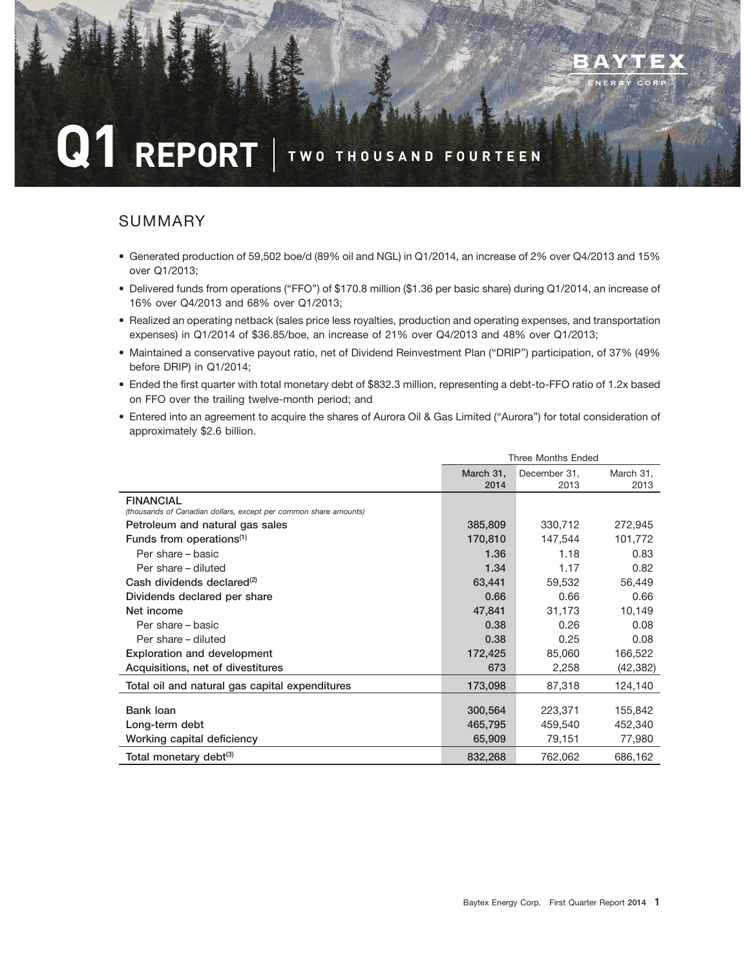# **Q1 REPORT** | TWO THOUSAND FOURTEEN

## SUMMARY

- Generated production of 59,502 boe/d (89% oil and NGL) in Q1/2014, an increase of 2% over Q4/2013 and 15% over Q1/2013;
- Delivered funds from operations ("FFO") of \$170.8 million (\$1.36 per basic share) during Q1/2014, an increase of 16% over Q4/2013 and 68% over Q1/2013;
- Realized an operating netback (sales price less royalties, production and operating expenses, and transportation expenses) in Q1/2014 of \$36.85/boe, an increase of 21% over Q4/2013 and 48% over Q1/2013;
- Maintained a conservative payout ratio, net of Dividend Reinvestment Plan (''DRIP'') participation, of 37% (49% before DRIP) in Q1/2014;
- Ended the first quarter with total monetary debt of \$832.3 million, representing a debt-to-FFO ratio of 1.2x based on FFO over the trailing twelve-month period; and
- Entered into an agreement to acquire the shares of Aurora Oil & Gas Limited (''Aurora'') for total consideration of approximately \$2.6 billion.

|                                                                  | <b>Three Months Ended</b> |              |           |  |  |  |
|------------------------------------------------------------------|---------------------------|--------------|-----------|--|--|--|
|                                                                  | March 31.                 | December 31, | March 31. |  |  |  |
|                                                                  | 2014                      | 2013         | 2013      |  |  |  |
| <b>FINANCIAL</b>                                                 |                           |              |           |  |  |  |
| (thousands of Canadian dollars, except per common share amounts) |                           |              |           |  |  |  |
| Petroleum and natural gas sales                                  | 385,809                   | 330,712      | 272,945   |  |  |  |
| Funds from operations <sup>(1)</sup>                             | 170,810                   | 147,544      | 101,772   |  |  |  |
| Per share - basic                                                | 1.36                      | 1.18         | 0.83      |  |  |  |
| Per share - diluted                                              | 1.34                      | 1.17         | 0.82      |  |  |  |
| Cash dividends declared <sup>(2)</sup>                           | 63,441                    | 59,532       | 56,449    |  |  |  |
| Dividends declared per share                                     | 0.66                      | 0.66         | 0.66      |  |  |  |
| Net income                                                       | 47,841                    | 31,173       | 10,149    |  |  |  |
| Per share – basic                                                | 0.38                      | 0.26         | 0.08      |  |  |  |
| Per share – diluted                                              | 0.38                      | 0.25         | 0.08      |  |  |  |
| <b>Exploration and development</b>                               | 172,425                   | 85,060       | 166,522   |  |  |  |
| Acquisitions, net of divestitures                                | 673                       | 2,258        | (42, 382) |  |  |  |
| Total oil and natural gas capital expenditures                   | 173,098                   | 87,318       | 124,140   |  |  |  |
|                                                                  |                           |              |           |  |  |  |
| <b>Bank loan</b>                                                 | 300,564                   | 223,371      | 155,842   |  |  |  |
| Long-term debt                                                   | 465,795                   | 459,540      | 452,340   |  |  |  |
| Working capital deficiency                                       | 65,909                    | 79,151       | 77,980    |  |  |  |
| Total monetary debt <sup>(3)</sup>                               | 832,268                   | 762,062      | 686,162   |  |  |  |

1MAY201412121761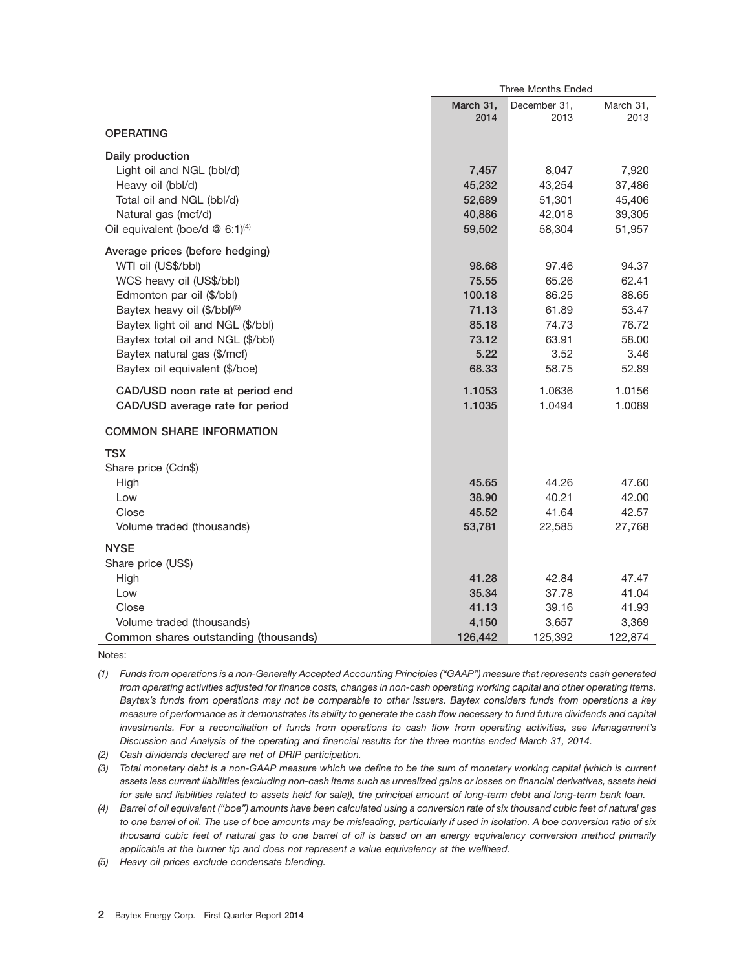|                                             | <b>Three Months Ended</b> |              |           |  |  |
|---------------------------------------------|---------------------------|--------------|-----------|--|--|
|                                             | March 31,                 | December 31, | March 31, |  |  |
|                                             | 2014                      | 2013         | 2013      |  |  |
| <b>OPERATING</b>                            |                           |              |           |  |  |
| Daily production                            |                           |              |           |  |  |
| Light oil and NGL (bbl/d)                   | 7,457                     | 8,047        | 7,920     |  |  |
| Heavy oil (bbl/d)                           | 45,232                    | 43,254       | 37,486    |  |  |
| Total oil and NGL (bbl/d)                   | 52,689                    | 51,301       | 45,406    |  |  |
| Natural gas (mcf/d)                         | 40,886                    | 42,018       | 39,305    |  |  |
| Oil equivalent (boe/d @ 6:1) <sup>(4)</sup> | 59,502                    | 58,304       | 51,957    |  |  |
|                                             |                           |              |           |  |  |
| Average prices (before hedging)             |                           |              |           |  |  |
| WTI oil (US\$/bbl)                          | 98.68                     | 97.46        | 94.37     |  |  |
| WCS heavy oil (US\$/bbl)                    | 75.55                     | 65.26        | 62.41     |  |  |
| Edmonton par oil (\$/bbl)                   | 100.18                    | 86.25        | 88.65     |  |  |
| Baytex heavy oil (\$/bbl) <sup>(5)</sup>    | 71.13                     | 61.89        | 53.47     |  |  |
| Baytex light oil and NGL (\$/bbl)           | 85.18                     | 74.73        | 76.72     |  |  |
| Baytex total oil and NGL (\$/bbl)           | 73.12                     | 63.91        | 58.00     |  |  |
| Baytex natural gas (\$/mcf)                 | 5.22                      | 3.52         | 3.46      |  |  |
| Baytex oil equivalent (\$/boe)              | 68.33                     | 58.75        | 52.89     |  |  |
| CAD/USD noon rate at period end             | 1.1053                    | 1.0636       | 1.0156    |  |  |
| CAD/USD average rate for period             | 1.1035                    | 1.0494       | 1.0089    |  |  |
|                                             |                           |              |           |  |  |
| <b>COMMON SHARE INFORMATION</b>             |                           |              |           |  |  |
| TSX                                         |                           |              |           |  |  |
| Share price (Cdn\$)                         |                           |              |           |  |  |
| High                                        | 45.65                     | 44.26        | 47.60     |  |  |
| Low                                         | 38.90                     | 40.21        | 42.00     |  |  |
| Close                                       | 45.52                     | 41.64        | 42.57     |  |  |
| Volume traded (thousands)                   | 53,781                    | 22,585       | 27,768    |  |  |
|                                             |                           |              |           |  |  |
| <b>NYSE</b>                                 |                           |              |           |  |  |
| Share price (US\$)                          |                           |              |           |  |  |
| High                                        | 41.28                     | 42.84        | 47.47     |  |  |
| Low                                         | 35.34                     | 37.78        | 41.04     |  |  |
| Close                                       | 41.13                     | 39.16        | 41.93     |  |  |
| Volume traded (thousands)                   | 4,150                     | 3,657        | 3,369     |  |  |
| Common shares outstanding (thousands)       | 126,442                   | 125,392      | 122,874   |  |  |

Notes:

*(1) Funds from operations is a non-Generally Accepted Accounting Principles (''GAAP'') measure that represents cash generated from operating activities adjusted for finance costs, changes in non-cash operating working capital and other operating items. Baytex's funds from operations may not be comparable to other issuers. Baytex considers funds from operations a key measure of performance as it demonstrates its ability to generate the cash flow necessary to fund future dividends and capital investments. For a reconciliation of funds from operations to cash flow from operating activities, see Management's Discussion and Analysis of the operating and financial results for the three months ended March 31, 2014.*

*(2) Cash dividends declared are net of DRIP participation.*

*(3) Total monetary debt is a non-GAAP measure which we define to be the sum of monetary working capital (which is current assets less current liabilities (excluding non-cash items such as unrealized gains or losses on financial derivatives, assets held for sale and liabilities related to assets held for sale)), the principal amount of long-term debt and long-term bank loan.*

*(4) Barrel of oil equivalent (''boe'') amounts have been calculated using a conversion rate of six thousand cubic feet of natural gas to one barrel of oil. The use of boe amounts may be misleading, particularly if used in isolation. A boe conversion ratio of six thousand cubic feet of natural gas to one barrel of oil is based on an energy equivalency conversion method primarily applicable at the burner tip and does not represent a value equivalency at the wellhead.*

*(5) Heavy oil prices exclude condensate blending.*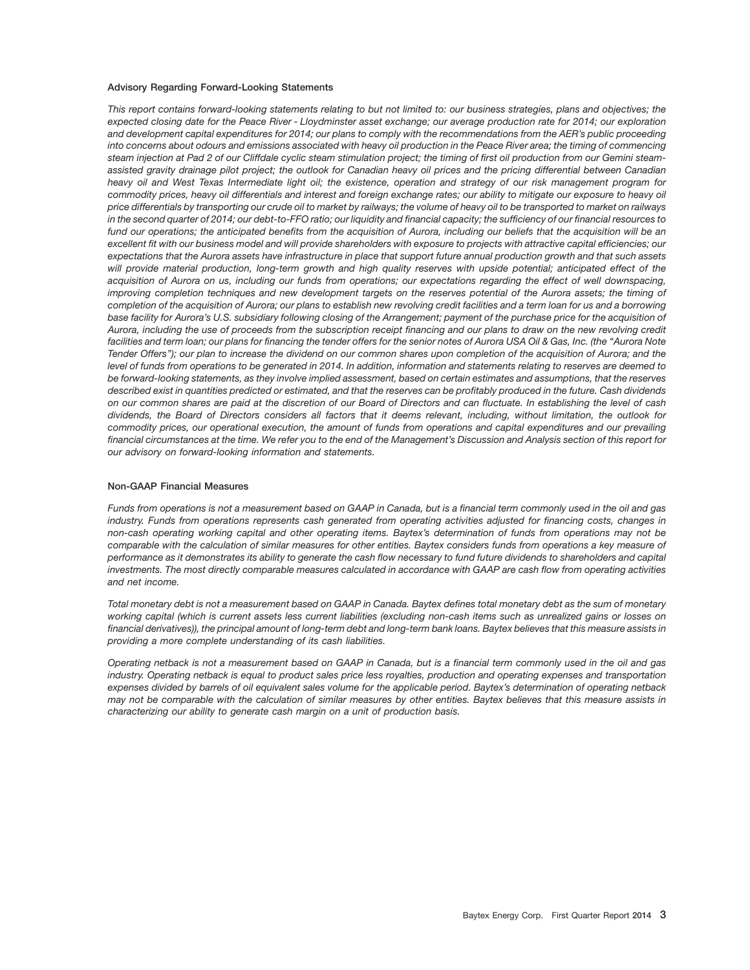#### **Advisory Regarding Forward-Looking Statements**

*This report contains forward-looking statements relating to but not limited to: our business strategies, plans and objectives; the expected closing date for the Peace River - Lloydminster asset exchange; our average production rate for 2014; our exploration and development capital expenditures for 2014; our plans to comply with the recommendations from the AER's public proceeding into concerns about odours and emissions associated with heavy oil production in the Peace River area; the timing of commencing steam injection at Pad 2 of our Cliffdale cyclic steam stimulation project; the timing of first oil production from our Gemini steamassisted gravity drainage pilot project; the outlook for Canadian heavy oil prices and the pricing differential between Canadian heavy oil and West Texas Intermediate light oil; the existence, operation and strategy of our risk management program for commodity prices, heavy oil differentials and interest and foreign exchange rates; our ability to mitigate our exposure to heavy oil price differentials by transporting our crude oil to market by railways; the volume of heavy oil to be transported to market on railways in the second quarter of 2014; our debt-to-FFO ratio; our liquidity and financial capacity; the sufficiency of our financial resources to fund our operations; the anticipated benefits from the acquisition of Aurora, including our beliefs that the acquisition will be an excellent fit with our business model and will provide shareholders with exposure to projects with attractive capital efficiencies; our expectations that the Aurora assets have infrastructure in place that support future annual production growth and that such assets will provide material production, long-term growth and high quality reserves with upside potential; anticipated effect of the acquisition of Aurora on us, including our funds from operations; our expectations regarding the effect of well downspacing, improving completion techniques and new development targets on the reserves potential of the Aurora assets; the timing of completion of the acquisition of Aurora; our plans to establish new revolving credit facilities and a term loan for us and a borrowing base facility for Aurora's U.S. subsidiary following closing of the Arrangement; payment of the purchase price for the acquisition of Aurora, including the use of proceeds from the subscription receipt financing and our plans to draw on the new revolving credit facilities and term loan; our plans for financing the tender offers for the senior notes of Aurora USA Oil & Gas, Inc. (the ''Aurora Note Tender Offers''); our plan to increase the dividend on our common shares upon completion of the acquisition of Aurora; and the level of funds from operations to be generated in 2014. In addition, information and statements relating to reserves are deemed to be forward-looking statements, as they involve implied assessment, based on certain estimates and assumptions, that the reserves described exist in quantities predicted or estimated, and that the reserves can be profitably produced in the future. Cash dividends on our common shares are paid at the discretion of our Board of Directors and can fluctuate. In establishing the level of cash dividends, the Board of Directors considers all factors that it deems relevant, including, without limitation, the outlook for commodity prices, our operational execution, the amount of funds from operations and capital expenditures and our prevailing financial circumstances at the time. We refer you to the end of the Management's Discussion and Analysis section of this report for our advisory on forward-looking information and statements.*

#### **Non-GAAP Financial Measures**

*Funds from operations is not a measurement based on GAAP in Canada, but is a financial term commonly used in the oil and gas industry. Funds from operations represents cash generated from operating activities adjusted for financing costs, changes in non-cash operating working capital and other operating items. Baytex's determination of funds from operations may not be comparable with the calculation of similar measures for other entities. Baytex considers funds from operations a key measure of performance as it demonstrates its ability to generate the cash flow necessary to fund future dividends to shareholders and capital investments. The most directly comparable measures calculated in accordance with GAAP are cash flow from operating activities and net income.*

*Total monetary debt is not a measurement based on GAAP in Canada. Baytex defines total monetary debt as the sum of monetary working capital (which is current assets less current liabilities (excluding non-cash items such as unrealized gains or losses on financial derivatives)), the principal amount of long-term debt and long-term bank loans. Baytex believes that this measure assists in providing a more complete understanding of its cash liabilities.*

*Operating netback is not a measurement based on GAAP in Canada, but is a financial term commonly used in the oil and gas industry. Operating netback is equal to product sales price less royalties, production and operating expenses and transportation expenses divided by barrels of oil equivalent sales volume for the applicable period. Baytex's determination of operating netback may not be comparable with the calculation of similar measures by other entities. Baytex believes that this measure assists in characterizing our ability to generate cash margin on a unit of production basis.*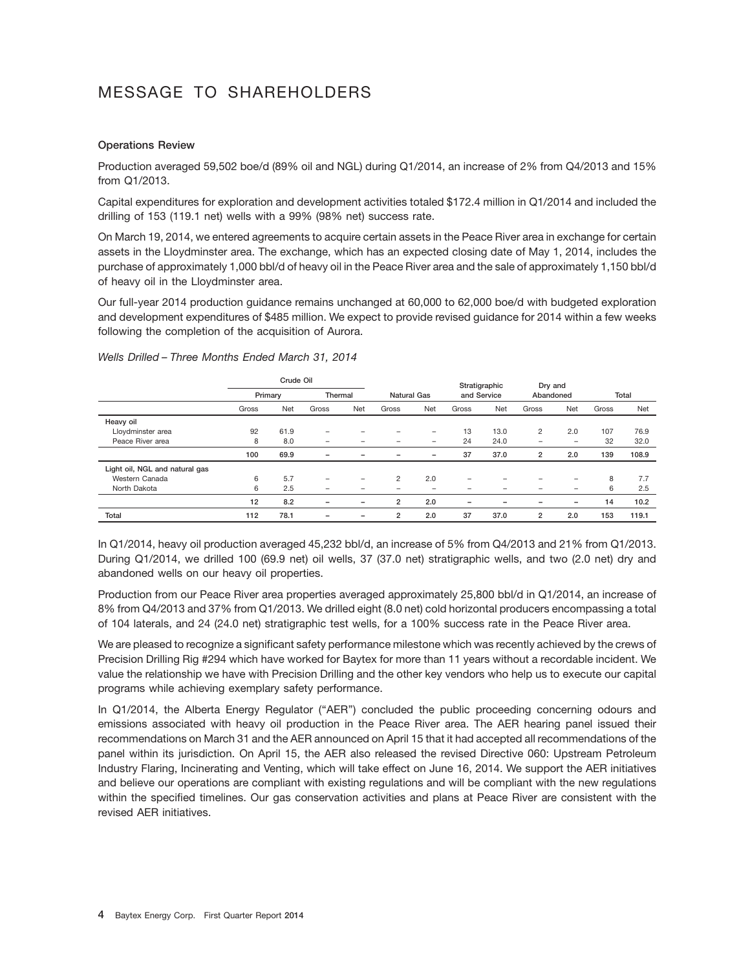# MESSAGE TO SHAREHOLDERS

### **Operations Review**

Production averaged 59,502 boe/d (89% oil and NGL) during Q1/2014, an increase of 2% from Q4/2013 and 15% from Q1/2013.

Capital expenditures for exploration and development activities totaled \$172.4 million in Q1/2014 and included the drilling of 153 (119.1 net) wells with a 99% (98% net) success rate.

On March 19, 2014, we entered agreements to acquire certain assets in the Peace River area in exchange for certain assets in the Lloydminster area. The exchange, which has an expected closing date of May 1, 2014, includes the purchase of approximately 1,000 bbl/d of heavy oil in the Peace River area and the sale of approximately 1,150 bbl/d of heavy oil in the Lloydminster area.

Our full-year 2014 production guidance remains unchanged at 60,000 to 62,000 boe/d with budgeted exploration and development expenditures of \$485 million. We expect to provide revised guidance for 2014 within a few weeks following the completion of the acquisition of Aurora.

|                                |         | Crude Oil |                              |                 |                | Stratigraphic            |                          | Dry and                  |                |     |       |           |  |       |
|--------------------------------|---------|-----------|------------------------------|-----------------|----------------|--------------------------|--------------------------|--------------------------|----------------|-----|-------|-----------|--|-------|
|                                | Primary |           |                              | Thermal         |                | <b>Natural Gas</b>       |                          | and Service              |                |     |       | Abandoned |  | Total |
|                                | Gross   | Net       | Gross                        | Net             | Gross          | Net                      | Gross                    | Net                      | Gross          | Net | Gross | Net       |  |       |
| Heavy oil                      |         |           |                              |                 |                |                          |                          |                          |                |     |       |           |  |       |
| Lloydminster area              | 92      | 61.9      | $\qquad \qquad -$            | -               |                | $\overline{\phantom{0}}$ | 13                       | 13.0                     | $\overline{2}$ | 2.0 | 107   | 76.9      |  |       |
| Peace River area               | 8       | 8.0       | $\qquad \qquad \blacksquare$ | -               |                | $\overline{\phantom{0}}$ | 24                       | 24.0                     |                | -   | 32    | 32.0      |  |       |
|                                | 100     | 69.9      | $\overline{\phantom{0}}$     | -               |                |                          | 37                       | 37.0                     | $\overline{2}$ | 2.0 | 139   | 108.9     |  |       |
| Light oil, NGL and natural gas |         |           |                              |                 |                |                          |                          |                          |                |     |       |           |  |       |
| Western Canada                 | 6       | 5.7       | $\qquad \qquad -$            | $\qquad \qquad$ | 2              | 2.0                      | -                        | -                        |                | -   | 8     | 7.7       |  |       |
| North Dakota                   | 6       | 2.5       | $\overline{\phantom{0}}$     | -               |                |                          |                          |                          |                | -   | 6     | 2.5       |  |       |
|                                | 12      | 8.2       | $\overline{\phantom{a}}$     | -               | $\overline{2}$ | 2.0                      | $\overline{\phantom{0}}$ | $\overline{\phantom{0}}$ |                | -   | 14    | 10.2      |  |       |
| Total                          | 112     | 78.1      | $\overline{\phantom{0}}$     | -               | $\overline{2}$ | 2.0                      | 37                       | 37.0                     | $\overline{2}$ | 2.0 | 153   | 119.1     |  |       |

*Wells Drilled – Three Months Ended March 31, 2014*

In Q1/2014, heavy oil production averaged 45,232 bbl/d, an increase of 5% from Q4/2013 and 21% from Q1/2013. During Q1/2014, we drilled 100 (69.9 net) oil wells, 37 (37.0 net) stratigraphic wells, and two (2.0 net) dry and abandoned wells on our heavy oil properties.

Production from our Peace River area properties averaged approximately 25,800 bbl/d in Q1/2014, an increase of 8% from Q4/2013 and 37% from Q1/2013. We drilled eight (8.0 net) cold horizontal producers encompassing a total of 104 laterals, and 24 (24.0 net) stratigraphic test wells, for a 100% success rate in the Peace River area.

We are pleased to recognize a significant safety performance milestone which was recently achieved by the crews of Precision Drilling Rig #294 which have worked for Baytex for more than 11 years without a recordable incident. We value the relationship we have with Precision Drilling and the other key vendors who help us to execute our capital programs while achieving exemplary safety performance.

In Q1/2014, the Alberta Energy Regulator ("AER") concluded the public proceeding concerning odours and emissions associated with heavy oil production in the Peace River area. The AER hearing panel issued their recommendations on March 31 and the AER announced on April 15 that it had accepted all recommendations of the panel within its jurisdiction. On April 15, the AER also released the revised Directive 060: Upstream Petroleum Industry Flaring, Incinerating and Venting, which will take effect on June 16, 2014. We support the AER initiatives and believe our operations are compliant with existing regulations and will be compliant with the new regulations within the specified timelines. Our gas conservation activities and plans at Peace River are consistent with the revised AER initiatives.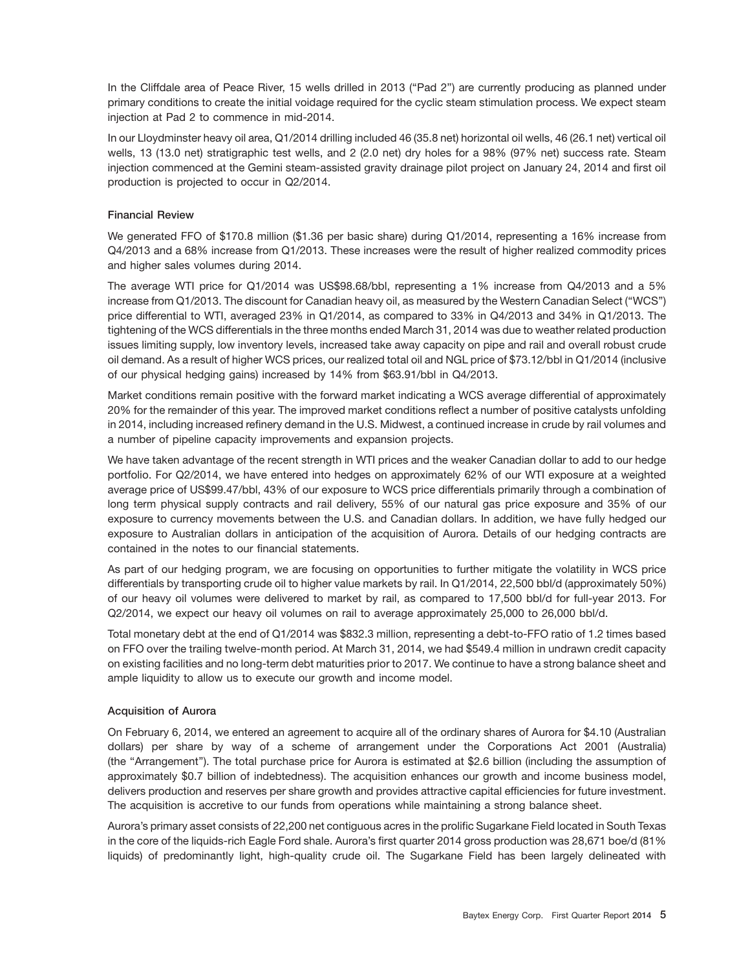In the Cliffdale area of Peace River, 15 wells drilled in 2013 ("Pad 2") are currently producing as planned under primary conditions to create the initial voidage required for the cyclic steam stimulation process. We expect steam injection at Pad 2 to commence in mid-2014.

In our Lloydminster heavy oil area, Q1/2014 drilling included 46 (35.8 net) horizontal oil wells, 46 (26.1 net) vertical oil wells, 13 (13.0 net) stratigraphic test wells, and 2 (2.0 net) dry holes for a 98% (97% net) success rate. Steam injection commenced at the Gemini steam-assisted gravity drainage pilot project on January 24, 2014 and first oil production is projected to occur in Q2/2014.

### **Financial Review**

We generated FFO of \$170.8 million (\$1.36 per basic share) during Q1/2014, representing a 16% increase from Q4/2013 and a 68% increase from Q1/2013. These increases were the result of higher realized commodity prices and higher sales volumes during 2014.

The average WTI price for Q1/2014 was US\$98.68/bbl, representing a 1% increase from Q4/2013 and a 5% increase from Q1/2013. The discount for Canadian heavy oil, as measured by the Western Canadian Select (''WCS'') price differential to WTI, averaged 23% in Q1/2014, as compared to 33% in Q4/2013 and 34% in Q1/2013. The tightening of the WCS differentials in the three months ended March 31, 2014 was due to weather related production issues limiting supply, low inventory levels, increased take away capacity on pipe and rail and overall robust crude oil demand. As a result of higher WCS prices, our realized total oil and NGL price of \$73.12/bbl in Q1/2014 (inclusive of our physical hedging gains) increased by 14% from \$63.91/bbl in Q4/2013.

Market conditions remain positive with the forward market indicating a WCS average differential of approximately 20% for the remainder of this year. The improved market conditions reflect a number of positive catalysts unfolding in 2014, including increased refinery demand in the U.S. Midwest, a continued increase in crude by rail volumes and a number of pipeline capacity improvements and expansion projects.

We have taken advantage of the recent strength in WTI prices and the weaker Canadian dollar to add to our hedge portfolio. For Q2/2014, we have entered into hedges on approximately 62% of our WTI exposure at a weighted average price of US\$99.47/bbl, 43% of our exposure to WCS price differentials primarily through a combination of long term physical supply contracts and rail delivery, 55% of our natural gas price exposure and 35% of our exposure to currency movements between the U.S. and Canadian dollars. In addition, we have fully hedged our exposure to Australian dollars in anticipation of the acquisition of Aurora. Details of our hedging contracts are contained in the notes to our financial statements.

As part of our hedging program, we are focusing on opportunities to further mitigate the volatility in WCS price differentials by transporting crude oil to higher value markets by rail. In Q1/2014, 22,500 bbl/d (approximately 50%) of our heavy oil volumes were delivered to market by rail, as compared to 17,500 bbl/d for full-year 2013. For Q2/2014, we expect our heavy oil volumes on rail to average approximately 25,000 to 26,000 bbl/d.

Total monetary debt at the end of Q1/2014 was \$832.3 million, representing a debt-to-FFO ratio of 1.2 times based on FFO over the trailing twelve-month period. At March 31, 2014, we had \$549.4 million in undrawn credit capacity on existing facilities and no long-term debt maturities prior to 2017. We continue to have a strong balance sheet and ample liquidity to allow us to execute our growth and income model.

### **Acquisition of Aurora**

On February 6, 2014, we entered an agreement to acquire all of the ordinary shares of Aurora for \$4.10 (Australian dollars) per share by way of a scheme of arrangement under the Corporations Act 2001 (Australia) (the ''Arrangement''). The total purchase price for Aurora is estimated at \$2.6 billion (including the assumption of approximately \$0.7 billion of indebtedness). The acquisition enhances our growth and income business model, delivers production and reserves per share growth and provides attractive capital efficiencies for future investment. The acquisition is accretive to our funds from operations while maintaining a strong balance sheet.

Aurora's primary asset consists of 22,200 net contiguous acres in the prolific Sugarkane Field located in South Texas in the core of the liquids-rich Eagle Ford shale. Aurora's first quarter 2014 gross production was 28,671 boe/d (81% liquids) of predominantly light, high-quality crude oil. The Sugarkane Field has been largely delineated with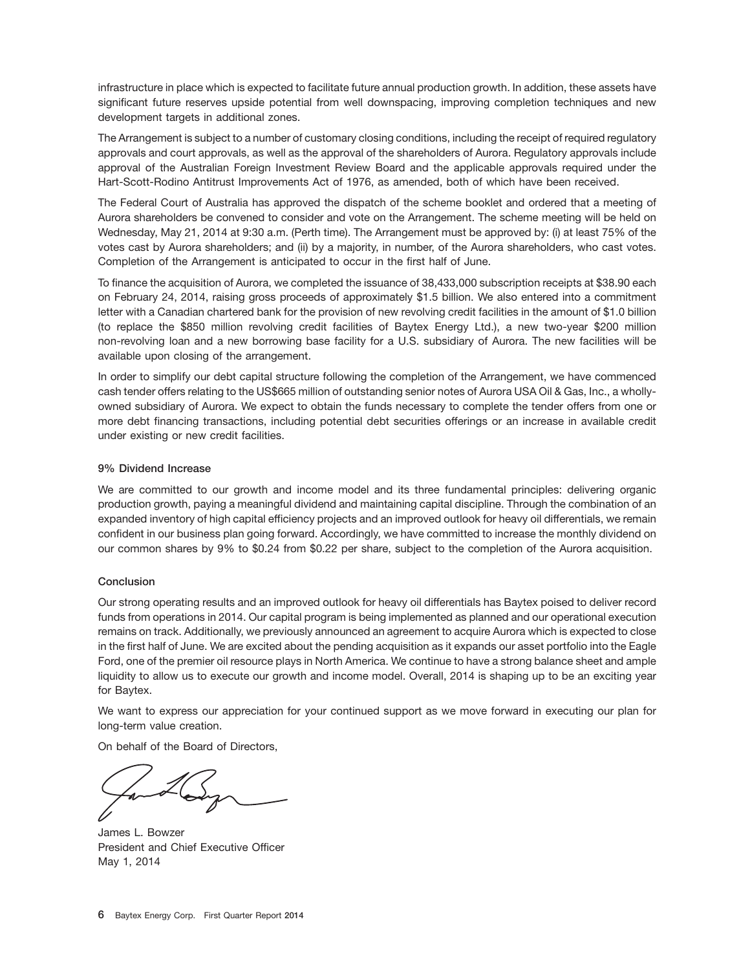infrastructure in place which is expected to facilitate future annual production growth. In addition, these assets have significant future reserves upside potential from well downspacing, improving completion techniques and new development targets in additional zones.

The Arrangement is subject to a number of customary closing conditions, including the receipt of required regulatory approvals and court approvals, as well as the approval of the shareholders of Aurora. Regulatory approvals include approval of the Australian Foreign Investment Review Board and the applicable approvals required under the Hart-Scott-Rodino Antitrust Improvements Act of 1976, as amended, both of which have been received.

The Federal Court of Australia has approved the dispatch of the scheme booklet and ordered that a meeting of Aurora shareholders be convened to consider and vote on the Arrangement. The scheme meeting will be held on Wednesday, May 21, 2014 at 9:30 a.m. (Perth time). The Arrangement must be approved by: (i) at least 75% of the votes cast by Aurora shareholders; and (ii) by a majority, in number, of the Aurora shareholders, who cast votes. Completion of the Arrangement is anticipated to occur in the first half of June.

To finance the acquisition of Aurora, we completed the issuance of 38,433,000 subscription receipts at \$38.90 each on February 24, 2014, raising gross proceeds of approximately \$1.5 billion. We also entered into a commitment letter with a Canadian chartered bank for the provision of new revolving credit facilities in the amount of \$1.0 billion (to replace the \$850 million revolving credit facilities of Baytex Energy Ltd.), a new two-year \$200 million non-revolving loan and a new borrowing base facility for a U.S. subsidiary of Aurora. The new facilities will be available upon closing of the arrangement.

In order to simplify our debt capital structure following the completion of the Arrangement, we have commenced cash tender offers relating to the US\$665 million of outstanding senior notes of Aurora USA Oil & Gas, Inc., a whollyowned subsidiary of Aurora. We expect to obtain the funds necessary to complete the tender offers from one or more debt financing transactions, including potential debt securities offerings or an increase in available credit under existing or new credit facilities.

### **9% Dividend Increase**

We are committed to our growth and income model and its three fundamental principles: delivering organic production growth, paying a meaningful dividend and maintaining capital discipline. Through the combination of an expanded inventory of high capital efficiency projects and an improved outlook for heavy oil differentials, we remain confident in our business plan going forward. Accordingly, we have committed to increase the monthly dividend on our common shares by 9% to \$0.24 from \$0.22 per share, subject to the completion of the Aurora acquisition.

### **Conclusion**

Our strong operating results and an improved outlook for heavy oil differentials has Baytex poised to deliver record funds from operations in 2014. Our capital program is being implemented as planned and our operational execution remains on track. Additionally, we previously announced an agreement to acquire Aurora which is expected to close in the first half of June. We are excited about the pending acquisition as it expands our asset portfolio into the Eagle Ford, one of the premier oil resource plays in North America. We continue to have a strong balance sheet and ample liquidity to allow us to execute our growth and income model. Overall, 2014 is shaping up to be an exciting year for Baytex.

We want to express our appreciation for your continued support as we move forward in executing our plan for long-term value creation.

On behalf of the Board of Directors,

James L. Bowzer President and Chief Executive Officer May 1, 2014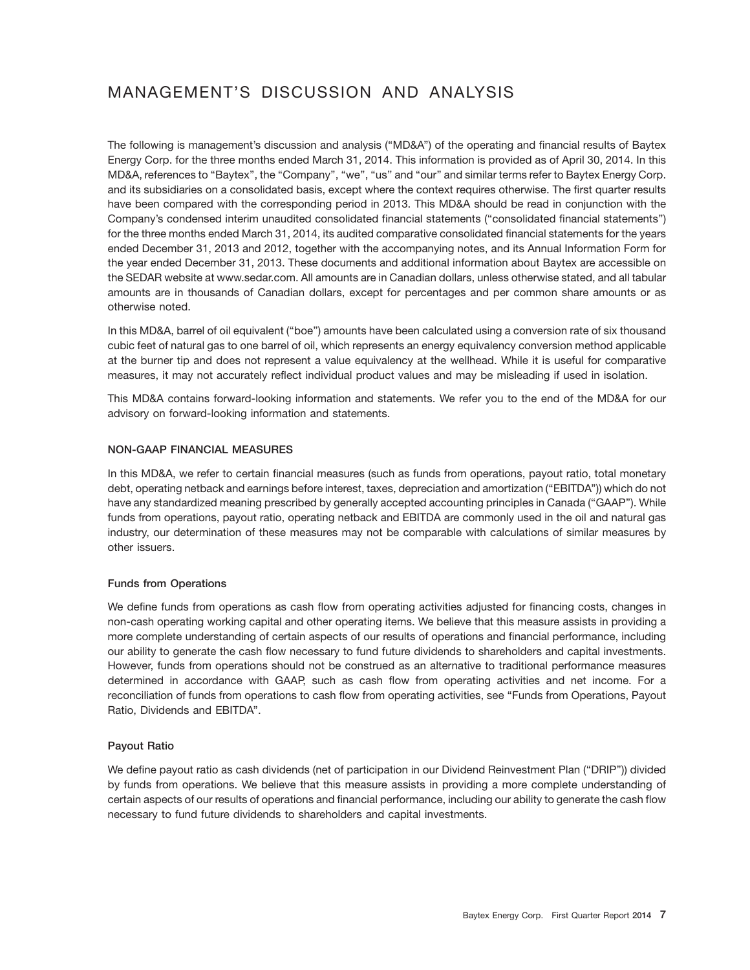# MANAGEMENT'S DISCUSSION AND ANALYSIS

The following is management's discussion and analysis (''MD&A'') of the operating and financial results of Baytex Energy Corp. for the three months ended March 31, 2014. This information is provided as of April 30, 2014. In this MD&A, references to ''Baytex'', the ''Company'', ''we'', ''us'' and ''our'' and similar terms refer to Baytex Energy Corp. and its subsidiaries on a consolidated basis, except where the context requires otherwise. The first quarter results have been compared with the corresponding period in 2013. This MD&A should be read in conjunction with the Company's condensed interim unaudited consolidated financial statements (''consolidated financial statements'') for the three months ended March 31, 2014, its audited comparative consolidated financial statements for the years ended December 31, 2013 and 2012, together with the accompanying notes, and its Annual Information Form for the year ended December 31, 2013. These documents and additional information about Baytex are accessible on the SEDAR website at www.sedar.com. All amounts are in Canadian dollars, unless otherwise stated, and all tabular amounts are in thousands of Canadian dollars, except for percentages and per common share amounts or as otherwise noted.

In this MD&A, barrel of oil equivalent (''boe'') amounts have been calculated using a conversion rate of six thousand cubic feet of natural gas to one barrel of oil, which represents an energy equivalency conversion method applicable at the burner tip and does not represent a value equivalency at the wellhead. While it is useful for comparative measures, it may not accurately reflect individual product values and may be misleading if used in isolation.

This MD&A contains forward-looking information and statements. We refer you to the end of the MD&A for our advisory on forward-looking information and statements.

### **NON-GAAP FINANCIAL MEASURES**

In this MD&A, we refer to certain financial measures (such as funds from operations, payout ratio, total monetary debt, operating netback and earnings before interest, taxes, depreciation and amortization (''EBITDA'')) which do not have any standardized meaning prescribed by generally accepted accounting principles in Canada ("GAAP"). While funds from operations, payout ratio, operating netback and EBITDA are commonly used in the oil and natural gas industry, our determination of these measures may not be comparable with calculations of similar measures by other issuers.

### **Funds from Operations**

We define funds from operations as cash flow from operating activities adjusted for financing costs, changes in non-cash operating working capital and other operating items. We believe that this measure assists in providing a more complete understanding of certain aspects of our results of operations and financial performance, including our ability to generate the cash flow necessary to fund future dividends to shareholders and capital investments. However, funds from operations should not be construed as an alternative to traditional performance measures determined in accordance with GAAP, such as cash flow from operating activities and net income. For a reconciliation of funds from operations to cash flow from operating activities, see ''Funds from Operations, Payout Ratio, Dividends and EBITDA''.

### **Payout Ratio**

We define payout ratio as cash dividends (net of participation in our Dividend Reinvestment Plan (''DRIP'')) divided by funds from operations. We believe that this measure assists in providing a more complete understanding of certain aspects of our results of operations and financial performance, including our ability to generate the cash flow necessary to fund future dividends to shareholders and capital investments.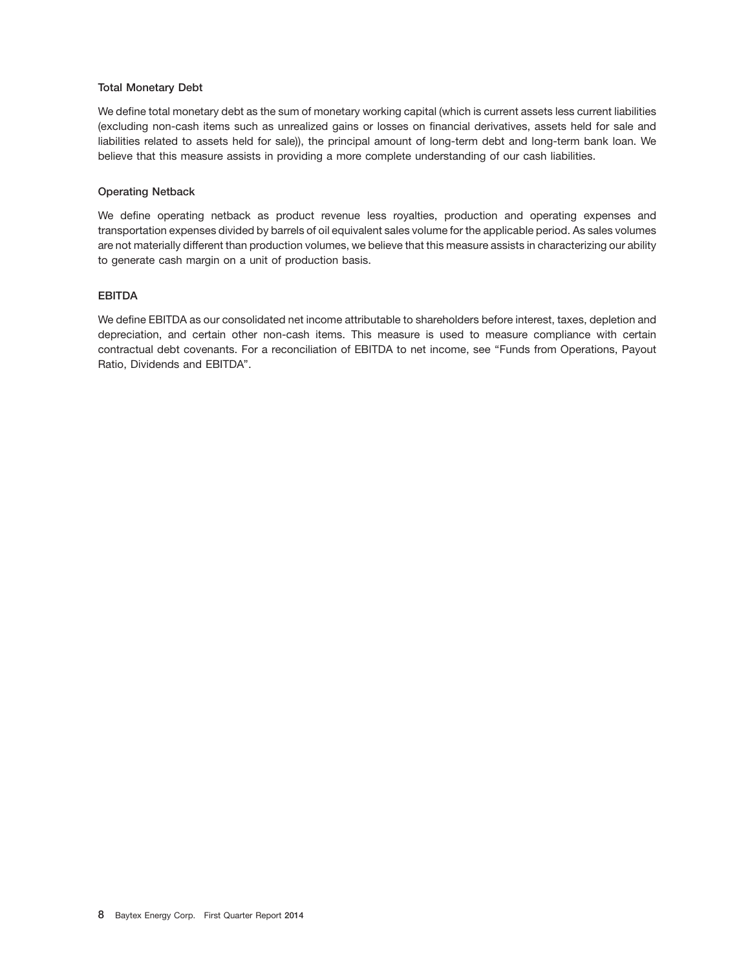### **Total Monetary Debt**

We define total monetary debt as the sum of monetary working capital (which is current assets less current liabilities (excluding non-cash items such as unrealized gains or losses on financial derivatives, assets held for sale and liabilities related to assets held for sale)), the principal amount of long-term debt and long-term bank loan. We believe that this measure assists in providing a more complete understanding of our cash liabilities.

### **Operating Netback**

We define operating netback as product revenue less royalties, production and operating expenses and transportation expenses divided by barrels of oil equivalent sales volume for the applicable period. As sales volumes are not materially different than production volumes, we believe that this measure assists in characterizing our ability to generate cash margin on a unit of production basis.

### **EBITDA**

We define EBITDA as our consolidated net income attributable to shareholders before interest, taxes, depletion and depreciation, and certain other non-cash items. This measure is used to measure compliance with certain contractual debt covenants. For a reconciliation of EBITDA to net income, see "Funds from Operations, Payout Ratio, Dividends and EBITDA''.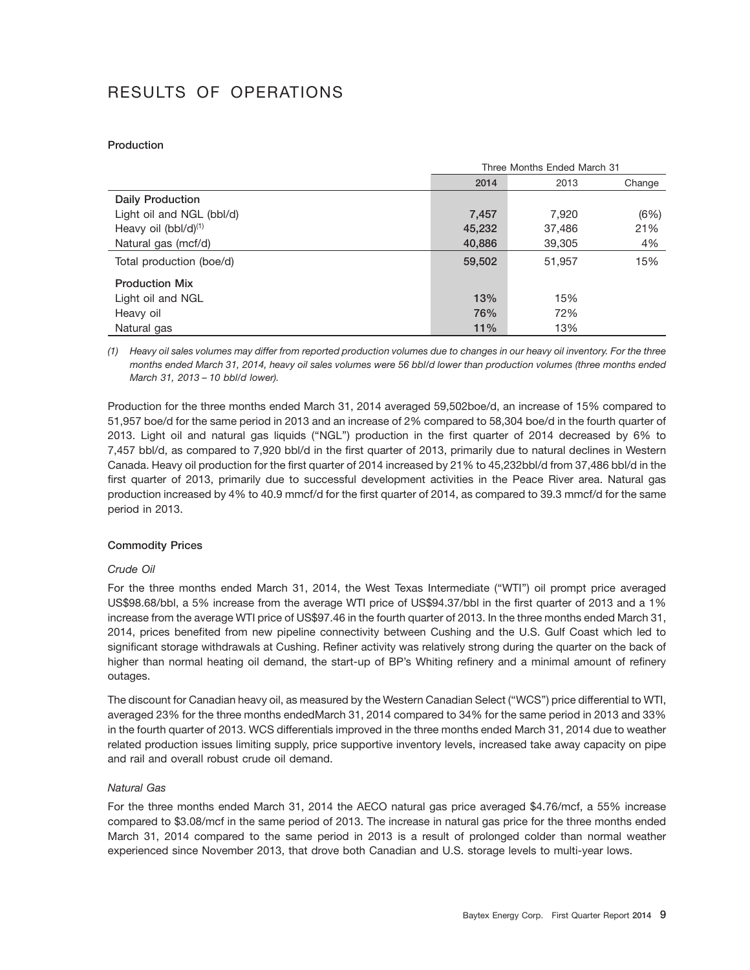# RESULTS OF OPERATIONS

### **Production**

|                                  | Three Months Ended March 31 |        |      |  |  |  |
|----------------------------------|-----------------------------|--------|------|--|--|--|
|                                  | 2014                        | Change |      |  |  |  |
| <b>Daily Production</b>          |                             |        |      |  |  |  |
| Light oil and NGL (bbl/d)        | 7,457                       | 7,920  | (6%) |  |  |  |
| Heavy oil (bbl/d) <sup>(1)</sup> | 45,232                      | 37,486 | 21%  |  |  |  |
| Natural gas (mcf/d)              | 40,886                      | 39,305 | 4%   |  |  |  |
| Total production (boe/d)         | 59,502                      | 51,957 | 15%  |  |  |  |
| <b>Production Mix</b>            |                             |        |      |  |  |  |
| Light oil and NGL                | 13%                         | 15%    |      |  |  |  |
| Heavy oil                        | 76%                         | 72%    |      |  |  |  |
| Natural gas                      | 11%                         | 13%    |      |  |  |  |

*(1) Heavy oil sales volumes may differ from reported production volumes due to changes in our heavy oil inventory. For the three months ended March 31, 2014, heavy oil sales volumes were 56 bbl/d lower than production volumes (three months ended March 31, 2013 – 10 bbl/d lower).*

Production for the three months ended March 31, 2014 averaged 59,502boe/d, an increase of 15% compared to 51,957 boe/d for the same period in 2013 and an increase of 2% compared to 58,304 boe/d in the fourth quarter of 2013. Light oil and natural gas liquids (''NGL'') production in the first quarter of 2014 decreased by 6% to 7,457 bbl/d, as compared to 7,920 bbl/d in the first quarter of 2013, primarily due to natural declines in Western Canada. Heavy oil production for the first quarter of 2014 increased by 21% to 45,232bbl/d from 37,486 bbl/d in the first quarter of 2013, primarily due to successful development activities in the Peace River area. Natural gas production increased by 4% to 40.9 mmcf/d for the first quarter of 2014, as compared to 39.3 mmcf/d for the same period in 2013.

### **Commodity Prices**

### *Crude Oil*

For the three months ended March 31, 2014, the West Texas Intermediate (''WTI'') oil prompt price averaged US\$98.68/bbl, a 5% increase from the average WTI price of US\$94.37/bbl in the first quarter of 2013 and a 1% increase from the average WTI price of US\$97.46 in the fourth quarter of 2013. In the three months ended March 31, 2014, prices benefited from new pipeline connectivity between Cushing and the U.S. Gulf Coast which led to significant storage withdrawals at Cushing. Refiner activity was relatively strong during the quarter on the back of higher than normal heating oil demand, the start-up of BP's Whiting refinery and a minimal amount of refinery outages.

The discount for Canadian heavy oil, as measured by the Western Canadian Select (''WCS'') price differential to WTI, averaged 23% for the three months endedMarch 31, 2014 compared to 34% for the same period in 2013 and 33% in the fourth quarter of 2013. WCS differentials improved in the three months ended March 31, 2014 due to weather related production issues limiting supply, price supportive inventory levels, increased take away capacity on pipe and rail and overall robust crude oil demand.

### *Natural Gas*

For the three months ended March 31, 2014 the AECO natural gas price averaged \$4.76/mcf, a 55% increase compared to \$3.08/mcf in the same period of 2013. The increase in natural gas price for the three months ended March 31, 2014 compared to the same period in 2013 is a result of prolonged colder than normal weather experienced since November 2013, that drove both Canadian and U.S. storage levels to multi-year lows.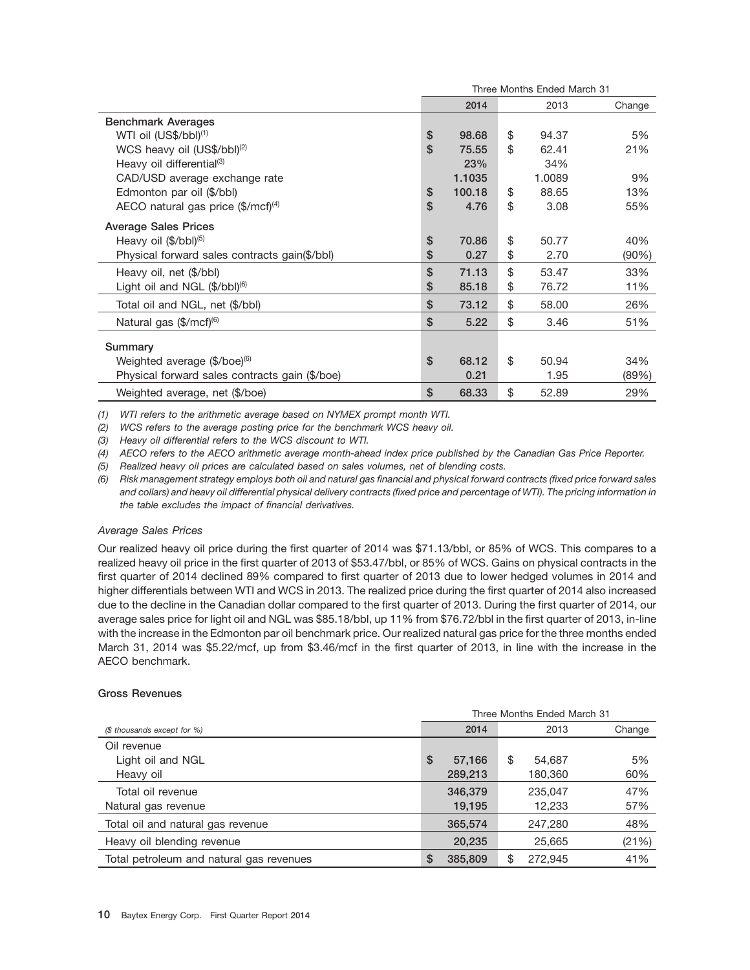|                                                      | Three Months Ended March 31 |        |    |        |          |  |  |  |
|------------------------------------------------------|-----------------------------|--------|----|--------|----------|--|--|--|
|                                                      |                             | 2014   |    | 2013   | Change   |  |  |  |
| <b>Benchmark Averages</b>                            |                             |        |    |        |          |  |  |  |
| WTI oil (US\$/bbl) <sup>(1)</sup>                    | \$                          | 98.68  | \$ | 94.37  | 5%       |  |  |  |
| WCS heavy oil (US\$/bbl) <sup>(2)</sup>              | \$                          | 75.55  | \$ | 62.41  | 21%      |  |  |  |
| Heavy oil differential <sup>(3)</sup>                |                             | 23%    |    | 34%    |          |  |  |  |
| CAD/USD average exchange rate                        |                             | 1.1035 |    | 1.0089 | 9%       |  |  |  |
| Edmonton par oil (\$/bbl)                            | \$                          | 100.18 | \$ | 88.65  | 13%      |  |  |  |
| AECO natural gas price $(\frac{4}{2})$ mcf $)^{(4)}$ | \$                          | 4.76   | \$ | 3.08   | 55%      |  |  |  |
| <b>Average Sales Prices</b>                          |                             |        |    |        |          |  |  |  |
| Heavy oil (\$/bbl) <sup>(5)</sup>                    | \$                          | 70.86  | \$ | 50.77  | 40%      |  |  |  |
| Physical forward sales contracts gain(\$/bbl)        | \$                          | 0.27   | \$ | 2.70   | $(90\%)$ |  |  |  |
| Heavy oil, net (\$/bbl)                              | \$                          | 71.13  | \$ | 53.47  | 33%      |  |  |  |
| Light oil and NGL $(\frac{6}{b})^{(6)}$              | \$                          | 85.18  | \$ | 76.72  | 11%      |  |  |  |
| Total oil and NGL, net (\$/bbl)                      | \$                          | 73.12  | \$ | 58.00  | 26%      |  |  |  |
| Natural gas $(\frac{6}{\text{mod}})^{(6)}$           | \$                          | 5.22   | \$ | 3.46   | 51%      |  |  |  |
| Summary                                              |                             |        |    |        |          |  |  |  |
|                                                      | \$                          |        | \$ |        |          |  |  |  |
| Weighted average (\$/boe) <sup>(6)</sup>             |                             | 68.12  |    | 50.94  | 34%      |  |  |  |
| Physical forward sales contracts gain (\$/boe)       |                             | 0.21   |    | 1.95   | (89%)    |  |  |  |
| Weighted average, net (\$/boe)                       | \$                          | 68.33  | \$ | 52.89  | 29%      |  |  |  |

*(1) WTI refers to the arithmetic average based on NYMEX prompt month WTI.*

*(2) WCS refers to the average posting price for the benchmark WCS heavy oil.*

*(3) Heavy oil differential refers to the WCS discount to WTI.*

*(4) AECO refers to the AECO arithmetic average month-ahead index price published by the Canadian Gas Price Reporter.*

*(5) Realized heavy oil prices are calculated based on sales volumes, net of blending costs.*

*(6) Risk management strategy employs both oil and natural gas financial and physical forward contracts (fixed price forward sales and collars) and heavy oil differential physical delivery contracts (fixed price and percentage of WTI). The pricing information in the table excludes the impact of financial derivatives.*

### *Average Sales Prices*

Our realized heavy oil price during the first quarter of 2014 was \$71.13/bbl, or 85% of WCS. This compares to a realized heavy oil price in the first quarter of 2013 of \$53.47/bbl, or 85% of WCS. Gains on physical contracts in the first quarter of 2014 declined 89% compared to first quarter of 2013 due to lower hedged volumes in 2014 and higher differentials between WTI and WCS in 2013. The realized price during the first quarter of 2014 also increased due to the decline in the Canadian dollar compared to the first quarter of 2013. During the first quarter of 2014, our average sales price for light oil and NGL was \$85.18/bbl, up 11% from \$76.72/bbl in the first quarter of 2013, in-line with the increase in the Edmonton par oil benchmark price. Our realized natural gas price for the three months ended March 31, 2014 was \$5.22/mcf, up from \$3.46/mcf in the first quarter of 2013, in line with the increase in the AECO benchmark.

### **Gross Revenues**

|                                          | Three Months Ended March 31 |         |   |         |        |  |  |
|------------------------------------------|-----------------------------|---------|---|---------|--------|--|--|
| (\$ thousands except for %)              |                             | 2014    |   | 2013    | Change |  |  |
| Oil revenue                              |                             |         |   |         |        |  |  |
| Light oil and NGL                        | \$                          | 57.166  | S | 54.687  | 5%     |  |  |
| Heavy oil                                |                             | 289,213 |   | 180,360 | 60%    |  |  |
| Total oil revenue                        |                             | 346,379 |   | 235,047 | 47%    |  |  |
| Natural gas revenue                      |                             | 19,195  |   | 12,233  | 57%    |  |  |
| Total oil and natural gas revenue        |                             | 365,574 |   | 247,280 | 48%    |  |  |
| Heavy oil blending revenue               |                             | 20,235  |   | 25,665  | (21%)  |  |  |
| Total petroleum and natural gas revenues | \$                          | 385,809 |   | 272.945 | 41%    |  |  |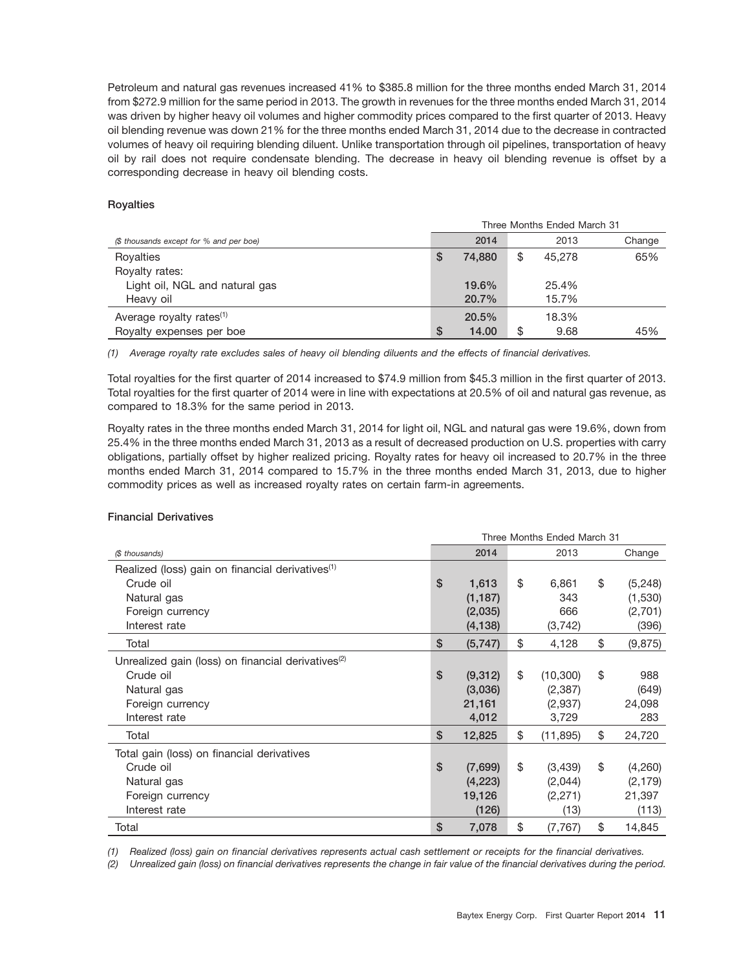Petroleum and natural gas revenues increased 41% to \$385.8 million for the three months ended March 31, 2014 from \$272.9 million for the same period in 2013. The growth in revenues for the three months ended March 31, 2014 was driven by higher heavy oil volumes and higher commodity prices compared to the first quarter of 2013. Heavy oil blending revenue was down 21% for the three months ended March 31, 2014 due to the decrease in contracted volumes of heavy oil requiring blending diluent. Unlike transportation through oil pipelines, transportation of heavy oil by rail does not require condensate blending. The decrease in heavy oil blending revenue is offset by a corresponding decrease in heavy oil blending costs.

### **Royalties**

|                                         | Three Months Ended March 31 |        |    |        |        |  |  |  |
|-----------------------------------------|-----------------------------|--------|----|--------|--------|--|--|--|
| (\$ thousands except for % and per boe) |                             | 2014   |    | 2013   | Change |  |  |  |
| Royalties                               | S                           | 74,880 | \$ | 45,278 | 65%    |  |  |  |
| Royalty rates:                          |                             |        |    |        |        |  |  |  |
| Light oil, NGL and natural gas          |                             | 19.6%  |    | 25.4%  |        |  |  |  |
| Heavy oil                               |                             | 20.7%  |    | 15.7%  |        |  |  |  |
| Average royalty rates <sup>(1)</sup>    |                             | 20.5%  |    | 18.3%  |        |  |  |  |
| Royalty expenses per boe                | S                           | 14.00  | \$ | 9.68   | 45%    |  |  |  |

*(1) Average royalty rate excludes sales of heavy oil blending diluents and the effects of financial derivatives.*

Total royalties for the first quarter of 2014 increased to \$74.9 million from \$45.3 million in the first quarter of 2013. Total royalties for the first quarter of 2014 were in line with expectations at 20.5% of oil and natural gas revenue, as compared to 18.3% for the same period in 2013.

Royalty rates in the three months ended March 31, 2014 for light oil, NGL and natural gas were 19.6%, down from 25.4% in the three months ended March 31, 2013 as a result of decreased production on U.S. properties with carry obligations, partially offset by higher realized pricing. Royalty rates for heavy oil increased to 20.7% in the three months ended March 31, 2014 compared to 15.7% in the three months ended March 31, 2013, due to higher commodity prices as well as increased royalty rates on certain farm-in agreements.

### **Financial Derivatives**

|                                                                | Three Months Ended March 31 |          |    |           |    |          |  |  |
|----------------------------------------------------------------|-----------------------------|----------|----|-----------|----|----------|--|--|
| (\$ thousands)                                                 |                             | 2014     |    | 2013      |    | Change   |  |  |
| Realized (loss) gain on financial derivatives <sup>(1)</sup>   |                             |          |    |           |    |          |  |  |
| Crude oil                                                      | \$                          | 1,613    | \$ | 6,861     | \$ | (5, 248) |  |  |
| Natural gas                                                    |                             | (1, 187) |    | 343       |    | (1,530)  |  |  |
| Foreign currency                                               |                             | (2,035)  |    | 666       |    | (2,701)  |  |  |
| Interest rate                                                  |                             | (4, 138) |    | (3, 742)  |    | (396)    |  |  |
| Total                                                          | \$                          | (5,747)  | \$ | 4,128     | \$ | (9, 875) |  |  |
| Unrealized gain (loss) on financial derivatives <sup>(2)</sup> |                             |          |    |           |    |          |  |  |
| Crude oil                                                      | \$                          | (9,312)  | \$ | (10, 300) | \$ | 988      |  |  |
| Natural gas                                                    |                             | (3,036)  |    | (2, 387)  |    | (649)    |  |  |
| Foreign currency                                               |                             | 21,161   |    | (2,937)   |    | 24,098   |  |  |
| Interest rate                                                  |                             | 4,012    |    | 3,729     |    | 283      |  |  |
| Total                                                          | \$                          | 12,825   | \$ | (11, 895) | \$ | 24,720   |  |  |
| Total gain (loss) on financial derivatives                     |                             |          |    |           |    |          |  |  |
| Crude oil                                                      | \$                          | (7,699)  | \$ | (3,439)   | \$ | (4,260)  |  |  |
| Natural gas                                                    |                             | (4,223)  |    | (2,044)   |    | (2, 179) |  |  |
| Foreign currency                                               |                             | 19,126   |    | (2,271)   |    | 21,397   |  |  |
| Interest rate                                                  |                             | (126)    |    | (13)      |    | (113)    |  |  |
| Total                                                          | \$                          | 7,078    | \$ | (7, 767)  | \$ | 14,845   |  |  |

*(1) Realized (loss) gain on financial derivatives represents actual cash settlement or receipts for the financial derivatives.*

*(2) Unrealized gain (loss) on financial derivatives represents the change in fair value of the financial derivatives during the period.*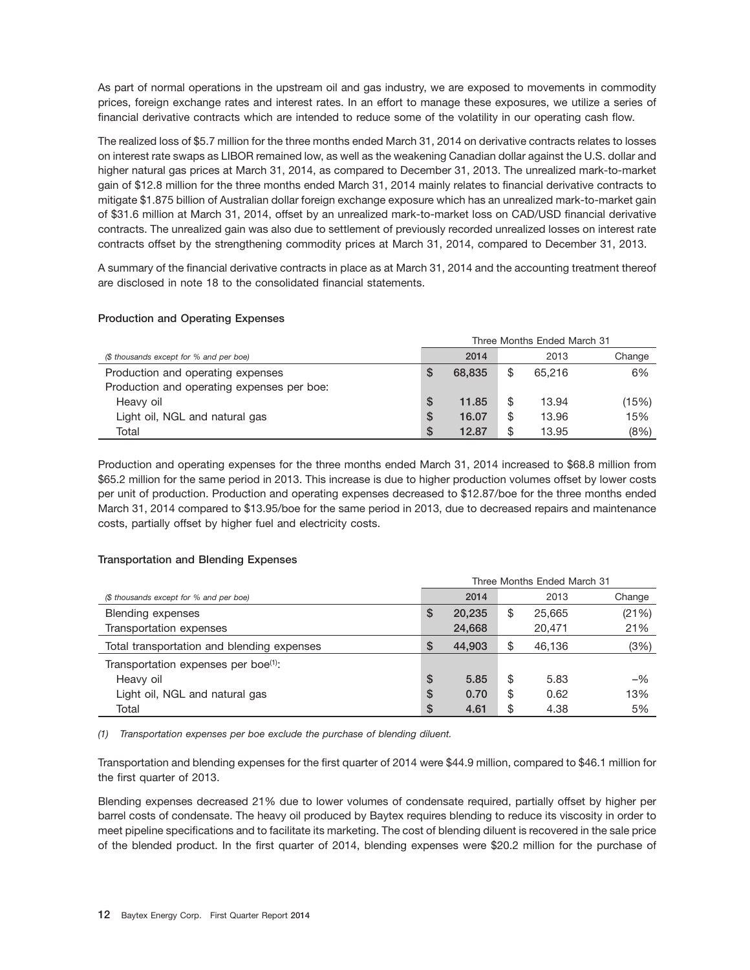As part of normal operations in the upstream oil and gas industry, we are exposed to movements in commodity prices, foreign exchange rates and interest rates. In an effort to manage these exposures, we utilize a series of financial derivative contracts which are intended to reduce some of the volatility in our operating cash flow.

The realized loss of \$5.7 million for the three months ended March 31, 2014 on derivative contracts relates to losses on interest rate swaps as LIBOR remained low, as well as the weakening Canadian dollar against the U.S. dollar and higher natural gas prices at March 31, 2014, as compared to December 31, 2013. The unrealized mark-to-market gain of \$12.8 million for the three months ended March 31, 2014 mainly relates to financial derivative contracts to mitigate \$1.875 billion of Australian dollar foreign exchange exposure which has an unrealized mark-to-market gain of \$31.6 million at March 31, 2014, offset by an unrealized mark-to-market loss on CAD/USD financial derivative contracts. The unrealized gain was also due to settlement of previously recorded unrealized losses on interest rate contracts offset by the strengthening commodity prices at March 31, 2014, compared to December 31, 2013.

A summary of the financial derivative contracts in place as at March 31, 2014 and the accounting treatment thereof are disclosed in note 18 to the consolidated financial statements.

### **Production and Operating Expenses**

|                                            | Three Months Ended March 31 |        |    |        |        |  |  |
|--------------------------------------------|-----------------------------|--------|----|--------|--------|--|--|
| (\$ thousands except for % and per boe)    |                             | 2014   |    | 2013   | Change |  |  |
| Production and operating expenses          | S                           | 68.835 |    | 65.216 | 6%     |  |  |
| Production and operating expenses per boe: |                             |        |    |        |        |  |  |
| Heavy oil                                  | \$                          | 11.85  |    | 13.94  | (15%)  |  |  |
| Light oil, NGL and natural gas             | S                           | 16.07  | አ. | 13.96  | 15%    |  |  |
| Total                                      | \$                          | 12.87  |    | 13.95  | (8%)   |  |  |

Production and operating expenses for the three months ended March 31, 2014 increased to \$68.8 million from \$65.2 million for the same period in 2013. This increase is due to higher production volumes offset by lower costs per unit of production. Production and operating expenses decreased to \$12.87/boe for the three months ended March 31, 2014 compared to \$13.95/boe for the same period in 2013, due to decreased repairs and maintenance costs, partially offset by higher fuel and electricity costs.

### **Transportation and Blending Expenses**

|                                                  | Three Months Ended March 31 |        |   |        |        |  |  |
|--------------------------------------------------|-----------------------------|--------|---|--------|--------|--|--|
| (\$ thousands except for % and per boe)          |                             | 2014   |   | 2013   | Change |  |  |
| <b>Blending expenses</b>                         | \$                          | 20.235 | S | 25,665 | (21%)  |  |  |
| Transportation expenses                          |                             | 24,668 |   | 20.471 | 21%    |  |  |
| Total transportation and blending expenses       | \$                          | 44.903 | S | 46.136 | (3%)   |  |  |
| Transportation expenses per boe <sup>(1)</sup> : |                             |        |   |        |        |  |  |
| Heavy oil                                        | \$                          | 5.85   | S | 5.83   | $-$ %  |  |  |
| Light oil, NGL and natural gas                   | \$                          | 0.70   | S | 0.62   | 13%    |  |  |
| Total                                            | \$                          | 4.61   | S | 4.38   | 5%     |  |  |

 $T_{\rm eff}$  Three Months Ended March 311  $\mu$ 

*(1) Transportation expenses per boe exclude the purchase of blending diluent.*

Transportation and blending expenses for the first quarter of 2014 were \$44.9 million, compared to \$46.1 million for the first quarter of 2013.

Blending expenses decreased 21% due to lower volumes of condensate required, partially offset by higher per barrel costs of condensate. The heavy oil produced by Baytex requires blending to reduce its viscosity in order to meet pipeline specifications and to facilitate its marketing. The cost of blending diluent is recovered in the sale price of the blended product. In the first quarter of 2014, blending expenses were \$20.2 million for the purchase of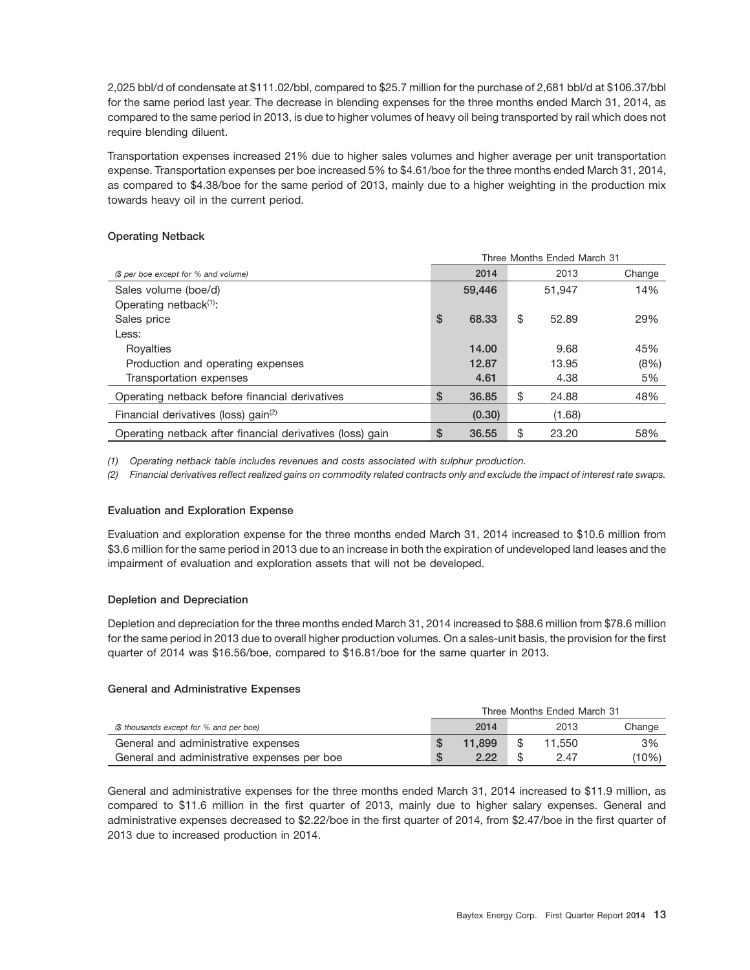2,025 bbl/d of condensate at \$111.02/bbl, compared to \$25.7 million for the purchase of 2,681 bbl/d at \$106.37/bbl for the same period last year. The decrease in blending expenses for the three months ended March 31, 2014, as compared to the same period in 2013, is due to higher volumes of heavy oil being transported by rail which does not require blending diluent.

Transportation expenses increased 21% due to higher sales volumes and higher average per unit transportation expense. Transportation expenses per boe increased 5% to \$4.61/boe for the three months ended March 31, 2014, as compared to \$4.38/boe for the same period of 2013, mainly due to a higher weighting in the production mix towards heavy oil in the current period.

### **Operating Netback**

|                                                           | Three Months Ended March 31 |        |    |        |        |  |  |  |
|-----------------------------------------------------------|-----------------------------|--------|----|--------|--------|--|--|--|
| (\$ per boe except for % and volume)                      |                             | 2014   |    | 2013   | Change |  |  |  |
| Sales volume (boe/d)                                      |                             | 59,446 |    | 51,947 | 14%    |  |  |  |
| Operating netback <sup>(1)</sup> :                        |                             |        |    |        |        |  |  |  |
| Sales price                                               | \$                          | 68.33  | \$ | 52.89  | 29%    |  |  |  |
| Less:                                                     |                             |        |    |        |        |  |  |  |
| Royalties                                                 |                             | 14.00  |    | 9.68   | 45%    |  |  |  |
| Production and operating expenses                         |                             | 12.87  |    | 13.95  | (8%)   |  |  |  |
| Transportation expenses                                   |                             | 4.61   |    | 4.38   | 5%     |  |  |  |
| Operating netback before financial derivatives            | \$                          | 36.85  | \$ | 24.88  | 48%    |  |  |  |
| Financial derivatives (loss) gain <sup>(2)</sup>          |                             | (0.30) |    | (1.68) |        |  |  |  |
| Operating netback after financial derivatives (loss) gain | \$                          | 36.55  | \$ | 23.20  | 58%    |  |  |  |

*(1) Operating netback table includes revenues and costs associated with sulphur production.*

*(2) Financial derivatives reflect realized gains on commodity related contracts only and exclude the impact of interest rate swaps.*

### **Evaluation and Exploration Expense**

Evaluation and exploration expense for the three months ended March 31, 2014 increased to \$10.6 million from \$3.6 million for the same period in 2013 due to an increase in both the expiration of undeveloped land leases and the impairment of evaluation and exploration assets that will not be developed.

### **Depletion and Depreciation**

Depletion and depreciation for the three months ended March 31, 2014 increased to \$88.6 million from \$78.6 million for the same period in 2013 due to overall higher production volumes. On a sales-unit basis, the provision for the first quarter of 2014 was \$16.56/boe, compared to \$16.81/boe for the same quarter in 2013.

### **General and Administrative Expenses**

|                                             | Three Months Ended March 31 |        |  |        |        |  |  |
|---------------------------------------------|-----------------------------|--------|--|--------|--------|--|--|
| (\$ thousands except for % and per boe)     |                             | 2014   |  | 2013   | Change |  |  |
| General and administrative expenses         | S                           | 11.899 |  | 11.550 | 3%     |  |  |
| General and administrative expenses per boe | \$                          | 2.22   |  | 2.47   | (10%)  |  |  |

General and administrative expenses for the three months ended March 31, 2014 increased to \$11.9 million, as compared to \$11.6 million in the first quarter of 2013, mainly due to higher salary expenses. General and administrative expenses decreased to \$2.22/boe in the first quarter of 2014, from \$2.47/boe in the first quarter of 2013 due to increased production in 2014.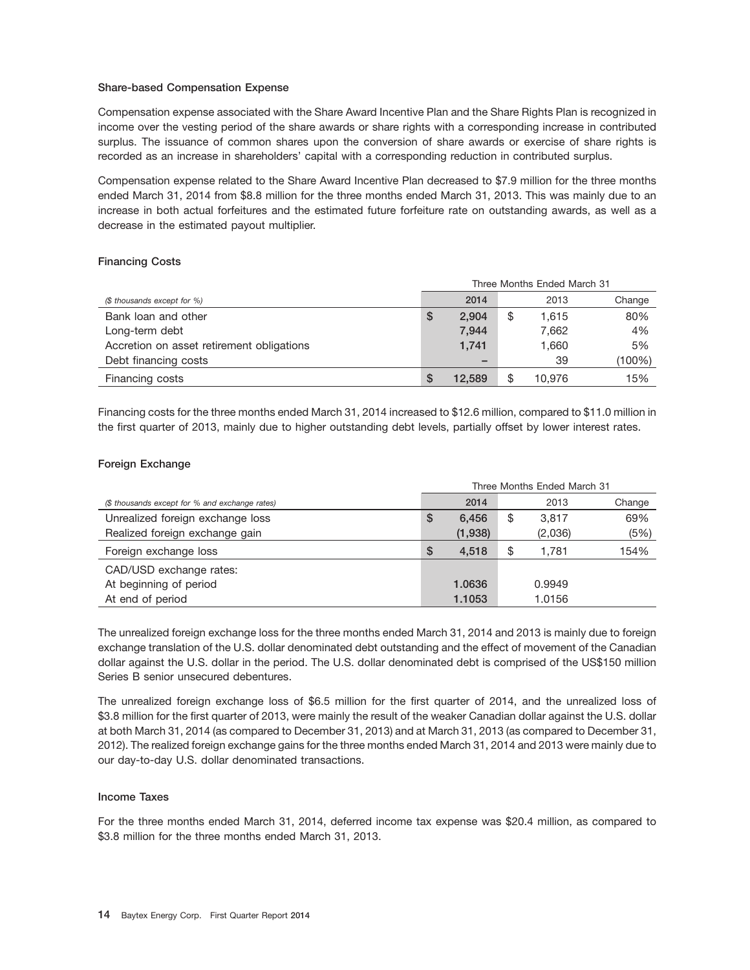### **Share-based Compensation Expense**

Compensation expense associated with the Share Award Incentive Plan and the Share Rights Plan is recognized in income over the vesting period of the share awards or share rights with a corresponding increase in contributed surplus. The issuance of common shares upon the conversion of share awards or exercise of share rights is recorded as an increase in shareholders' capital with a corresponding reduction in contributed surplus.

Compensation expense related to the Share Award Incentive Plan decreased to \$7.9 million for the three months ended March 31, 2014 from \$8.8 million for the three months ended March 31, 2013. This was mainly due to an increase in both actual forfeitures and the estimated future forfeiture rate on outstanding awards, as well as a decrease in the estimated payout multiplier.

### **Financing Costs**

|                                           | Three Months Ended March 31 |        |    |        |        |  |
|-------------------------------------------|-----------------------------|--------|----|--------|--------|--|
| (\$ thousands except for %)               |                             | 2014   |    | 2013   | Change |  |
| Bank loan and other                       | \$                          | 2.904  | \$ | 1.615  | 80%    |  |
| Long-term debt                            |                             | 7,944  |    | 7.662  | 4%     |  |
| Accretion on asset retirement obligations |                             | 1,741  |    | 1.660  | 5%     |  |
| Debt financing costs                      |                             | -      |    | 39     | (100%) |  |
| Financing costs                           | S                           | 12.589 |    | 10.976 | 15%    |  |

Financing costs for the three months ended March 31, 2014 increased to \$12.6 million, compared to \$11.0 million in the first quarter of 2013, mainly due to higher outstanding debt levels, partially offset by lower interest rates.

### **Foreign Exchange**

|                                                | Three Months Ended March 31 |         |   |         |        |  |
|------------------------------------------------|-----------------------------|---------|---|---------|--------|--|
| (\$ thousands except for % and exchange rates) |                             | 2014    |   | 2013    | Change |  |
| Unrealized foreign exchange loss               | \$                          | 6.456   | S | 3.817   | 69%    |  |
| Realized foreign exchange gain                 |                             | (1,938) |   | (2,036) | (5%)   |  |
| Foreign exchange loss                          | \$                          | 4,518   | S | 1.781   | 154%   |  |
| CAD/USD exchange rates:                        |                             |         |   |         |        |  |
| At beginning of period                         |                             | 1.0636  |   | 0.9949  |        |  |
| At end of period                               |                             | 1.1053  |   | 1.0156  |        |  |

The unrealized foreign exchange loss for the three months ended March 31, 2014 and 2013 is mainly due to foreign exchange translation of the U.S. dollar denominated debt outstanding and the effect of movement of the Canadian dollar against the U.S. dollar in the period. The U.S. dollar denominated debt is comprised of the US\$150 million Series B senior unsecured debentures.

The unrealized foreign exchange loss of \$6.5 million for the first quarter of 2014, and the unrealized loss of \$3.8 million for the first quarter of 2013, were mainly the result of the weaker Canadian dollar against the U.S. dollar at both March 31, 2014 (as compared to December 31, 2013) and at March 31, 2013 (as compared to December 31, 2012). The realized foreign exchange gains for the three months ended March 31, 2014 and 2013 were mainly due to our day-to-day U.S. dollar denominated transactions.

### **Income Taxes**

For the three months ended March 31, 2014, deferred income tax expense was \$20.4 million, as compared to \$3.8 million for the three months ended March 31, 2013.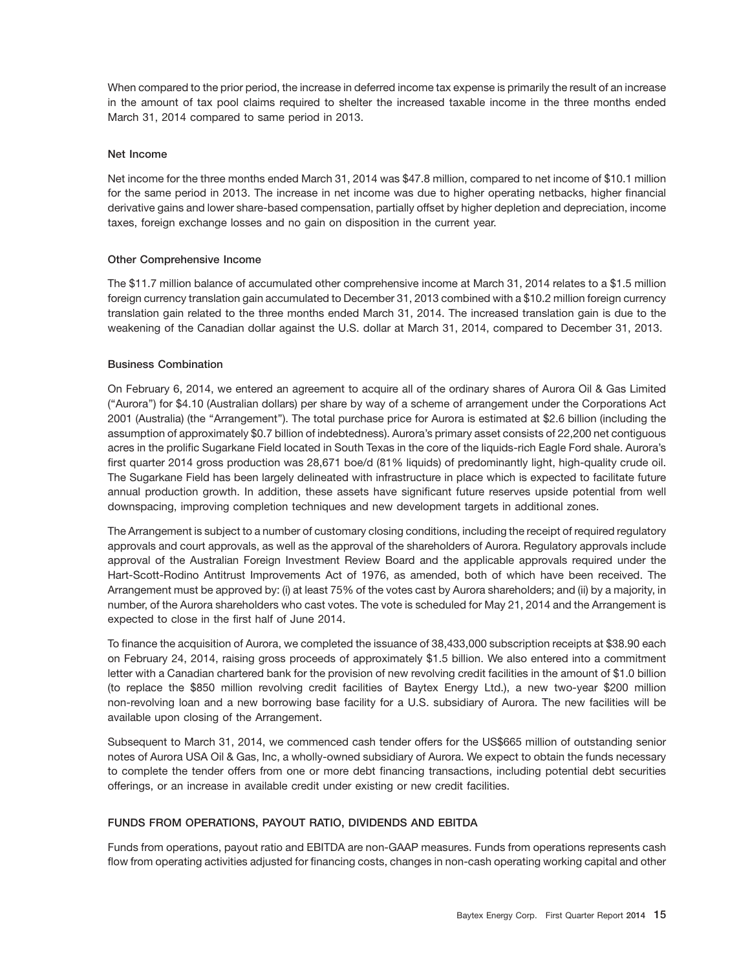When compared to the prior period, the increase in deferred income tax expense is primarily the result of an increase in the amount of tax pool claims required to shelter the increased taxable income in the three months ended March 31, 2014 compared to same period in 2013.

### **Net Income**

Net income for the three months ended March 31, 2014 was \$47.8 million, compared to net income of \$10.1 million for the same period in 2013. The increase in net income was due to higher operating netbacks, higher financial derivative gains and lower share-based compensation, partially offset by higher depletion and depreciation, income taxes, foreign exchange losses and no gain on disposition in the current year.

### **Other Comprehensive Income**

The \$11.7 million balance of accumulated other comprehensive income at March 31, 2014 relates to a \$1.5 million foreign currency translation gain accumulated to December 31, 2013 combined with a \$10.2 million foreign currency translation gain related to the three months ended March 31, 2014. The increased translation gain is due to the weakening of the Canadian dollar against the U.S. dollar at March 31, 2014, compared to December 31, 2013.

### **Business Combination**

On February 6, 2014, we entered an agreement to acquire all of the ordinary shares of Aurora Oil & Gas Limited (''Aurora'') for \$4.10 (Australian dollars) per share by way of a scheme of arrangement under the Corporations Act 2001 (Australia) (the ''Arrangement''). The total purchase price for Aurora is estimated at \$2.6 billion (including the assumption of approximately \$0.7 billion of indebtedness). Aurora's primary asset consists of 22,200 net contiguous acres in the prolific Sugarkane Field located in South Texas in the core of the liquids-rich Eagle Ford shale. Aurora's first quarter 2014 gross production was 28,671 boe/d (81% liquids) of predominantly light, high-quality crude oil. The Sugarkane Field has been largely delineated with infrastructure in place which is expected to facilitate future annual production growth. In addition, these assets have significant future reserves upside potential from well downspacing, improving completion techniques and new development targets in additional zones.

The Arrangement is subject to a number of customary closing conditions, including the receipt of required regulatory approvals and court approvals, as well as the approval of the shareholders of Aurora. Regulatory approvals include approval of the Australian Foreign Investment Review Board and the applicable approvals required under the Hart-Scott-Rodino Antitrust Improvements Act of 1976, as amended, both of which have been received. The Arrangement must be approved by: (i) at least 75% of the votes cast by Aurora shareholders; and (ii) by a majority, in number, of the Aurora shareholders who cast votes. The vote is scheduled for May 21, 2014 and the Arrangement is expected to close in the first half of June 2014.

To finance the acquisition of Aurora, we completed the issuance of 38,433,000 subscription receipts at \$38.90 each on February 24, 2014, raising gross proceeds of approximately \$1.5 billion. We also entered into a commitment letter with a Canadian chartered bank for the provision of new revolving credit facilities in the amount of \$1.0 billion (to replace the \$850 million revolving credit facilities of Baytex Energy Ltd.), a new two-year \$200 million non-revolving loan and a new borrowing base facility for a U.S. subsidiary of Aurora. The new facilities will be available upon closing of the Arrangement.

Subsequent to March 31, 2014, we commenced cash tender offers for the US\$665 million of outstanding senior notes of Aurora USA Oil & Gas, Inc, a wholly-owned subsidiary of Aurora. We expect to obtain the funds necessary to complete the tender offers from one or more debt financing transactions, including potential debt securities offerings, or an increase in available credit under existing or new credit facilities.

### **FUNDS FROM OPERATIONS, PAYOUT RATIO, DIVIDENDS AND EBITDA**

Funds from operations, payout ratio and EBITDA are non-GAAP measures. Funds from operations represents cash flow from operating activities adjusted for financing costs, changes in non-cash operating working capital and other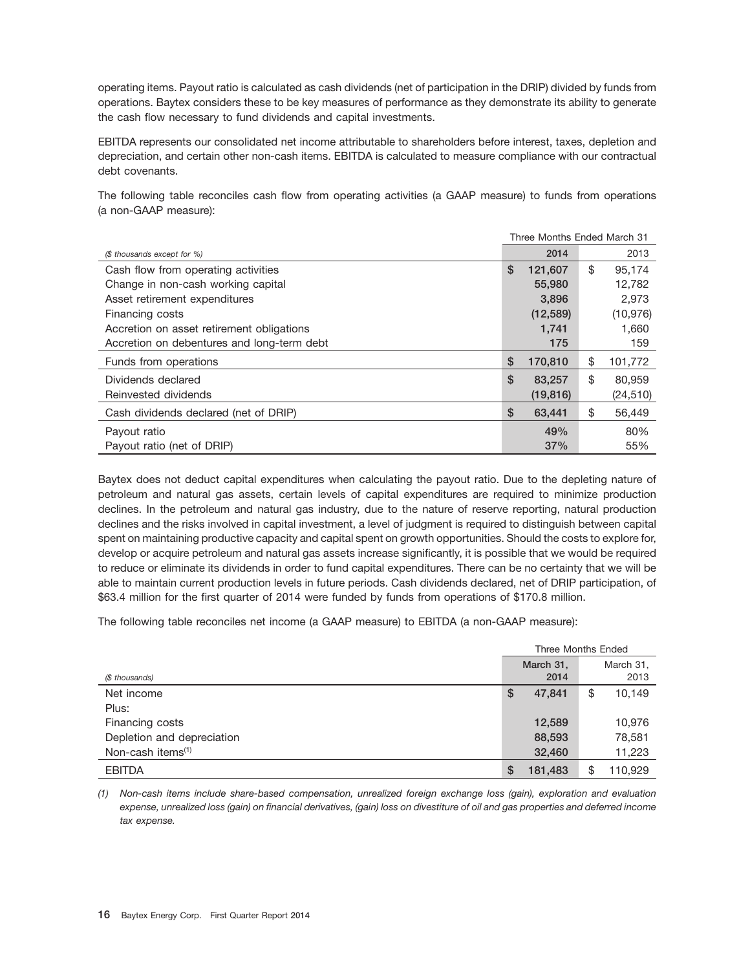operating items. Payout ratio is calculated as cash dividends (net of participation in the DRIP) divided by funds from operations. Baytex considers these to be key measures of performance as they demonstrate its ability to generate the cash flow necessary to fund dividends and capital investments.

EBITDA represents our consolidated net income attributable to shareholders before interest, taxes, depletion and depreciation, and certain other non-cash items. EBITDA is calculated to measure compliance with our contractual debt covenants.

The following table reconciles cash flow from operating activities (a GAAP measure) to funds from operations (a non-GAAP measure):

|                                            | Three Months Ended March 31 |           |    |           |
|--------------------------------------------|-----------------------------|-----------|----|-----------|
| (\$ thousands except for %)                |                             | 2014      |    | 2013      |
| Cash flow from operating activities        | \$                          | 121,607   | \$ | 95,174    |
| Change in non-cash working capital         |                             | 55,980    |    | 12,782    |
| Asset retirement expenditures              |                             | 3,896     |    | 2,973     |
| Financing costs                            |                             | (12,589)  |    | (10, 976) |
| Accretion on asset retirement obligations  |                             | 1,741     |    | 1,660     |
| Accretion on debentures and long-term debt |                             | 175       |    | 159       |
| Funds from operations                      | $\mathbb{S}$                | 170,810   | \$ | 101,772   |
| Dividends declared                         | \$                          | 83,257    | \$ | 80,959    |
| Reinvested dividends                       |                             | (19, 816) |    | (24, 510) |
| Cash dividends declared (net of DRIP)      | \$                          | 63.441    | \$ | 56,449    |
| Payout ratio                               |                             | 49%       |    | 80%       |
| Payout ratio (net of DRIP)                 |                             | 37%       |    | 55%       |

Baytex does not deduct capital expenditures when calculating the payout ratio. Due to the depleting nature of petroleum and natural gas assets, certain levels of capital expenditures are required to minimize production declines. In the petroleum and natural gas industry, due to the nature of reserve reporting, natural production declines and the risks involved in capital investment, a level of judgment is required to distinguish between capital spent on maintaining productive capacity and capital spent on growth opportunities. Should the costs to explore for, develop or acquire petroleum and natural gas assets increase significantly, it is possible that we would be required to reduce or eliminate its dividends in order to fund capital expenditures. There can be no certainty that we will be able to maintain current production levels in future periods. Cash dividends declared, net of DRIP participation, of \$63.4 million for the first quarter of 2014 were funded by funds from operations of \$170.8 million.

The following table reconciles net income (a GAAP measure) to EBITDA (a non-GAAP measure):

|                               | Three Months Ended |           |    |           |
|-------------------------------|--------------------|-----------|----|-----------|
|                               |                    | March 31, |    | March 31, |
| (\$ thousands)                |                    | 2014      |    | 2013      |
| Net income                    | S                  | 47.841    | \$ | 10,149    |
| Plus:                         |                    |           |    |           |
| Financing costs               |                    | 12,589    |    | 10,976    |
| Depletion and depreciation    |                    | 88,593    |    | 78,581    |
| Non-cash items <sup>(1)</sup> |                    | 32,460    |    | 11,223    |
| <b>EBITDA</b>                 | S                  | 181,483   | \$ | 110.929   |

*(1) Non-cash items include share-based compensation, unrealized foreign exchange loss (gain), exploration and evaluation expense, unrealized loss (gain) on financial derivatives, (gain) loss on divestiture of oil and gas properties and deferred income tax expense.*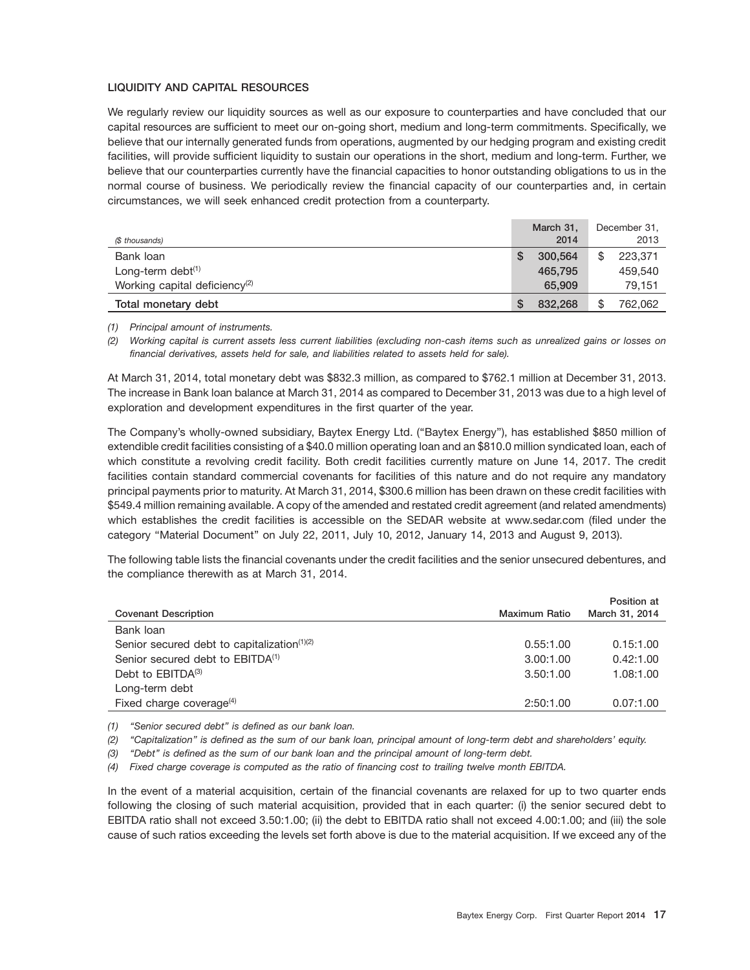### **LIQUIDITY AND CAPITAL RESOURCES**

We regularly review our liquidity sources as well as our exposure to counterparties and have concluded that our capital resources are sufficient to meet our on-going short, medium and long-term commitments. Specifically, we believe that our internally generated funds from operations, augmented by our hedging program and existing credit facilities, will provide sufficient liquidity to sustain our operations in the short, medium and long-term. Further, we believe that our counterparties currently have the financial capacities to honor outstanding obligations to us in the normal course of business. We periodically review the financial capacity of our counterparties and, in certain circumstances, we will seek enhanced credit protection from a counterparty.

| (\$ thousands)                            | March 31,<br>2014 | December 31,<br>2013 |
|-------------------------------------------|-------------------|----------------------|
| Bank loan                                 | 300.564           | \$<br>223,371        |
| Long-term debt $(1)$                      | 465,795           | 459.540              |
| Working capital deficiency <sup>(2)</sup> | 65,909            | 79,151               |
| Total monetary debt                       | 832.268           | \$<br>762.062        |

*(1) Principal amount of instruments.*

*(2) Working capital is current assets less current liabilities (excluding non-cash items such as unrealized gains or losses on financial derivatives, assets held for sale, and liabilities related to assets held for sale).*

At March 31, 2014, total monetary debt was \$832.3 million, as compared to \$762.1 million at December 31, 2013. The increase in Bank loan balance at March 31, 2014 as compared to December 31, 2013 was due to a high level of exploration and development expenditures in the first quarter of the year.

The Company's wholly-owned subsidiary, Baytex Energy Ltd. (''Baytex Energy''), has established \$850 million of extendible credit facilities consisting of a \$40.0 million operating loan and an \$810.0 million syndicated loan, each of which constitute a revolving credit facility. Both credit facilities currently mature on June 14, 2017. The credit facilities contain standard commercial covenants for facilities of this nature and do not require any mandatory principal payments prior to maturity. At March 31, 2014, \$300.6 million has been drawn on these credit facilities with \$549.4 million remaining available. A copy of the amended and restated credit agreement (and related amendments) which establishes the credit facilities is accessible on the SEDAR website at www.sedar.com (filed under the category ''Material Document'' on July 22, 2011, July 10, 2012, January 14, 2013 and August 9, 2013).

The following table lists the financial covenants under the credit facilities and the senior unsecured debentures, and the compliance therewith as at March 31, 2014.

|                                                         |                      | Position at    |
|---------------------------------------------------------|----------------------|----------------|
| <b>Covenant Description</b>                             | <b>Maximum Ratio</b> | March 31, 2014 |
| Bank loan                                               |                      |                |
| Senior secured debt to capitalization <sup>(1)(2)</sup> | 0.55:1.00            | 0.15:1.00      |
| Senior secured debt to EBITDA <sup>(1)</sup>            | 3.00:1.00            | 0.42:1.00      |
| Debt to EBITDA(3)                                       | 3.50:1.00            | 1.08:1.00      |
| Long-term debt                                          |                      |                |
| Fixed charge coverage <sup>(4)</sup>                    | 2:50:1.00            | 0.07:1.00      |

*(1) ''Senior secured debt'' is defined as our bank loan.*

*(2) ''Capitalization'' is defined as the sum of our bank loan, principal amount of long-term debt and shareholders' equity.*

*(3) ''Debt'' is defined as the sum of our bank loan and the principal amount of long-term debt.*

*(4) Fixed charge coverage is computed as the ratio of financing cost to trailing twelve month EBITDA.*

In the event of a material acquisition, certain of the financial covenants are relaxed for up to two quarter ends following the closing of such material acquisition, provided that in each quarter: (i) the senior secured debt to EBITDA ratio shall not exceed 3.50:1.00; (ii) the debt to EBITDA ratio shall not exceed 4.00:1.00; and (iii) the sole cause of such ratios exceeding the levels set forth above is due to the material acquisition. If we exceed any of the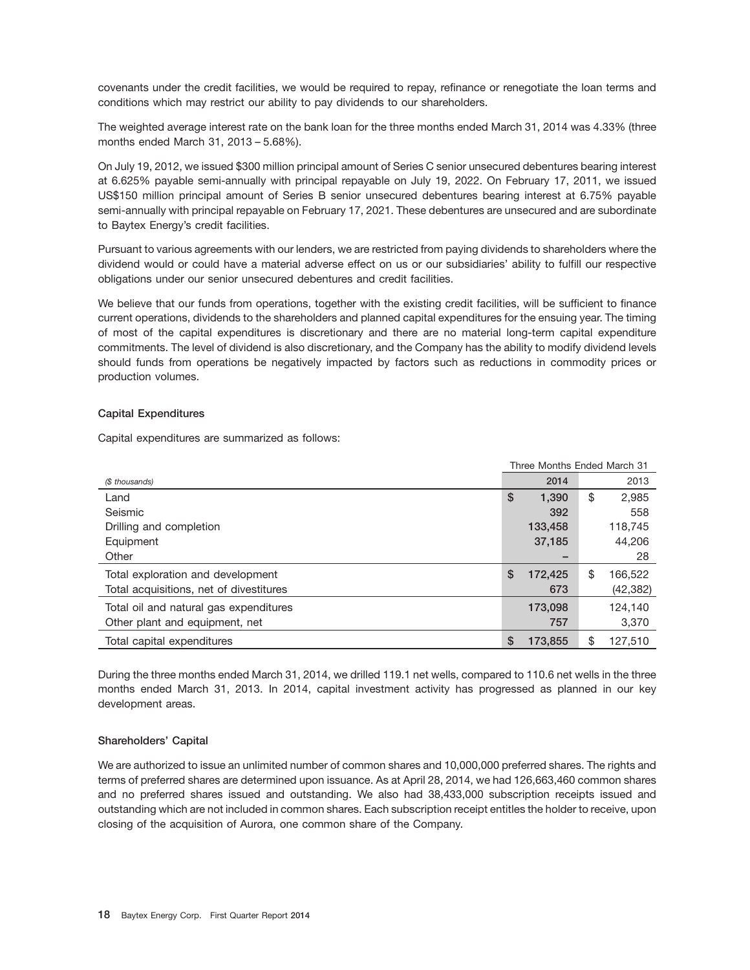covenants under the credit facilities, we would be required to repay, refinance or renegotiate the loan terms and conditions which may restrict our ability to pay dividends to our shareholders.

The weighted average interest rate on the bank loan for the three months ended March 31, 2014 was 4.33% (three months ended March 31, 2013 – 5.68%).

On July 19, 2012, we issued \$300 million principal amount of Series C senior unsecured debentures bearing interest at 6.625% payable semi-annually with principal repayable on July 19, 2022. On February 17, 2011, we issued US\$150 million principal amount of Series B senior unsecured debentures bearing interest at 6.75% payable semi-annually with principal repayable on February 17, 2021. These debentures are unsecured and are subordinate to Baytex Energy's credit facilities.

Pursuant to various agreements with our lenders, we are restricted from paying dividends to shareholders where the dividend would or could have a material adverse effect on us or our subsidiaries' ability to fulfill our respective obligations under our senior unsecured debentures and credit facilities.

We believe that our funds from operations, together with the existing credit facilities, will be sufficient to finance current operations, dividends to the shareholders and planned capital expenditures for the ensuing year. The timing of most of the capital expenditures is discretionary and there are no material long-term capital expenditure commitments. The level of dividend is also discretionary, and the Company has the ability to modify dividend levels should funds from operations be negatively impacted by factors such as reductions in commodity prices or production volumes.

### **Capital Expenditures**

Capital expenditures are summarized as follows:

|                                         | Three Months Ended March 31 |         |    |           |
|-----------------------------------------|-----------------------------|---------|----|-----------|
| (\$ thousands)                          |                             | 2014    |    | 2013      |
| Land                                    | \$                          | 1.390   | \$ | 2,985     |
| Seismic                                 |                             | 392     |    | 558       |
| Drilling and completion                 |                             | 133,458 |    | 118,745   |
| Equipment                               |                             | 37,185  |    | 44.206    |
| Other                                   |                             | -       |    | 28        |
| Total exploration and development       | \$                          | 172,425 | \$ | 166,522   |
| Total acquisitions, net of divestitures |                             | 673     |    | (42, 382) |
| Total oil and natural gas expenditures  |                             | 173,098 |    | 124,140   |
| Other plant and equipment, net          |                             | 757     |    | 3,370     |
| Total capital expenditures              | \$                          | 173.855 | \$ | 127.510   |

During the three months ended March 31, 2014, we drilled 119.1 net wells, compared to 110.6 net wells in the three months ended March 31, 2013. In 2014, capital investment activity has progressed as planned in our key development areas.

### **Shareholders' Capital**

We are authorized to issue an unlimited number of common shares and 10,000,000 preferred shares. The rights and terms of preferred shares are determined upon issuance. As at April 28, 2014, we had 126,663,460 common shares and no preferred shares issued and outstanding. We also had 38,433,000 subscription receipts issued and outstanding which are not included in common shares. Each subscription receipt entitles the holder to receive, upon closing of the acquisition of Aurora, one common share of the Company.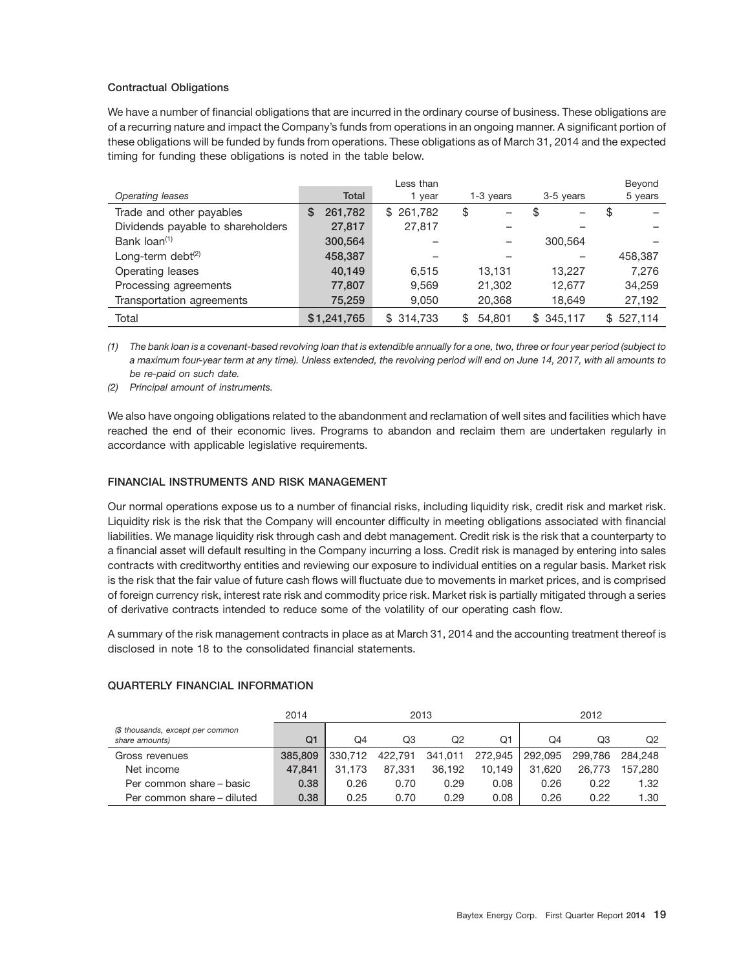### **Contractual Obligations**

We have a number of financial obligations that are incurred in the ordinary course of business. These obligations are of a recurring nature and impact the Company's funds from operations in an ongoing manner. A significant portion of these obligations will be funded by funds from operations. These obligations as of March 31, 2014 and the expected timing for funding these obligations is noted in the table below.

|                                   |              | Less than      |              |           | Beyond    |
|-----------------------------------|--------------|----------------|--------------|-----------|-----------|
| Operating leases                  | Total        | 1 year         | 1-3 years    | 3-5 years | 5 years   |
| Trade and other payables          | 261,782<br>S | 261,782<br>\$  | \$           | \$<br>-   | \$        |
| Dividends payable to shareholders | 27,817       | 27,817         |              |           |           |
| Bank loan <sup>(1)</sup>          | 300,564      |                |              | 300,564   |           |
| Long-term debt $(2)$              | 458,387      |                |              |           | 458,387   |
| Operating leases                  | 40,149       | 6.515          | 13.131       | 13.227    | 7,276     |
| Processing agreements             | 77,807       | 9,569          | 21,302       | 12.677    | 34,259    |
| Transportation agreements         | 75,259       | 9,050          | 20,368       | 18,649    | 27,192    |
| Total                             | \$1,241,765  | 314,733<br>\$. | 54,801<br>\$ | \$345,117 | \$527,114 |

*(1) The bank loan is a covenant-based revolving loan that is extendible annually for a one, two, three or four year period (subject to a maximum four-year term at any time). Unless extended, the revolving period will end on June 14, 2017, with all amounts to be re-paid on such date.*

*(2) Principal amount of instruments.*

We also have ongoing obligations related to the abandonment and reclamation of well sites and facilities which have reached the end of their economic lives. Programs to abandon and reclaim them are undertaken regularly in accordance with applicable legislative requirements.

### **FINANCIAL INSTRUMENTS AND RISK MANAGEMENT**

Our normal operations expose us to a number of financial risks, including liquidity risk, credit risk and market risk. Liquidity risk is the risk that the Company will encounter difficulty in meeting obligations associated with financial liabilities. We manage liquidity risk through cash and debt management. Credit risk is the risk that a counterparty to a financial asset will default resulting in the Company incurring a loss. Credit risk is managed by entering into sales contracts with creditworthy entities and reviewing our exposure to individual entities on a regular basis. Market risk is the risk that the fair value of future cash flows will fluctuate due to movements in market prices, and is comprised of foreign currency risk, interest rate risk and commodity price risk. Market risk is partially mitigated through a series of derivative contracts intended to reduce some of the volatility of our operating cash flow.

A summary of the risk management contracts in place as at March 31, 2014 and the accounting treatment thereof is disclosed in note 18 to the consolidated financial statements.

### **QUARTERLY FINANCIAL INFORMATION**

|                                                    | 2014    | 2013    |         |         |         | 2012    |         |         |  |
|----------------------------------------------------|---------|---------|---------|---------|---------|---------|---------|---------|--|
| (\$ thousands, except per common<br>share amounts) | O1      | Q4      | Q3      | Q2      | Ο1      | Q4      | O3      | Q2      |  |
| Gross revenues                                     | 385.809 | 330,712 | 422.791 | 341,011 | 272.945 | 292.095 | 299.786 | 284.248 |  |
| Net income                                         | 47.841  | 31.173  | 87.331  | 36,192  | 10.149  | 31.620  | 26.773  | 157.280 |  |
| Per common share – basic                           | 0.38    | 0.26    | 0.70    | 0.29    | 0.08    | 0.26    | 0.22    | 1.32    |  |
| Per common share – diluted                         | 0.38    | 0.25    | 0.70    | 0.29    | 0.08    | 0.26    | 0.22    | 1.30    |  |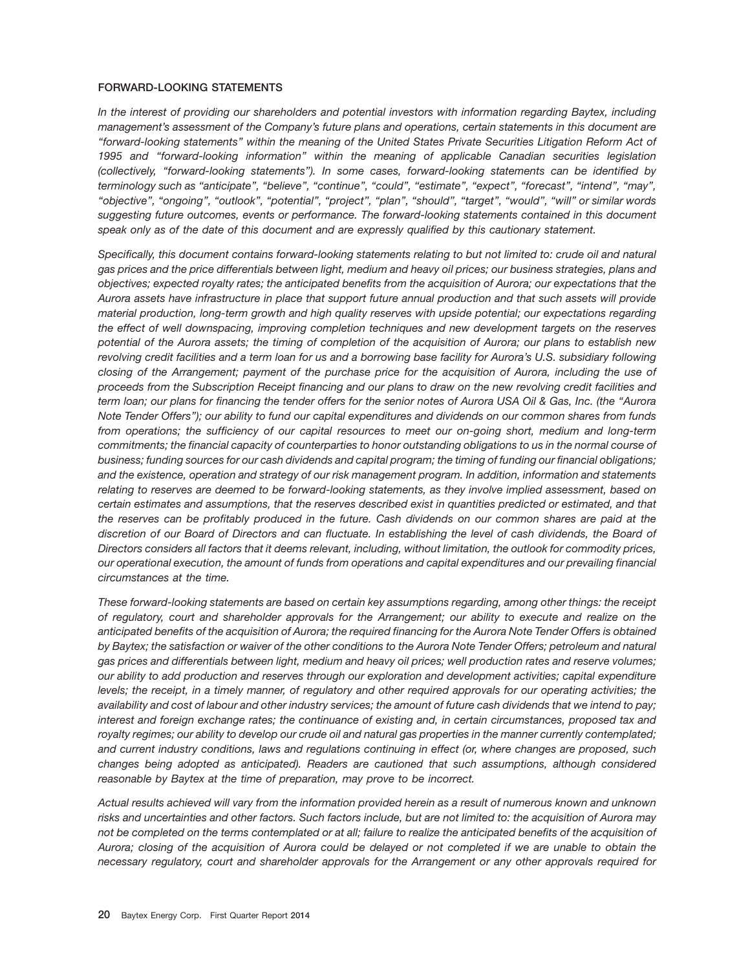### **FORWARD-LOOKING STATEMENTS**

*In the interest of providing our shareholders and potential investors with information regarding Baytex, including management's assessment of the Company's future plans and operations, certain statements in this document are ''forward-looking statements'' within the meaning of the United States Private Securities Litigation Reform Act of 1995 and ''forward-looking information'' within the meaning of applicable Canadian securities legislation (collectively, ''forward-looking statements''). In some cases, forward-looking statements can be identified by terminology such as ''anticipate'', ''believe'', ''continue'', ''could'', ''estimate'', ''expect'', ''forecast'', ''intend'', ''may'', ''objective'', ''ongoing'', ''outlook'', ''potential'', ''project'', ''plan'', ''should'', ''target'', ''would'', ''will'' or similar words suggesting future outcomes, events or performance. The forward-looking statements contained in this document speak only as of the date of this document and are expressly qualified by this cautionary statement.*

*Specifically, this document contains forward-looking statements relating to but not limited to: crude oil and natural gas prices and the price differentials between light, medium and heavy oil prices; our business strategies, plans and objectives; expected royalty rates; the anticipated benefits from the acquisition of Aurora; our expectations that the Aurora assets have infrastructure in place that support future annual production and that such assets will provide material production, long-term growth and high quality reserves with upside potential; our expectations regarding the effect of well downspacing, improving completion techniques and new development targets on the reserves potential of the Aurora assets; the timing of completion of the acquisition of Aurora; our plans to establish new revolving credit facilities and a term loan for us and a borrowing base facility for Aurora's U.S. subsidiary following closing of the Arrangement; payment of the purchase price for the acquisition of Aurora, including the use of proceeds from the Subscription Receipt financing and our plans to draw on the new revolving credit facilities and term loan; our plans for financing the tender offers for the senior notes of Aurora USA Oil & Gas, Inc. (the ''Aurora Note Tender Offers''); our ability to fund our capital expenditures and dividends on our common shares from funds from operations; the sufficiency of our capital resources to meet our on-going short, medium and long-term commitments; the financial capacity of counterparties to honor outstanding obligations to us in the normal course of business; funding sources for our cash dividends and capital program; the timing of funding our financial obligations; and the existence, operation and strategy of our risk management program. In addition, information and statements relating to reserves are deemed to be forward-looking statements, as they involve implied assessment, based on certain estimates and assumptions, that the reserves described exist in quantities predicted or estimated, and that the reserves can be profitably produced in the future. Cash dividends on our common shares are paid at the discretion of our Board of Directors and can fluctuate. In establishing the level of cash dividends, the Board of Directors considers all factors that it deems relevant, including, without limitation, the outlook for commodity prices, our operational execution, the amount of funds from operations and capital expenditures and our prevailing financial circumstances at the time.*

*These forward-looking statements are based on certain key assumptions regarding, among other things: the receipt of regulatory, court and shareholder approvals for the Arrangement; our ability to execute and realize on the anticipated benefits of the acquisition of Aurora; the required financing for the Aurora Note Tender Offers is obtained by Baytex; the satisfaction or waiver of the other conditions to the Aurora Note Tender Offers; petroleum and natural gas prices and differentials between light, medium and heavy oil prices; well production rates and reserve volumes; our ability to add production and reserves through our exploration and development activities; capital expenditure levels; the receipt, in a timely manner, of regulatory and other required approvals for our operating activities; the availability and cost of labour and other industry services; the amount of future cash dividends that we intend to pay; interest and foreign exchange rates; the continuance of existing and, in certain circumstances, proposed tax and royalty regimes; our ability to develop our crude oil and natural gas properties in the manner currently contemplated; and current industry conditions, laws and regulations continuing in effect (or, where changes are proposed, such changes being adopted as anticipated). Readers are cautioned that such assumptions, although considered reasonable by Baytex at the time of preparation, may prove to be incorrect.*

*Actual results achieved will vary from the information provided herein as a result of numerous known and unknown risks and uncertainties and other factors. Such factors include, but are not limited to: the acquisition of Aurora may not be completed on the terms contemplated or at all; failure to realize the anticipated benefits of the acquisition of Aurora; closing of the acquisition of Aurora could be delayed or not completed if we are unable to obtain the necessary regulatory, court and shareholder approvals for the Arrangement or any other approvals required for*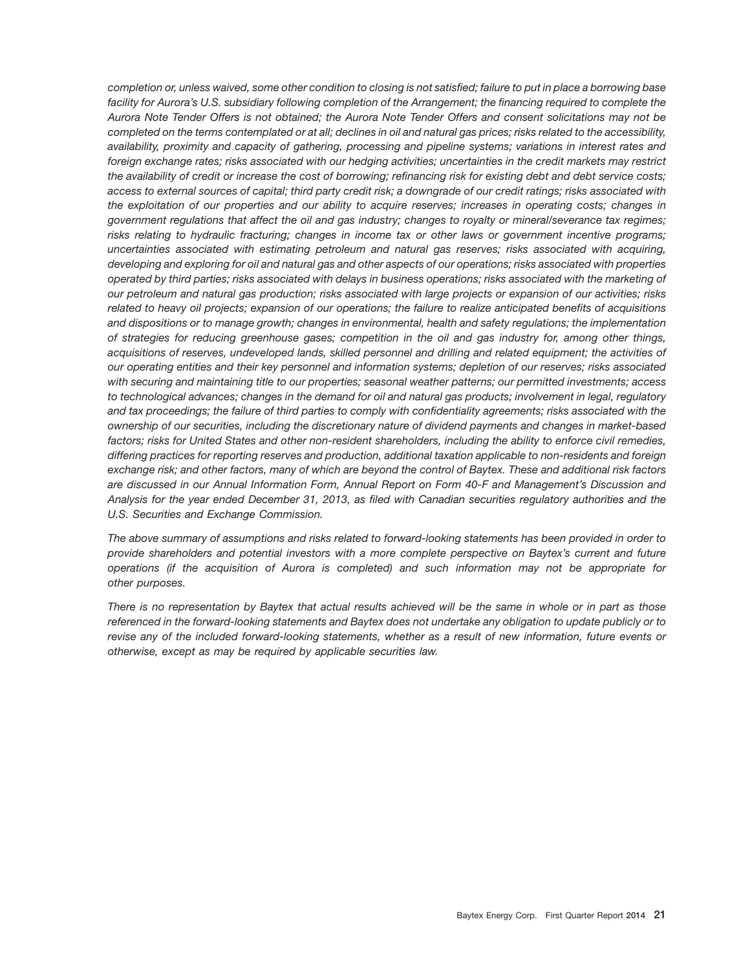*completion or, unless waived, some other condition to closing is not satisfied; failure to put in place a borrowing base* facility for Aurora's U.S. subsidiary following completion of the Arrangement; the financing required to complete the *Aurora Note Tender Offers is not obtained; the Aurora Note Tender Offers and consent solicitations may not be completed on the terms contemplated or at all; declines in oil and natural gas prices; risks related to the accessibility, availability, proximity and capacity of gathering, processing and pipeline systems; variations in interest rates and foreign exchange rates; risks associated with our hedging activities; uncertainties in the credit markets may restrict the availability of credit or increase the cost of borrowing; refinancing risk for existing debt and debt service costs; access to external sources of capital; third party credit risk; a downgrade of our credit ratings; risks associated with the exploitation of our properties and our ability to acquire reserves; increases in operating costs; changes in government regulations that affect the oil and gas industry; changes to royalty or mineral/severance tax regimes; risks relating to hydraulic fracturing; changes in income tax or other laws or government incentive programs; uncertainties associated with estimating petroleum and natural gas reserves; risks associated with acquiring, developing and exploring for oil and natural gas and other aspects of our operations; risks associated with properties operated by third parties; risks associated with delays in business operations; risks associated with the marketing of our petroleum and natural gas production; risks associated with large projects or expansion of our activities; risks related to heavy oil projects; expansion of our operations; the failure to realize anticipated benefits of acquisitions and dispositions or to manage growth; changes in environmental, health and safety regulations; the implementation of strategies for reducing greenhouse gases; competition in the oil and gas industry for, among other things, acquisitions of reserves, undeveloped lands, skilled personnel and drilling and related equipment; the activities of our operating entities and their key personnel and information systems; depletion of our reserves; risks associated with securing and maintaining title to our properties; seasonal weather patterns; our permitted investments; access to technological advances; changes in the demand for oil and natural gas products; involvement in legal, regulatory and tax proceedings; the failure of third parties to comply with confidentiality agreements; risks associated with the ownership of our securities, including the discretionary nature of dividend payments and changes in market-based factors; risks for United States and other non-resident shareholders, including the ability to enforce civil remedies, differing practices for reporting reserves and production, additional taxation applicable to non-residents and foreign exchange risk; and other factors, many of which are beyond the control of Baytex. These and additional risk factors are discussed in our Annual Information Form, Annual Report on Form 40-F and Management's Discussion and Analysis for the year ended December 31, 2013, as filed with Canadian securities regulatory authorities and the U.S. Securities and Exchange Commission.*

*The above summary of assumptions and risks related to forward-looking statements has been provided in order to provide shareholders and potential investors with a more complete perspective on Baytex's current and future operations (if the acquisition of Aurora is completed) and such information may not be appropriate for other purposes.*

*There is no representation by Baytex that actual results achieved will be the same in whole or in part as those referenced in the forward-looking statements and Baytex does not undertake any obligation to update publicly or to revise any of the included forward-looking statements, whether as a result of new information, future events or otherwise, except as may be required by applicable securities law.*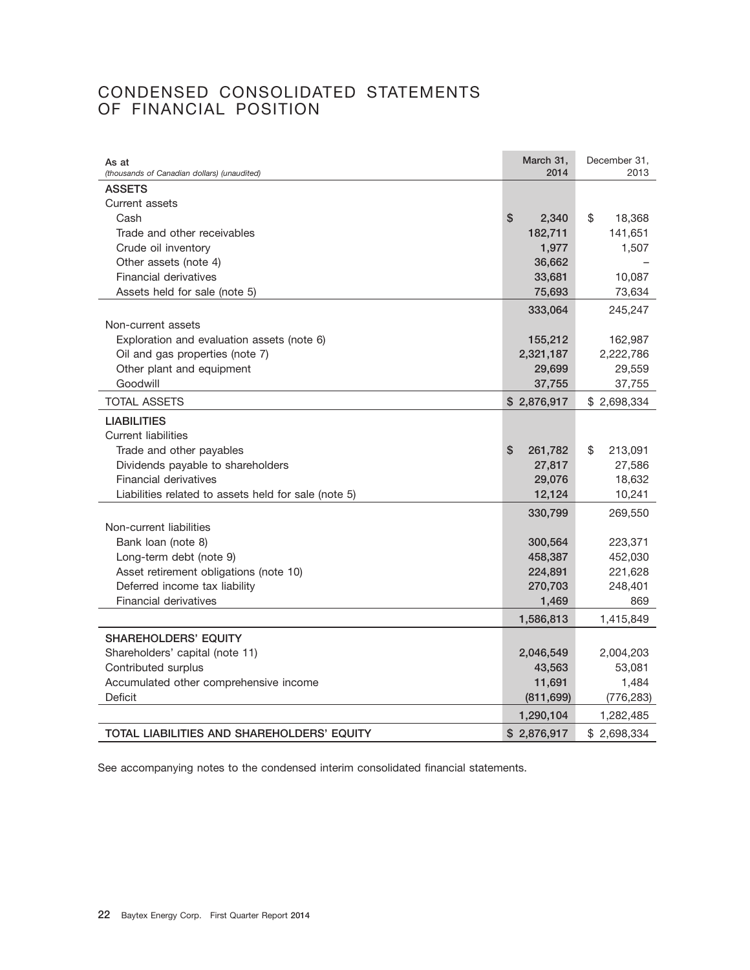### CONDENSED CONSOLIDATED STATEMENTS OF FINANCIAL POSITION

| As at<br>(thousands of Canadian dollars) (unaudited) | March 31,<br>2014 | December 31,<br>2013 |
|------------------------------------------------------|-------------------|----------------------|
| ASSETS                                               |                   |                      |
| Current assets                                       |                   |                      |
| Cash                                                 | \$<br>2,340       | \$<br>18,368         |
| Trade and other receivables                          | 182,711           | 141,651              |
| Crude oil inventory                                  | 1,977             | 1,507                |
| Other assets (note 4)                                | 36,662            |                      |
| Financial derivatives                                | 33,681            | 10,087               |
| Assets held for sale (note 5)                        | 75,693            | 73,634               |
|                                                      | 333,064           | 245,247              |
| Non-current assets                                   |                   |                      |
| Exploration and evaluation assets (note 6)           | 155,212           | 162,987              |
| Oil and gas properties (note 7)                      | 2,321,187         | 2,222,786            |
| Other plant and equipment                            | 29,699            | 29,559               |
| Goodwill                                             | 37,755            | 37,755               |
| <b>TOTAL ASSETS</b>                                  | \$2,876,917       | \$2,698,334          |
| <b>LIABILITIES</b>                                   |                   |                      |
| <b>Current liabilities</b>                           |                   |                      |
| Trade and other payables                             | \$<br>261,782     | \$<br>213,091        |
| Dividends payable to shareholders                    | 27,817            | 27,586               |
| Financial derivatives                                | 29,076            | 18,632               |
| Liabilities related to assets held for sale (note 5) | 12,124            | 10,241               |
|                                                      | 330,799           | 269,550              |
| Non-current liabilities                              |                   |                      |
| Bank loan (note 8)                                   | 300,564           | 223,371              |
| Long-term debt (note 9)                              | 458,387           | 452,030              |
| Asset retirement obligations (note 10)               | 224,891           | 221,628              |
| Deferred income tax liability                        | 270,703           | 248,401              |
| Financial derivatives                                | 1,469             | 869                  |
|                                                      | 1,586,813         | 1,415,849            |
| <b>SHAREHOLDERS' EQUITY</b>                          |                   |                      |
| Shareholders' capital (note 11)                      | 2,046,549         | 2,004,203            |
| Contributed surplus                                  | 43,563            | 53,081               |
| Accumulated other comprehensive income               | 11,691            | 1,484                |
| <b>Deficit</b>                                       | (811, 699)        | (776, 283)           |
|                                                      | 1,290,104         | 1,282,485            |
| TOTAL LIABILITIES AND SHAREHOLDERS' EQUITY           | \$2,876,917       | \$2,698,334          |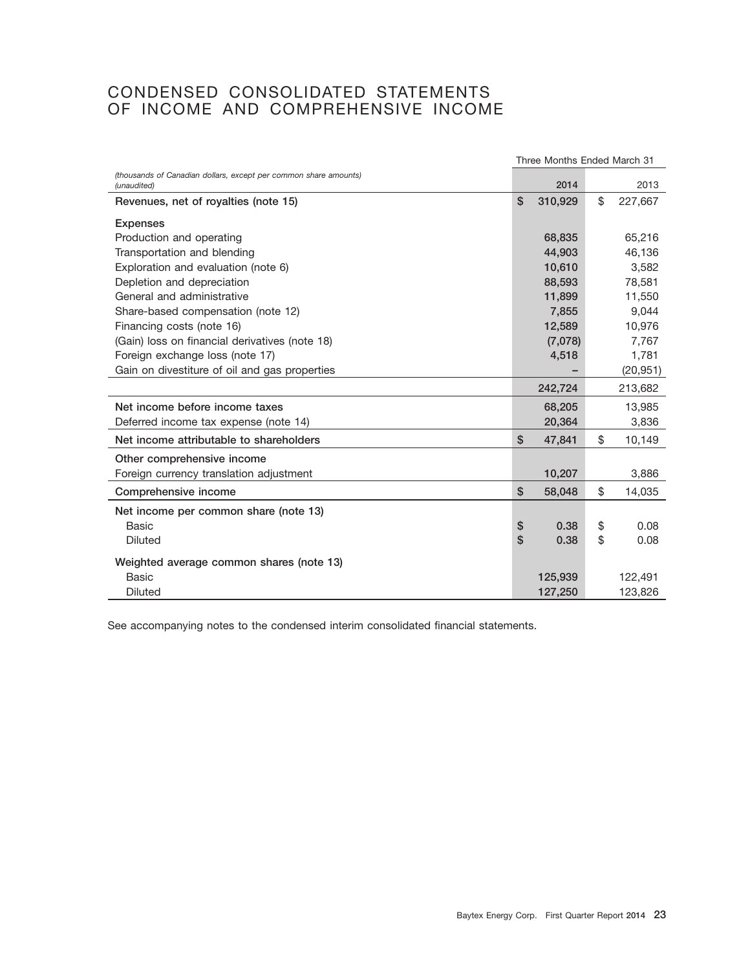### CONDENSED CONSOLIDATED STATEMENTS OF INCOME AND COMPREHENSIVE INCOME

|                                                                                 | Three Months Ended March 31 |         |    |           |
|---------------------------------------------------------------------------------|-----------------------------|---------|----|-----------|
| (thousands of Canadian dollars, except per common share amounts)<br>(unaudited) |                             | 2014    |    | 2013      |
| Revenues, net of royalties (note 15)                                            | \$                          | 310,929 | \$ | 227,667   |
| <b>Expenses</b>                                                                 |                             |         |    |           |
| Production and operating                                                        |                             | 68,835  |    | 65,216    |
| Transportation and blending                                                     |                             | 44,903  |    | 46,136    |
| Exploration and evaluation (note 6)                                             |                             | 10,610  |    | 3.582     |
| Depletion and depreciation                                                      |                             | 88,593  |    | 78,581    |
| General and administrative                                                      |                             | 11,899  |    | 11,550    |
| Share-based compensation (note 12)                                              |                             | 7,855   |    | 9.044     |
| Financing costs (note 16)                                                       |                             | 12,589  |    | 10,976    |
| (Gain) loss on financial derivatives (note 18)                                  |                             | (7,078) |    | 7,767     |
| Foreign exchange loss (note 17)                                                 |                             | 4,518   |    | 1,781     |
| Gain on divestiture of oil and gas properties                                   |                             |         |    | (20, 951) |
|                                                                                 |                             | 242,724 |    | 213,682   |
| Net income before income taxes                                                  |                             | 68,205  |    | 13,985    |
| Deferred income tax expense (note 14)                                           |                             | 20,364  |    | 3,836     |
| Net income attributable to shareholders                                         | \$                          | 47,841  | \$ | 10,149    |
| Other comprehensive income                                                      |                             |         |    |           |
| Foreign currency translation adjustment                                         |                             | 10,207  |    | 3,886     |
| Comprehensive income                                                            | \$                          | 58,048  | \$ | 14,035    |
| Net income per common share (note 13)                                           |                             |         |    |           |
| Basic                                                                           | \$                          | 0.38    | \$ | 0.08      |
| <b>Diluted</b>                                                                  | $\mathsf{\$}$               | 0.38    | \$ | 0.08      |
| Weighted average common shares (note 13)                                        |                             |         |    |           |
| Basic                                                                           |                             | 125,939 |    | 122,491   |
| <b>Diluted</b>                                                                  |                             | 127,250 |    | 123,826   |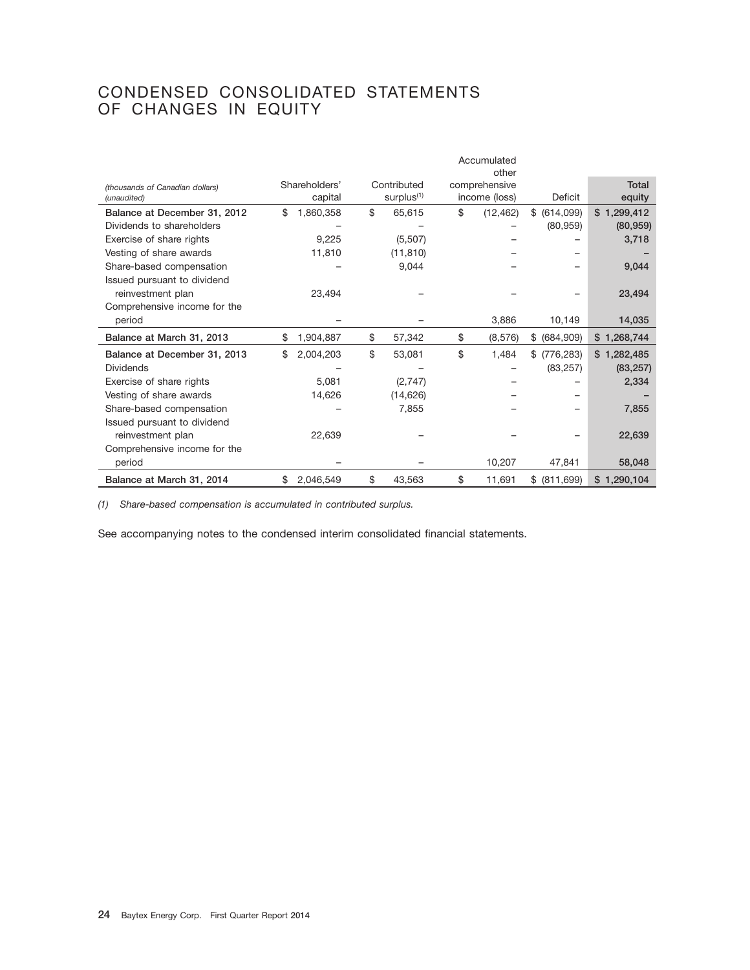## CONDENSED CONSOLIDATED STATEMENTS OF CHANGES IN EQUITY

|                                 | Accumulated     |    |                        |               |               |                  |                 |
|---------------------------------|-----------------|----|------------------------|---------------|---------------|------------------|-----------------|
|                                 |                 |    |                        |               | other         |                  |                 |
| (thousands of Canadian dollars) | Shareholders'   |    | Contributed            | comprehensive |               | Deficit          | <b>Total</b>    |
| (unaudited)                     | capital         |    | surplus <sup>(1)</sup> |               | income (loss) |                  | equity          |
| Balance at December 31, 2012    | \$<br>1,860,358 | \$ | 65,615                 | \$            | (12, 462)     | (614,099)<br>\$  | \$<br>1,299,412 |
| Dividends to shareholders       |                 |    |                        |               |               | (80, 959)        | (80, 959)       |
| Exercise of share rights        | 9,225           |    | (5,507)                |               |               |                  | 3,718           |
| Vesting of share awards         | 11,810          |    | (11, 810)              |               |               |                  |                 |
| Share-based compensation        |                 |    | 9,044                  |               |               |                  | 9,044           |
| Issued pursuant to dividend     |                 |    |                        |               |               |                  |                 |
| reinvestment plan               | 23,494          |    |                        |               |               |                  | 23,494          |
| Comprehensive income for the    |                 |    |                        |               |               |                  |                 |
| period                          |                 |    |                        |               | 3,886         | 10,149           | 14,035          |
| Balance at March 31, 2013       | \$<br>1,904,887 | \$ | 57,342                 | \$            | (8,576)       | \$<br>(684, 909) | \$1,268,744     |
| Balance at December 31, 2013    | \$<br>2,004,203 | \$ | 53,081                 | \$            | 1,484         | $$$ (776,283)    | \$1,282,485     |
| <b>Dividends</b>                |                 |    |                        |               |               | (83, 257)        | (83, 257)       |
| Exercise of share rights        | 5,081           |    | (2,747)                |               |               |                  | 2,334           |
| Vesting of share awards         | 14,626          |    | (14, 626)              |               |               |                  |                 |
| Share-based compensation        |                 |    | 7,855                  |               |               |                  | 7,855           |
| Issued pursuant to dividend     |                 |    |                        |               |               |                  |                 |
| reinvestment plan               | 22,639          |    |                        |               |               |                  | 22,639          |
| Comprehensive income for the    |                 |    |                        |               |               |                  |                 |
| period                          |                 |    |                        |               | 10,207        | 47,841           | 58,048          |
| Balance at March 31, 2014       | \$<br>2,046,549 | \$ | 43,563                 | \$            | 11,691        | \$<br>(811, 699) | \$1,290,104     |

*(1) Share-based compensation is accumulated in contributed surplus.*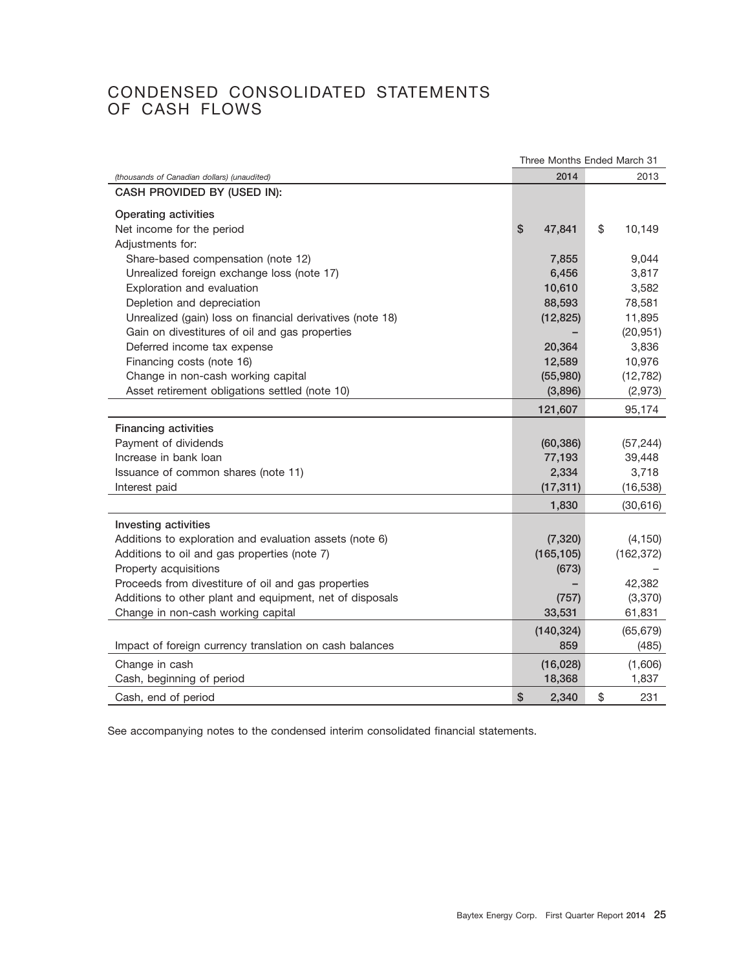## CONDENSED CONSOLIDATED STATEMENTS OF CASH FLOWS

|                                                           | Three Months Ended March 31 |              |  |
|-----------------------------------------------------------|-----------------------------|--------------|--|
| (thousands of Canadian dollars) (unaudited)               | 2014                        | 2013         |  |
| CASH PROVIDED BY (USED IN):                               |                             |              |  |
| <b>Operating activities</b>                               |                             |              |  |
| Net income for the period                                 | \$<br>47,841                | \$<br>10,149 |  |
| Adjustments for:                                          |                             |              |  |
| Share-based compensation (note 12)                        | 7,855                       | 9,044        |  |
| Unrealized foreign exchange loss (note 17)                | 6,456                       | 3,817        |  |
| Exploration and evaluation                                | 10,610                      | 3,582        |  |
| Depletion and depreciation                                | 88,593                      | 78,581       |  |
| Unrealized (gain) loss on financial derivatives (note 18) | (12, 825)                   | 11,895       |  |
| Gain on divestitures of oil and gas properties            |                             | (20, 951)    |  |
| Deferred income tax expense                               | 20,364                      | 3,836        |  |
| Financing costs (note 16)                                 | 12,589                      | 10,976       |  |
| Change in non-cash working capital                        | (55,980)                    | (12, 782)    |  |
| Asset retirement obligations settled (note 10)            | (3,896)                     | (2, 973)     |  |
|                                                           | 121,607                     | 95,174       |  |
| <b>Financing activities</b>                               |                             |              |  |
| Payment of dividends                                      | (60, 386)                   | (57, 244)    |  |
| Increase in bank loan                                     | 77,193                      | 39,448       |  |
| Issuance of common shares (note 11)                       | 2,334                       | 3,718        |  |
| Interest paid                                             | (17, 311)                   | (16, 538)    |  |
|                                                           | 1,830                       | (30, 616)    |  |
| Investing activities                                      |                             |              |  |
| Additions to exploration and evaluation assets (note 6)   | (7, 320)                    | (4, 150)     |  |
| Additions to oil and gas properties (note 7)              | (165, 105)                  | (162, 372)   |  |
| Property acquisitions                                     | (673)                       |              |  |
| Proceeds from divestiture of oil and gas properties       |                             | 42,382       |  |
| Additions to other plant and equipment, net of disposals  | (757)                       | (3,370)      |  |
| Change in non-cash working capital                        | 33,531                      | 61,831       |  |
|                                                           | (140, 324)                  | (65, 679)    |  |
| Impact of foreign currency translation on cash balances   | 859                         | (485)        |  |
| Change in cash                                            | (16,028)                    | (1,606)      |  |
| Cash, beginning of period                                 | 18,368                      | 1,837        |  |
| Cash, end of period                                       | \$<br>2,340                 | \$<br>231    |  |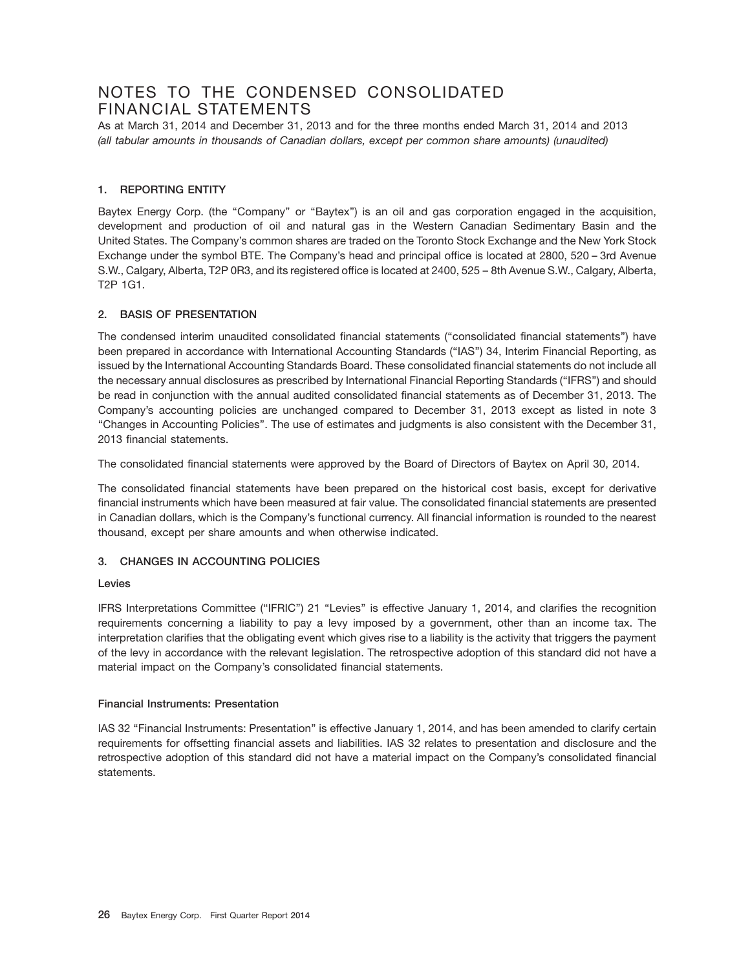## NOTES TO THE CONDENSED CONSOLIDATED FINANCIAL STATEMENTS

As at March 31, 2014 and December 31, 2013 and for the three months ended March 31, 2014 and 2013 *(all tabular amounts in thousands of Canadian dollars, except per common share amounts) (unaudited)*

### **1. REPORTING ENTITY**

Baytex Energy Corp. (the "Company" or "Baytex") is an oil and gas corporation engaged in the acquisition, development and production of oil and natural gas in the Western Canadian Sedimentary Basin and the United States. The Company's common shares are traded on the Toronto Stock Exchange and the New York Stock Exchange under the symbol BTE. The Company's head and principal office is located at 2800, 520 – 3rd Avenue S.W., Calgary, Alberta, T2P 0R3, and its registered office is located at 2400, 525 – 8th Avenue S.W., Calgary, Alberta, T2P 1G1.

### **2. BASIS OF PRESENTATION**

The condensed interim unaudited consolidated financial statements (''consolidated financial statements'') have been prepared in accordance with International Accounting Standards (''IAS'') 34, Interim Financial Reporting, as issued by the International Accounting Standards Board. These consolidated financial statements do not include all the necessary annual disclosures as prescribed by International Financial Reporting Standards (''IFRS'') and should be read in conjunction with the annual audited consolidated financial statements as of December 31, 2013. The Company's accounting policies are unchanged compared to December 31, 2013 except as listed in note 3 ''Changes in Accounting Policies''. The use of estimates and judgments is also consistent with the December 31, 2013 financial statements.

The consolidated financial statements were approved by the Board of Directors of Baytex on April 30, 2014.

The consolidated financial statements have been prepared on the historical cost basis, except for derivative financial instruments which have been measured at fair value. The consolidated financial statements are presented in Canadian dollars, which is the Company's functional currency. All financial information is rounded to the nearest thousand, except per share amounts and when otherwise indicated.

### **3. CHANGES IN ACCOUNTING POLICIES**

### **Levies**

IFRS Interpretations Committee (''IFRIC'') 21 ''Levies'' is effective January 1, 2014, and clarifies the recognition requirements concerning a liability to pay a levy imposed by a government, other than an income tax. The interpretation clarifies that the obligating event which gives rise to a liability is the activity that triggers the payment of the levy in accordance with the relevant legislation. The retrospective adoption of this standard did not have a material impact on the Company's consolidated financial statements.

### **Financial Instruments: Presentation**

IAS 32 ''Financial Instruments: Presentation'' is effective January 1, 2014, and has been amended to clarify certain requirements for offsetting financial assets and liabilities. IAS 32 relates to presentation and disclosure and the retrospective adoption of this standard did not have a material impact on the Company's consolidated financial statements.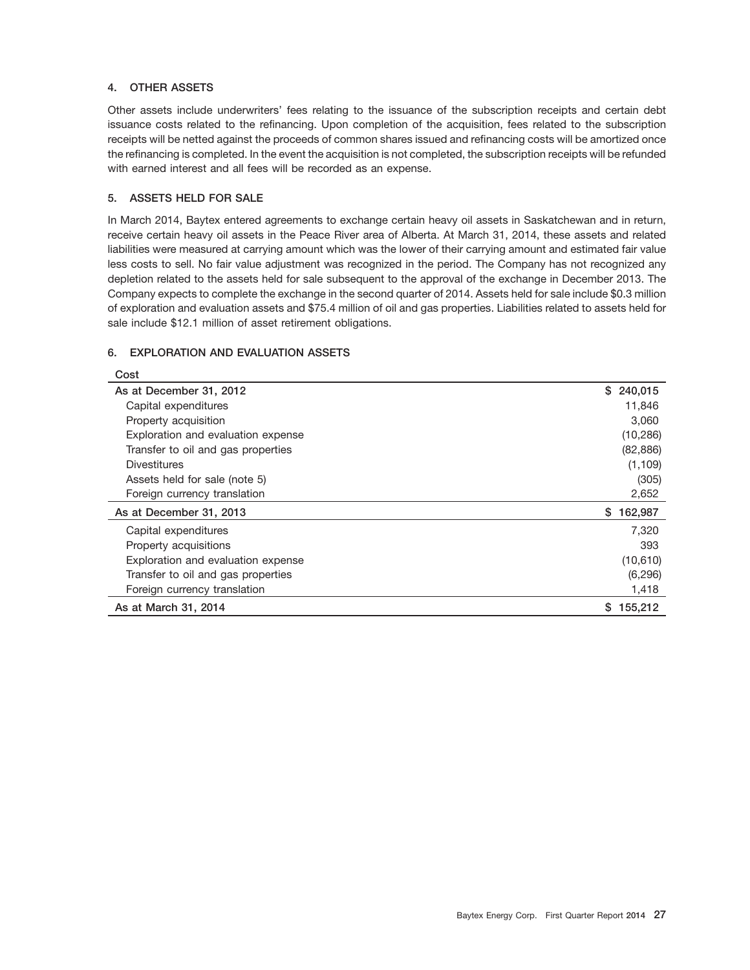### **4. OTHER ASSETS**

Other assets include underwriters' fees relating to the issuance of the subscription receipts and certain debt issuance costs related to the refinancing. Upon completion of the acquisition, fees related to the subscription receipts will be netted against the proceeds of common shares issued and refinancing costs will be amortized once the refinancing is completed. In the event the acquisition is not completed, the subscription receipts will be refunded with earned interest and all fees will be recorded as an expense.

### **5. ASSETS HELD FOR SALE**

In March 2014, Baytex entered agreements to exchange certain heavy oil assets in Saskatchewan and in return, receive certain heavy oil assets in the Peace River area of Alberta. At March 31, 2014, these assets and related liabilities were measured at carrying amount which was the lower of their carrying amount and estimated fair value less costs to sell. No fair value adjustment was recognized in the period. The Company has not recognized any depletion related to the assets held for sale subsequent to the approval of the exchange in December 2013. The Company expects to complete the exchange in the second quarter of 2014. Assets held for sale include \$0.3 million of exploration and evaluation assets and \$75.4 million of oil and gas properties. Liabilities related to assets held for sale include \$12.1 million of asset retirement obligations.

### **6. EXPLORATION AND EVALUATION ASSETS**

| Cost                               |               |
|------------------------------------|---------------|
| As at December 31, 2012            | \$240,015     |
| Capital expenditures               | 11,846        |
| Property acquisition               | 3,060         |
| Exploration and evaluation expense | (10, 286)     |
| Transfer to oil and gas properties | (82, 886)     |
| <b>Divestitures</b>                | (1, 109)      |
| Assets held for sale (note 5)      | (305)         |
| Foreign currency translation       | 2,652         |
| As at December 31, 2013            | \$162,987     |
| Capital expenditures               | 7,320         |
| Property acquisitions              | 393           |
| Exploration and evaluation expense | (10,610)      |
| Transfer to oil and gas properties | (6, 296)      |
| Foreign currency translation       | 1,418         |
| As at March 31, 2014               | 155,212<br>S. |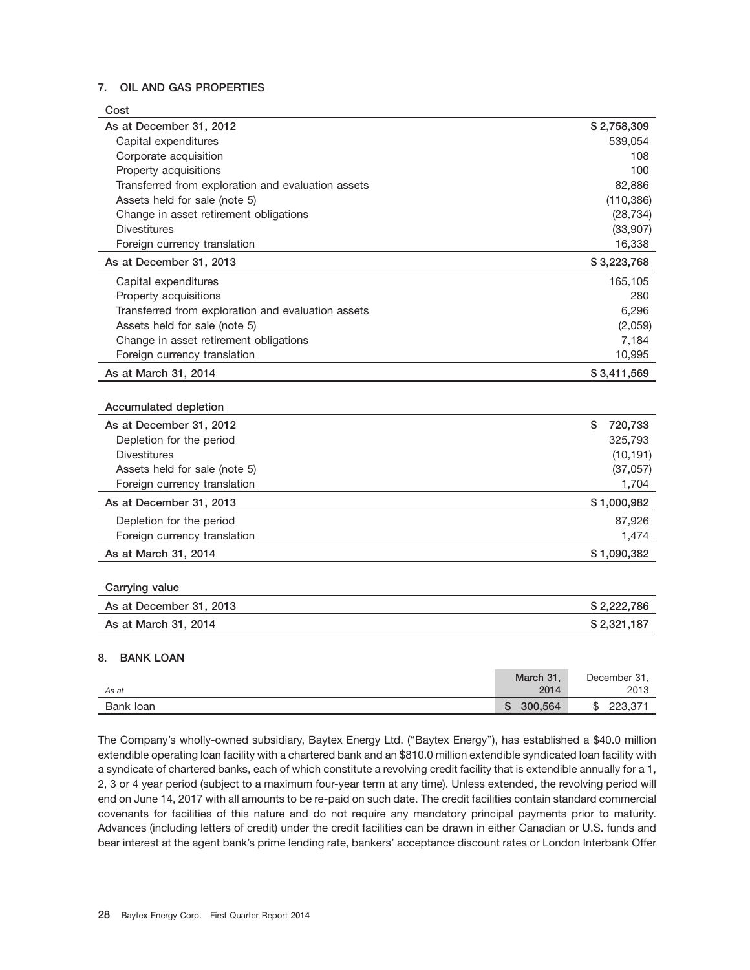### **7. OIL AND GAS PROPERTIES**

| Cost                                               |               |
|----------------------------------------------------|---------------|
| As at December 31, 2012                            | \$2,758,309   |
| Capital expenditures                               | 539,054       |
| Corporate acquisition                              | 108           |
| Property acquisitions                              | 100           |
| Transferred from exploration and evaluation assets | 82,886        |
| Assets held for sale (note 5)                      | (110, 386)    |
| Change in asset retirement obligations             | (28, 734)     |
| <b>Divestitures</b>                                | (33,907)      |
| Foreign currency translation                       | 16,338        |
| As at December 31, 2013                            | \$3,223,768   |
| Capital expenditures                               | 165,105       |
| Property acquisitions                              | 280           |
| Transferred from exploration and evaluation assets | 6,296         |
| Assets held for sale (note 5)                      | (2,059)       |
| Change in asset retirement obligations             | 7,184         |
| Foreign currency translation                       | 10,995        |
| As at March 31, 2014                               | \$3,411,569   |
| Accumulated depletion                              |               |
| As at December 31, 2012                            | \$<br>720,733 |
| Depletion for the period                           | 325,793       |
| <b>Divestitures</b>                                | (10, 191)     |
| Assets held for sale (note 5)                      | (37,057)      |
| Foreign currency translation                       | 1,704         |
| As at December 31, 2013                            | \$1,000,982   |
| Depletion for the period                           | 87,926        |
| Foreign currency translation                       | 1,474         |
| As at March 31, 2014                               | \$1,090,382   |
| Carrying value                                     |               |
| As at December 31, 2013                            | \$2,222,786   |
| As at March 31, 2014                               | \$2,321,187   |
| <b>BANK LOAN</b><br>8.                             |               |

|           | March 31,    | December 31,  |
|-----------|--------------|---------------|
| As at     | 2014         | 2013          |
| Bank loan | 300,564<br>S | 223.371<br>\$ |

The Company's wholly-owned subsidiary, Baytex Energy Ltd. (''Baytex Energy''), has established a \$40.0 million extendible operating loan facility with a chartered bank and an \$810.0 million extendible syndicated loan facility with a syndicate of chartered banks, each of which constitute a revolving credit facility that is extendible annually for a 1, 2, 3 or 4 year period (subject to a maximum four-year term at any time). Unless extended, the revolving period will end on June 14, 2017 with all amounts to be re-paid on such date. The credit facilities contain standard commercial covenants for facilities of this nature and do not require any mandatory principal payments prior to maturity. Advances (including letters of credit) under the credit facilities can be drawn in either Canadian or U.S. funds and bear interest at the agent bank's prime lending rate, bankers' acceptance discount rates or London Interbank Offer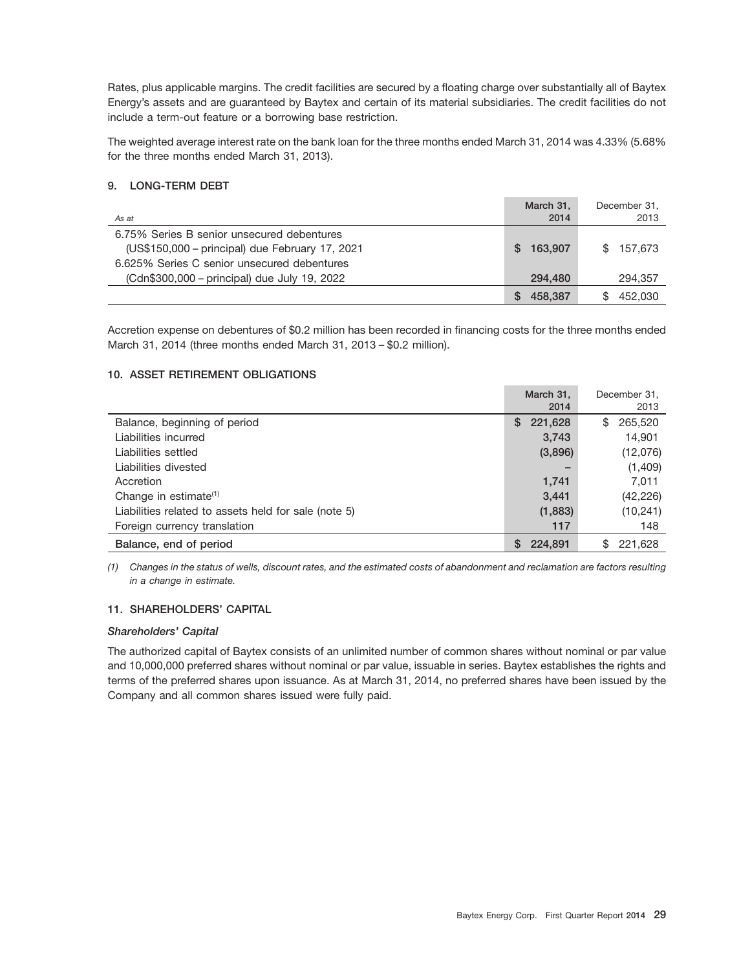Rates, plus applicable margins. The credit facilities are secured by a floating charge over substantially all of Baytex Energy's assets and are guaranteed by Baytex and certain of its material subsidiaries. The credit facilities do not include a term-out feature or a borrowing base restriction.

The weighted average interest rate on the bank loan for the three months ended March 31, 2014 was 4.33% (5.68% for the three months ended March 31, 2013).

### **9. LONG-TERM DEBT**

| As at                                                                                                                                        | March 31,<br>2014 | December 31.<br>2013 |
|----------------------------------------------------------------------------------------------------------------------------------------------|-------------------|----------------------|
| 6.75% Series B senior unsecured debentures<br>(US\$150,000 - principal) due February 17, 2021<br>6.625% Series C senior unsecured debentures | 163,907<br>S.     | 157.673<br>S.        |
| (Cdn\$300,000 – principal) due July 19, 2022                                                                                                 | 294,480           | 294,357              |
|                                                                                                                                              | 458.387           | 452.030              |

Accretion expense on debentures of \$0.2 million has been recorded in financing costs for the three months ended March 31, 2014 (three months ended March 31, 2013 – \$0.2 million).

### **10. ASSET RETIREMENT OBLIGATIONS**

|                                                      | March 31,<br>2014 | December 31,<br>2013 |
|------------------------------------------------------|-------------------|----------------------|
| Balance, beginning of period                         | 221,628<br>S      | 265,520<br>\$        |
| Liabilities incurred                                 | 3,743             | 14.901               |
| Liabilities settled                                  | (3,896)           | (12,076)             |
| Liabilities divested                                 |                   | (1,409)              |
| Accretion                                            | 1,741             | 7,011                |
| Change in estimate $(1)$                             | 3,441             | (42, 226)            |
| Liabilities related to assets held for sale (note 5) | (1,883)           | (10, 241)            |
| Foreign currency translation                         | 117               | 148                  |
| Balance, end of period                               | 224.891           | \$<br>221.628        |

*(1) Changes in the status of wells, discount rates, and the estimated costs of abandonment and reclamation are factors resulting in a change in estimate.*

### **11. SHAREHOLDERS' CAPITAL**

### *Shareholders' Capital*

The authorized capital of Baytex consists of an unlimited number of common shares without nominal or par value and 10,000,000 preferred shares without nominal or par value, issuable in series. Baytex establishes the rights and terms of the preferred shares upon issuance. As at March 31, 2014, no preferred shares have been issued by the Company and all common shares issued were fully paid.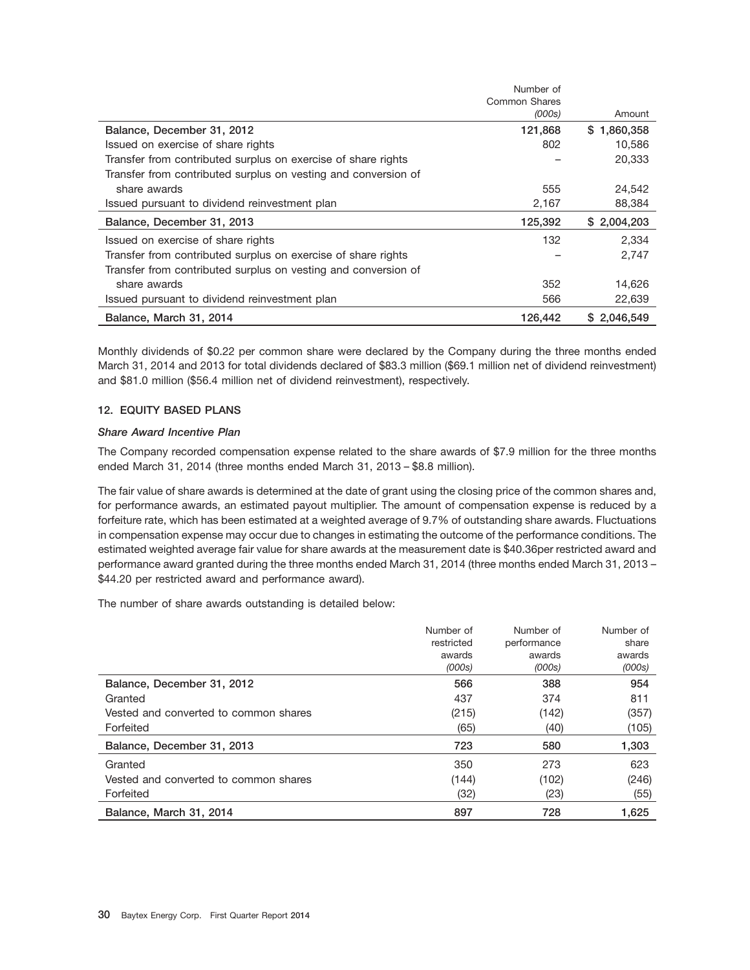|                                                                | Number of            |             |
|----------------------------------------------------------------|----------------------|-------------|
|                                                                | <b>Common Shares</b> |             |
|                                                                | (000s)               | Amount      |
| Balance, December 31, 2012                                     | 121,868              | \$1,860,358 |
| Issued on exercise of share rights                             | 802                  | 10,586      |
| Transfer from contributed surplus on exercise of share rights  |                      | 20,333      |
| Transfer from contributed surplus on vesting and conversion of |                      |             |
| share awards                                                   | 555                  | 24,542      |
| Issued pursuant to dividend reinvestment plan                  | 2,167                | 88,384      |
| Balance, December 31, 2013                                     | 125,392              | \$2,004,203 |
| Issued on exercise of share rights                             | 132                  | 2,334       |
| Transfer from contributed surplus on exercise of share rights  |                      | 2,747       |
| Transfer from contributed surplus on vesting and conversion of |                      |             |
| share awards                                                   | 352                  | 14,626      |
| Issued pursuant to dividend reinvestment plan                  | 566                  | 22,639      |
| Balance, March 31, 2014                                        | 126,442              | \$2.046.549 |

Monthly dividends of \$0.22 per common share were declared by the Company during the three months ended March 31, 2014 and 2013 for total dividends declared of \$83.3 million (\$69.1 million net of dividend reinvestment) and \$81.0 million (\$56.4 million net of dividend reinvestment), respectively.

### **12. EQUITY BASED PLANS**

### *Share Award Incentive Plan*

The Company recorded compensation expense related to the share awards of \$7.9 million for the three months ended March 31, 2014 (three months ended March 31, 2013 – \$8.8 million).

The fair value of share awards is determined at the date of grant using the closing price of the common shares and, for performance awards, an estimated payout multiplier. The amount of compensation expense is reduced by a forfeiture rate, which has been estimated at a weighted average of 9.7% of outstanding share awards. Fluctuations in compensation expense may occur due to changes in estimating the outcome of the performance conditions. The estimated weighted average fair value for share awards at the measurement date is \$40.36per restricted award and performance award granted during the three months ended March 31, 2014 (three months ended March 31, 2013 – \$44.20 per restricted award and performance award).

The number of share awards outstanding is detailed below:

|                                       | Number of<br>restricted<br>awards<br>(000s) | Number of<br>performance<br>awards<br>(000s) | Number of<br>share<br>awards<br>(000s) |
|---------------------------------------|---------------------------------------------|----------------------------------------------|----------------------------------------|
| Balance, December 31, 2012            | 566                                         | 388                                          | 954                                    |
| Granted                               | 437                                         | 374                                          | 811                                    |
| Vested and converted to common shares | (215)                                       | (142)                                        | (357)                                  |
| Forfeited                             | (65)                                        | (40)                                         | (105)                                  |
| Balance, December 31, 2013            | 723                                         | 580                                          | 1,303                                  |
| Granted                               | 350                                         | 273                                          | 623                                    |
| Vested and converted to common shares | (144)                                       | (102)                                        | (246)                                  |
| Forfeited                             | (32)                                        | (23)                                         | (55)                                   |
| Balance, March 31, 2014               | 897                                         | 728                                          | 1.625                                  |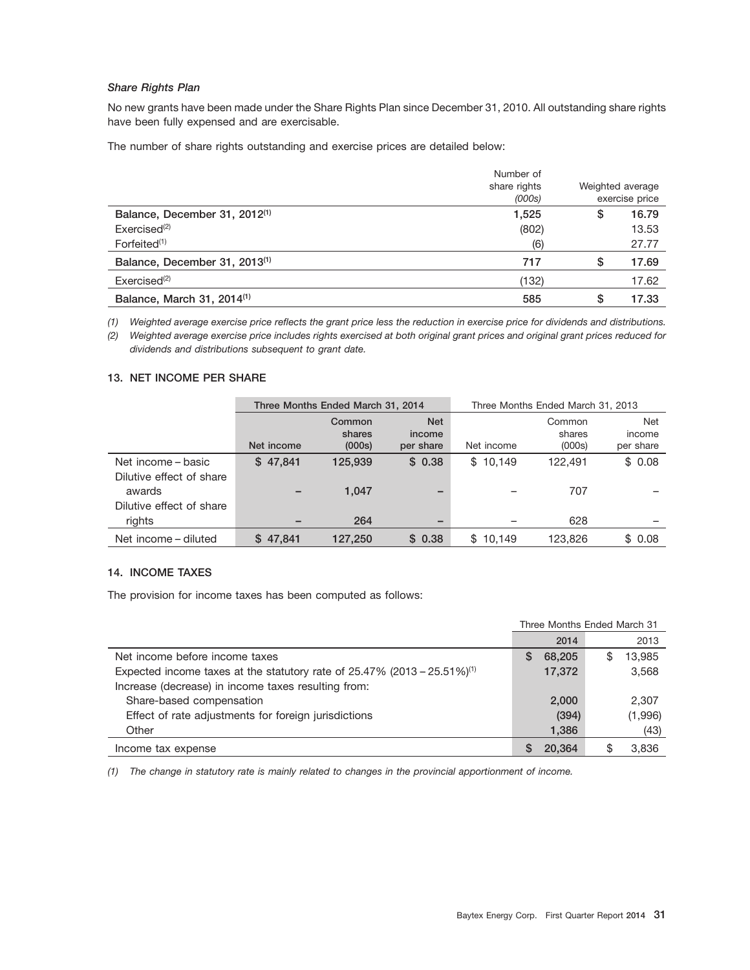### *Share Rights Plan*

No new grants have been made under the Share Rights Plan since December 31, 2010. All outstanding share rights have been fully expensed and are exercisable.

The number of share rights outstanding and exercise prices are detailed below:

|                                           | Number of<br>share rights<br>(000s) |    | Weighted average<br>exercise price |
|-------------------------------------------|-------------------------------------|----|------------------------------------|
| Balance, December 31, 2012 <sup>(1)</sup> | 1,525                               | S  | 16.79                              |
| Exercise d <sup>(2)</sup>                 | (802)                               |    | 13.53                              |
| Forfeited $(1)$                           | (6)                                 |    | 27.77                              |
| Balance, December 31, 2013 <sup>(1)</sup> | 717                                 | \$ | 17.69                              |
| Exercise d <sup>(2)</sup>                 | (132)                               |    | 17.62                              |
| Balance, March 31, 2014 <sup>(1)</sup>    | 585                                 | S  | 17.33                              |

*(1) Weighted average exercise price reflects the grant price less the reduction in exercise price for dividends and distributions.*

*(2) Weighted average exercise price includes rights exercised at both original grant prices and original grant prices reduced for dividends and distributions subsequent to grant date.*

### **13. NET INCOME PER SHARE**

|                          | Three Months Ended March 31, 2014 |         |            | Three Months Ended March 31, 2013 |         |            |
|--------------------------|-----------------------------------|---------|------------|-----------------------------------|---------|------------|
|                          |                                   | Common  | <b>Net</b> |                                   | Common  | <b>Net</b> |
|                          |                                   | shares  | income     |                                   | shares  | income     |
|                          | Net income                        | (000s)  | per share  | Net income                        | (000s)  | per share  |
| Net income – basic       | \$47.841                          | 125.939 | \$0.38     | \$10.149                          | 122.491 | \$0.08     |
| Dilutive effect of share |                                   |         |            |                                   |         |            |
| awards                   |                                   | 1.047   | -          |                                   | 707     |            |
| Dilutive effect of share |                                   |         |            |                                   |         |            |
| rights                   | -                                 | 264     | -          |                                   | 628     |            |
| Net income – diluted     | \$47.841                          | 127,250 | \$0.38     | \$10.149                          | 123.826 | \$0.08     |

### **14. INCOME TAXES**

The provision for income taxes has been computed as follows:

|                                                                                             | Three Months Ended March 31 |   |         |
|---------------------------------------------------------------------------------------------|-----------------------------|---|---------|
|                                                                                             | 2014                        |   | 2013    |
| Net income before income taxes                                                              | 68.205<br>S                 | S | 13,985  |
| Expected income taxes at the statutory rate of $25.47\%$ (2013 - $25.51\%$ ) <sup>(1)</sup> | 17,372                      |   | 3,568   |
| Increase (decrease) in income taxes resulting from:                                         |                             |   |         |
| Share-based compensation                                                                    | 2,000                       |   | 2.307   |
| Effect of rate adjustments for foreign jurisdictions                                        | (394)                       |   | (1,996) |
| Other                                                                                       | 1,386                       |   | (43)    |
| Income tax expense                                                                          | 20,364                      |   | 3.836   |

*(1) The change in statutory rate is mainly related to changes in the provincial apportionment of income.*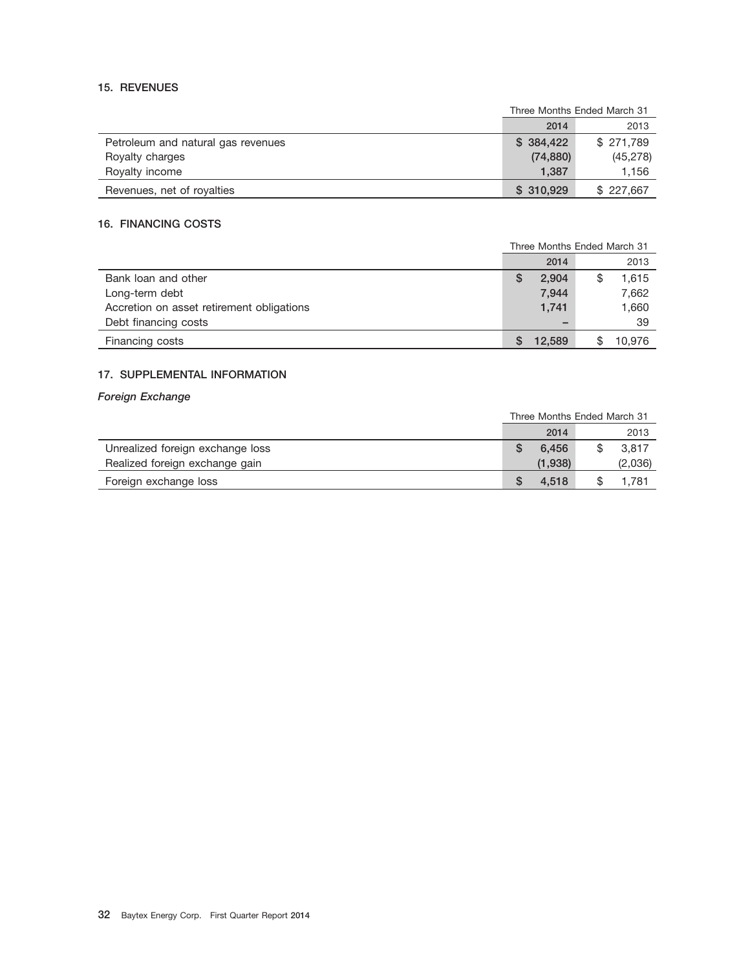### **15. REVENUES**

|                                    | Three Months Ended March 31 |           |
|------------------------------------|-----------------------------|-----------|
|                                    | 2014                        | 2013      |
| Petroleum and natural gas revenues | \$ 384,422                  | \$271.789 |
| Royalty charges                    | (74, 880)                   | (45, 278) |
| Royalty income                     | 1,387                       | 1,156     |
| Revenues, net of royalties         | \$310.929                   | \$227.667 |

### **16. FINANCING COSTS**

|                                           | Three Months Ended March 31 |                          |  |        |
|-------------------------------------------|-----------------------------|--------------------------|--|--------|
|                                           |                             | 2014                     |  | 2013   |
| Bank loan and other                       | S                           | 2,904                    |  | 1,615  |
| Long-term debt                            |                             | 7.944                    |  | 7,662  |
| Accretion on asset retirement obligations |                             | 1,741                    |  | 1,660  |
| Debt financing costs                      |                             | $\overline{\phantom{0}}$ |  | -39    |
| Financing costs                           | S                           | 12,589                   |  | 10,976 |

### **17. SUPPLEMENTAL INFORMATION**

*Foreign Exchange*

|                                  | Three Months Ended March 31 |         |  |         |
|----------------------------------|-----------------------------|---------|--|---------|
|                                  |                             | 2014    |  | 2013    |
| Unrealized foreign exchange loss |                             | 6.456   |  | 3.817   |
| Realized foreign exchange gain   |                             | (1.938) |  | (2,036) |
| Foreign exchange loss            |                             | 4.518   |  | 1.781   |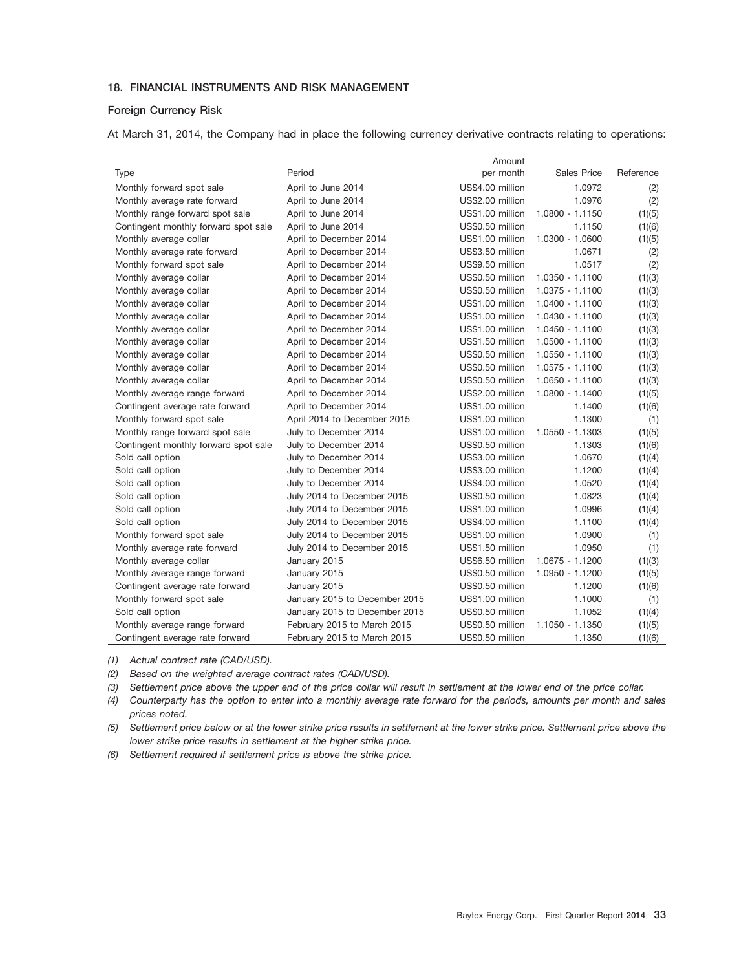### **18. FINANCIAL INSTRUMENTS AND RISK MANAGEMENT**

#### **Foreign Currency Risk**

At March 31, 2014, the Company had in place the following currency derivative contracts relating to operations:

|                                      |                               | Amount           |                 |           |
|--------------------------------------|-------------------------------|------------------|-----------------|-----------|
| Type                                 | Period                        | per month        | Sales Price     | Reference |
| Monthly forward spot sale            | April to June 2014            | US\$4.00 million | 1.0972          | (2)       |
| Monthly average rate forward         | April to June 2014            | US\$2.00 million | 1.0976          | (2)       |
| Monthly range forward spot sale      | April to June 2014            | US\$1.00 million | 1.0800 - 1.1150 | (1)(5)    |
| Contingent monthly forward spot sale | April to June 2014            | US\$0.50 million | 1.1150          | (1)(6)    |
| Monthly average collar               | April to December 2014        | US\$1.00 million | 1.0300 - 1.0600 | (1)(5)    |
| Monthly average rate forward         | April to December 2014        | US\$3.50 million | 1.0671          | (2)       |
| Monthly forward spot sale            | April to December 2014        | US\$9.50 million | 1.0517          | (2)       |
| Monthly average collar               | April to December 2014        | US\$0.50 million | 1.0350 - 1.1100 | (1)(3)    |
| Monthly average collar               | April to December 2014        | US\$0.50 million | 1.0375 - 1.1100 | (1)(3)    |
| Monthly average collar               | April to December 2014        | US\$1.00 million | 1.0400 - 1.1100 | (1)(3)    |
| Monthly average collar               | April to December 2014        | US\$1.00 million | 1.0430 - 1.1100 | (1)(3)    |
| Monthly average collar               | April to December 2014        | US\$1.00 million | 1.0450 - 1.1100 | (1)(3)    |
| Monthly average collar               | April to December 2014        | US\$1.50 million | 1.0500 - 1.1100 | (1)(3)    |
| Monthly average collar               | April to December 2014        | US\$0.50 million | 1.0550 - 1.1100 | (1)(3)    |
| Monthly average collar               | April to December 2014        | US\$0.50 million | 1.0575 - 1.1100 | (1)(3)    |
| Monthly average collar               | April to December 2014        | US\$0.50 million | 1.0650 - 1.1100 | (1)(3)    |
| Monthly average range forward        | April to December 2014        | US\$2.00 million | 1.0800 - 1.1400 | (1)(5)    |
| Contingent average rate forward      | April to December 2014        | US\$1.00 million | 1.1400          | (1)(6)    |
| Monthly forward spot sale            | April 2014 to December 2015   | US\$1.00 million | 1.1300          | (1)       |
| Monthly range forward spot sale      | July to December 2014         | US\$1.00 million | 1.0550 - 1.1303 | (1)(5)    |
| Contingent monthly forward spot sale | July to December 2014         | US\$0.50 million | 1.1303          | (1)(6)    |
| Sold call option                     | July to December 2014         | US\$3.00 million | 1.0670          | (1)(4)    |
| Sold call option                     | July to December 2014         | US\$3.00 million | 1.1200          | (1)(4)    |
| Sold call option                     | July to December 2014         | US\$4.00 million | 1.0520          | (1)(4)    |
| Sold call option                     | July 2014 to December 2015    | US\$0.50 million | 1.0823          | (1)(4)    |
| Sold call option                     | July 2014 to December 2015    | US\$1.00 million | 1.0996          | (1)(4)    |
| Sold call option                     | July 2014 to December 2015    | US\$4.00 million | 1.1100          | (1)(4)    |
| Monthly forward spot sale            | July 2014 to December 2015    | US\$1.00 million | 1.0900          | (1)       |
| Monthly average rate forward         | July 2014 to December 2015    | US\$1.50 million | 1.0950          | (1)       |
| Monthly average collar               | January 2015                  | US\$6.50 million | 1.0675 - 1.1200 | (1)(3)    |
| Monthly average range forward        | January 2015                  | US\$0.50 million | 1.0950 - 1.1200 | (1)(5)    |
| Contingent average rate forward      | January 2015                  | US\$0.50 million | 1.1200          | (1)(6)    |
| Monthly forward spot sale            | January 2015 to December 2015 | US\$1.00 million | 1.1000          | (1)       |
| Sold call option                     | January 2015 to December 2015 | US\$0.50 million | 1.1052          | (1)(4)    |
| Monthly average range forward        | February 2015 to March 2015   | US\$0.50 million | 1.1050 - 1.1350 | (1)(5)    |
| Contingent average rate forward      | February 2015 to March 2015   | US\$0.50 million | 1.1350          | (1)(6)    |

*(1) Actual contract rate (CAD/USD).*

*(2) Based on the weighted average contract rates (CAD/USD).*

*(3) Settlement price above the upper end of the price collar will result in settlement at the lower end of the price collar.*

*(4) Counterparty has the option to enter into a monthly average rate forward for the periods, amounts per month and sales prices noted.*

*(5) Settlement price below or at the lower strike price results in settlement at the lower strike price. Settlement price above the lower strike price results in settlement at the higher strike price.*

*(6) Settlement required if settlement price is above the strike price.*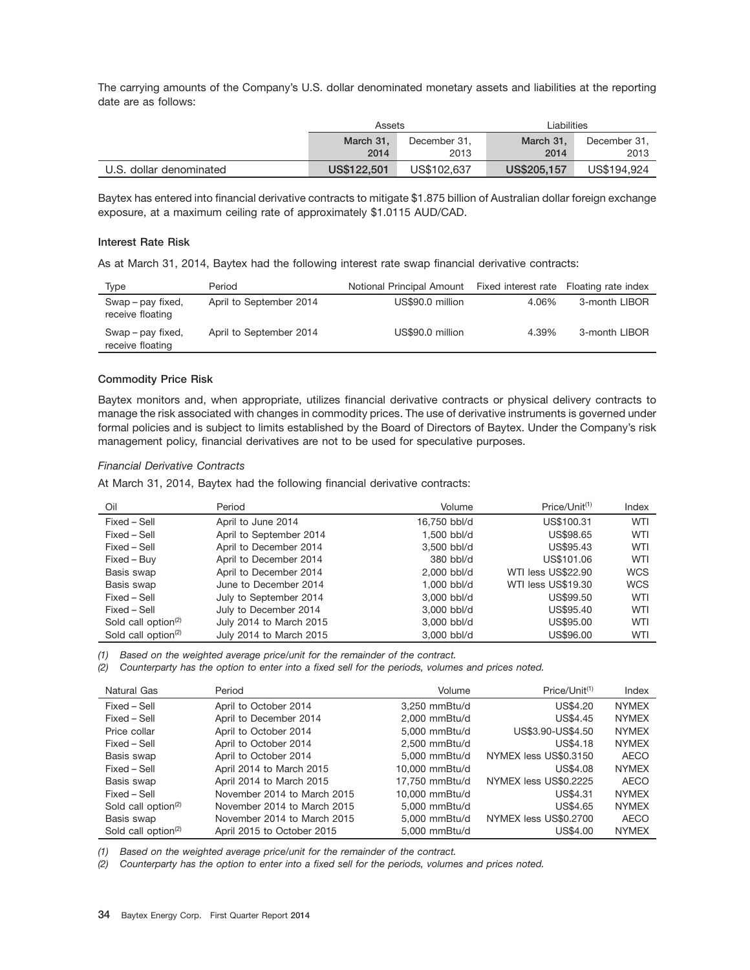The carrying amounts of the Company's U.S. dollar denominated monetary assets and liabilities at the reporting date are as follows:

|                         | Assets                    |             | Liabilities |              |
|-------------------------|---------------------------|-------------|-------------|--------------|
|                         | March 31.<br>December 31. |             | March 31.   | December 31. |
|                         | 2014                      | 2013        | 2014        | 2013         |
| U.S. dollar denominated | US\$122,501               | US\$102,637 | US\$205.157 | US\$194,924  |

Baytex has entered into financial derivative contracts to mitigate \$1.875 billion of Australian dollar foreign exchange exposure, at a maximum ceiling rate of approximately \$1.0115 AUD/CAD.

### **Interest Rate Risk**

As at March 31, 2014, Baytex had the following interest rate swap financial derivative contracts:

| Type                                  | Period                  | Notional Principal Amount |       | Fixed interest rate Floating rate index |
|---------------------------------------|-------------------------|---------------------------|-------|-----------------------------------------|
| Swap – pay fixed,<br>receive floating | April to September 2014 | US\$90.0 million          | 4.06% | 3-month LIBOR                           |
| Swap – pay fixed,<br>receive floating | April to September 2014 | US\$90.0 million          | 4.39% | 3-month LIBOR                           |

### **Commodity Price Risk**

Baytex monitors and, when appropriate, utilizes financial derivative contracts or physical delivery contracts to manage the risk associated with changes in commodity prices. The use of derivative instruments is governed under formal policies and is subject to limits established by the Board of Directors of Baytex. Under the Company's risk management policy, financial derivatives are not to be used for speculative purposes.

### *Financial Derivative Contracts*

At March 31, 2014, Baytex had the following financial derivative contracts:

| Oil                                          | Period                  | Volume       | Price/Unit <sup>(1)</sup> | Index      |
|----------------------------------------------|-------------------------|--------------|---------------------------|------------|
| Fixed – Sell                                 | April to June 2014      | 16.750 bbl/d | US\$100.31                | WTI        |
| Fixed – Sell                                 | April to September 2014 | 1.500 bbl/d  | US\$98.65                 | WTI        |
| Fixed – Sell                                 | April to December 2014  | 3.500 bbl/d  | US\$95.43                 | WTI        |
| Fixed – Buy                                  | April to December 2014  | 380 bbl/d    | US\$101.06                | WTI        |
| Basis swap                                   | April to December 2014  | 2.000 bbl/d  | WTI less US\$22.90        | <b>WCS</b> |
| Basis swap                                   | June to December 2014   | 1.000 bbl/d  | WTI less US\$19.30        | <b>WCS</b> |
| Fixed – Sell                                 | July to September 2014  | 3,000 bbl/d  | US\$99.50                 | WTI        |
| Fixed - Sell                                 | July to December 2014   | 3,000 bbl/d  | US\$95.40                 | WTI        |
| Sold call option <sup><math>(2)</math></sup> | July 2014 to March 2015 | 3,000 bbl/d  | US\$95.00                 | WTI        |
| Sold call option <sup><math>(2)</math></sup> | July 2014 to March 2015 | 3,000 bbl/d  | US\$96.00                 | WTI        |

*(1) Based on the weighted average price/unit for the remainder of the contract.*

*(2) Counterparty has the option to enter into a fixed sell for the periods, volumes and prices noted.*

| Natural Gas                                  | Period                      | Volume         | Price/Unit <sup>(1)</sup> | Index        |
|----------------------------------------------|-----------------------------|----------------|---------------------------|--------------|
| Fixed - Sell                                 | April to October 2014       | 3.250 mmBtu/d  | US\$4.20                  | <b>NYMEX</b> |
| Fixed - Sell                                 | April to December 2014      | 2.000 mmBtu/d  | US\$4.45                  | <b>NYMEX</b> |
| Price collar                                 | April to October 2014       | 5.000 mmBtu/d  | US\$3.90-US\$4.50         | <b>NYMEX</b> |
| Fixed - Sell                                 | April to October 2014       | 2.500 mmBtu/d  | <b>US\$4.18</b>           | <b>NYMEX</b> |
| Basis swap                                   | April to October 2014       | 5.000 mmBtu/d  | NYMEX less US\$0.3150     | <b>AECO</b>  |
| Fixed - Sell                                 | April 2014 to March 2015    | 10,000 mmBtu/d | US\$4.08                  | <b>NYMEX</b> |
| Basis swap                                   | April 2014 to March 2015    | 17.750 mmBtu/d | NYMEX less US\$0.2225     | <b>AECO</b>  |
| Fixed - Sell                                 | November 2014 to March 2015 | 10,000 mmBtu/d | US\$4.31                  | <b>NYMEX</b> |
| Sold call option <sup><math>(2)</math></sup> | November 2014 to March 2015 | 5.000 mmBtu/d  | US\$4.65                  | <b>NYMEX</b> |
| Basis swap                                   | November 2014 to March 2015 | 5,000 mmBtu/d  | NYMEX less US\$0,2700     | <b>AECO</b>  |
| Sold call option <sup>(2)</sup>              | April 2015 to October 2015  | 5,000 mmBtu/d  | US\$4.00                  | <b>NYMEX</b> |

*(1) Based on the weighted average price/unit for the remainder of the contract.*

*(2) Counterparty has the option to enter into a fixed sell for the periods, volumes and prices noted.*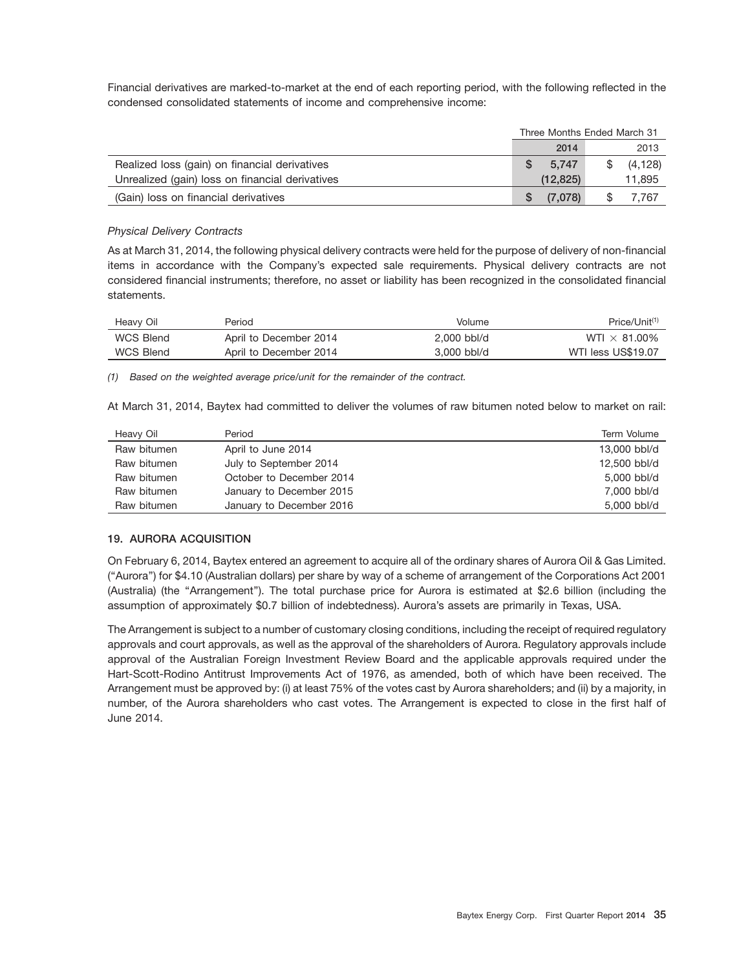Financial derivatives are marked-to-market at the end of each reporting period, with the following reflected in the condensed consolidated statements of income and comprehensive income:

|                                                 | Three Months Ended March 31 |           |  |          |
|-------------------------------------------------|-----------------------------|-----------|--|----------|
|                                                 |                             | 2014      |  | 2013     |
| Realized loss (gain) on financial derivatives   |                             | 5.747     |  | (4, 128) |
| Unrealized (gain) loss on financial derivatives |                             | (12, 825) |  | 11,895   |
| (Gain) loss on financial derivatives            |                             | (7.078)   |  | 7.767    |

### *Physical Delivery Contracts*

As at March 31, 2014, the following physical delivery contracts were held for the purpose of delivery of non-financial items in accordance with the Company's expected sale requirements. Physical delivery contracts are not considered financial instruments; therefore, no asset or liability has been recognized in the consolidated financial statements.

| Heavy Oil        | Period                 | Volume        | Price/Unit <sup>(1)</sup> |
|------------------|------------------------|---------------|---------------------------|
| <b>WCS Blend</b> | April to December 2014 | $2.000$ bbl/d | WTI $\times$ 81.00%       |
| <b>WCS Blend</b> | April to December 2014 | $3.000$ bbl/d | WTI less US\$19.07        |

*(1) Based on the weighted average price/unit for the remainder of the contract.*

At March 31, 2014, Baytex had committed to deliver the volumes of raw bitumen noted below to market on rail:

| Heavy Oil   | Period                   | Term Volume  |
|-------------|--------------------------|--------------|
| Raw bitumen | April to June 2014       | 13,000 bbl/d |
| Raw bitumen | July to September 2014   | 12,500 bbl/d |
| Raw bitumen | October to December 2014 | 5,000 bbl/d  |
| Raw bitumen | January to December 2015 | 7,000 bbl/d  |
| Raw bitumen | January to December 2016 | 5,000 bbl/d  |

### **19. AURORA ACQUISITION**

On February 6, 2014, Baytex entered an agreement to acquire all of the ordinary shares of Aurora Oil & Gas Limited. (''Aurora'') for \$4.10 (Australian dollars) per share by way of a scheme of arrangement of the Corporations Act 2001 (Australia) (the ''Arrangement''). The total purchase price for Aurora is estimated at \$2.6 billion (including the assumption of approximately \$0.7 billion of indebtedness). Aurora's assets are primarily in Texas, USA.

The Arrangement is subject to a number of customary closing conditions, including the receipt of required regulatory approvals and court approvals, as well as the approval of the shareholders of Aurora. Regulatory approvals include approval of the Australian Foreign Investment Review Board and the applicable approvals required under the Hart-Scott-Rodino Antitrust Improvements Act of 1976, as amended, both of which have been received. The Arrangement must be approved by: (i) at least 75% of the votes cast by Aurora shareholders; and (ii) by a majority, in number, of the Aurora shareholders who cast votes. The Arrangement is expected to close in the first half of June 2014.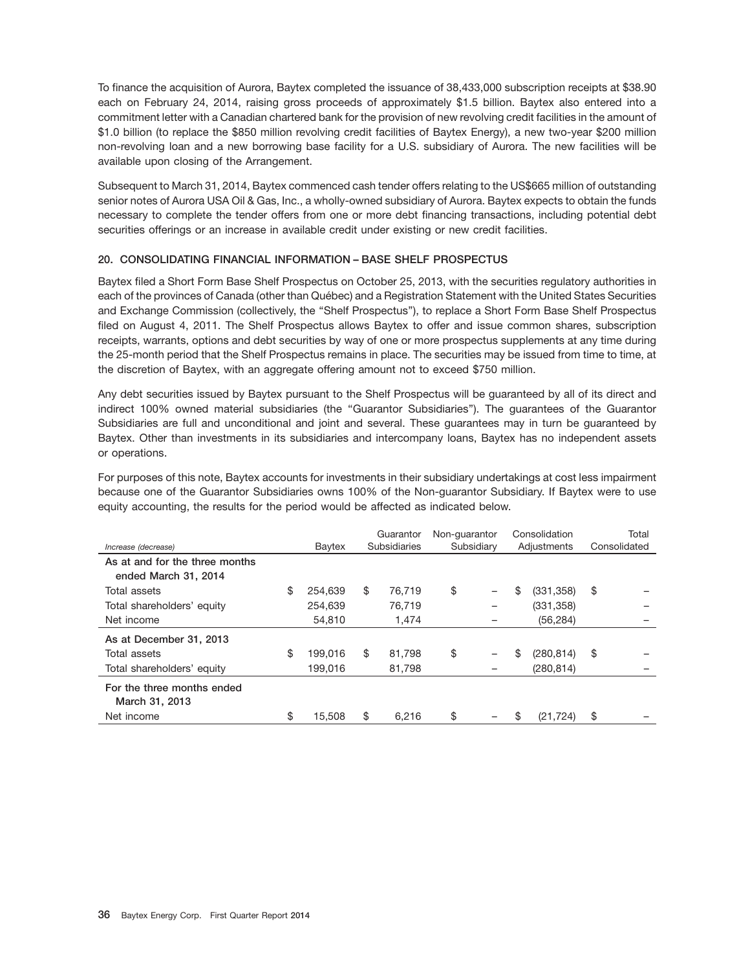To finance the acquisition of Aurora, Baytex completed the issuance of 38,433,000 subscription receipts at \$38.90 each on February 24, 2014, raising gross proceeds of approximately \$1.5 billion. Baytex also entered into a commitment letter with a Canadian chartered bank for the provision of new revolving credit facilities in the amount of \$1.0 billion (to replace the \$850 million revolving credit facilities of Baytex Energy), a new two-year \$200 million non-revolving loan and a new borrowing base facility for a U.S. subsidiary of Aurora. The new facilities will be available upon closing of the Arrangement.

Subsequent to March 31, 2014, Baytex commenced cash tender offers relating to the US\$665 million of outstanding senior notes of Aurora USA Oil & Gas, Inc., a wholly-owned subsidiary of Aurora. Baytex expects to obtain the funds necessary to complete the tender offers from one or more debt financing transactions, including potential debt securities offerings or an increase in available credit under existing or new credit facilities.

### **20. CONSOLIDATING FINANCIAL INFORMATION – BASE SHELF PROSPECTUS**

Baytex filed a Short Form Base Shelf Prospectus on October 25, 2013, with the securities regulatory authorities in each of the provinces of Canada (other than Québec) and a Registration Statement with the United States Securities and Exchange Commission (collectively, the ''Shelf Prospectus''), to replace a Short Form Base Shelf Prospectus filed on August 4, 2011. The Shelf Prospectus allows Baytex to offer and issue common shares, subscription receipts, warrants, options and debt securities by way of one or more prospectus supplements at any time during the 25-month period that the Shelf Prospectus remains in place. The securities may be issued from time to time, at the discretion of Baytex, with an aggregate offering amount not to exceed \$750 million.

Any debt securities issued by Baytex pursuant to the Shelf Prospectus will be guaranteed by all of its direct and indirect 100% owned material subsidiaries (the "Guarantor Subsidiaries"). The guarantees of the Guarantor Subsidiaries are full and unconditional and joint and several. These guarantees may in turn be guaranteed by Baytex. Other than investments in its subsidiaries and intercompany loans, Baytex has no independent assets or operations.

For purposes of this note, Baytex accounts for investments in their subsidiary undertakings at cost less impairment because one of the Guarantor Subsidiaries owns 100% of the Non-guarantor Subsidiary. If Baytex were to use equity accounting, the results for the period would be affected as indicated below.

| Increase (decrease)            | Baytex        | Guarantor<br><b>Subsidiaries</b> | Non-quarantor<br>Subsidiary |                          | Consolidation<br>Adjustments |            | Total<br>Consolidated |
|--------------------------------|---------------|----------------------------------|-----------------------------|--------------------------|------------------------------|------------|-----------------------|
| As at and for the three months |               |                                  |                             |                          |                              |            |                       |
| ended March 31, 2014           |               |                                  |                             |                          |                              |            |                       |
| Total assets                   | \$<br>254.639 | \$<br>76.719                     | \$                          | -                        | \$                           | (331, 358) | \$                    |
| Total shareholders' equity     | 254.639       | 76.719                           |                             |                          |                              | (331, 358) |                       |
| Net income                     | 54,810        | 1,474                            |                             |                          |                              | (56, 284)  |                       |
| As at December 31, 2013        |               |                                  |                             |                          |                              |            |                       |
| Total assets                   | \$<br>199.016 | \$<br>81.798                     | \$                          | $\overline{\phantom{0}}$ | \$                           | (280, 814) | \$                    |
| Total shareholders' equity     | 199,016       | 81,798                           |                             |                          |                              | (280, 814) |                       |
| For the three months ended     |               |                                  |                             |                          |                              |            |                       |
| March 31, 2013                 |               |                                  |                             |                          |                              |            |                       |
| Net income                     | \$<br>15,508  | \$<br>6.216                      | \$                          |                          | S                            | (21.724)   | \$                    |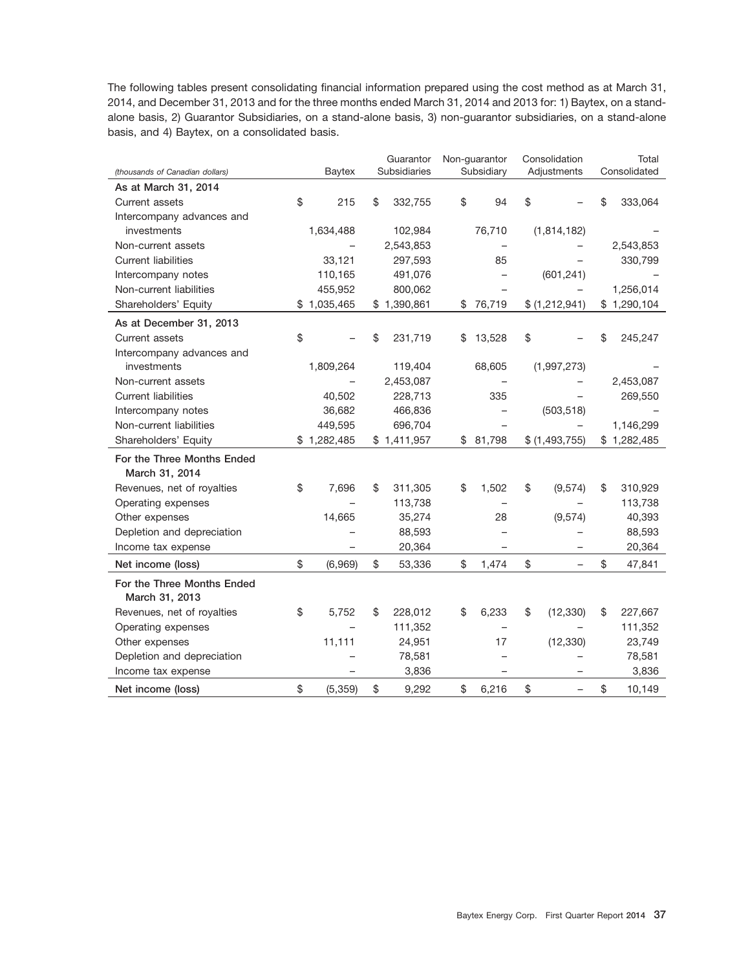The following tables present consolidating financial information prepared using the cost method as at March 31, 2014, and December 31, 2013 and for the three months ended March 31, 2014 and 2013 for: 1) Baytex, on a standalone basis, 2) Guarantor Subsidiaries, on a stand-alone basis, 3) non-guarantor subsidiaries, on a stand-alone basis, and 4) Baytex, on a consolidated basis.

| (thousands of Canadian dollars) | Baytex         | Guarantor<br>Subsidiaries | Non-guarantor<br>Subsidiary | Consolidation<br>Adjustments | Total<br>Consolidated |
|---------------------------------|----------------|---------------------------|-----------------------------|------------------------------|-----------------------|
| As at March 31, 2014            |                |                           |                             |                              |                       |
| <b>Current assets</b>           | \$<br>215      | \$<br>332,755             | \$<br>94                    | \$                           | \$<br>333,064         |
| Intercompany advances and       |                |                           |                             |                              |                       |
| investments                     | 1,634,488      | 102,984                   | 76,710                      | (1,814,182)                  |                       |
| Non-current assets              |                | 2,543,853                 |                             |                              | 2,543,853             |
| <b>Current liabilities</b>      | 33,121         | 297,593                   | 85                          |                              | 330,799               |
| Intercompany notes              | 110,165        | 491,076                   |                             | (601, 241)                   |                       |
| Non-current liabilities         | 455,952        | 800,062                   |                             |                              | 1,256,014             |
| Shareholders' Equity            | \$1,035,465    | \$1,390,861               | \$<br>76,719                | \$ (1,212,941)               | \$1,290,104           |
| As at December 31, 2013         |                |                           |                             |                              |                       |
| Current assets                  | \$             | \$<br>231,719             | \$<br>13,528                | \$                           | \$<br>245,247         |
| Intercompany advances and       |                |                           |                             |                              |                       |
| investments                     | 1,809,264      | 119,404                   | 68,605                      | (1,997,273)                  |                       |
| Non-current assets              |                | 2,453,087                 |                             |                              | 2,453,087             |
| <b>Current liabilities</b>      | 40,502         | 228,713                   | 335                         |                              | 269,550               |
| Intercompany notes              | 36,682         | 466,836                   |                             | (503, 518)                   |                       |
| Non-current liabilities         | 449,595        | 696,704                   |                             |                              | 1,146,299             |
| Shareholders' Equity            | \$1,282,485    | \$1,411,957               | \$<br>81,798                | \$ (1,493,755)               | \$1,282,485           |
| For the Three Months Ended      |                |                           |                             |                              |                       |
| March 31, 2014                  |                |                           |                             |                              |                       |
| Revenues, net of royalties      | \$<br>7,696    | \$<br>311,305             | \$<br>1,502                 | \$<br>(9, 574)               | \$<br>310,929         |
| Operating expenses              |                | 113,738                   | $\overline{\phantom{0}}$    |                              | 113,738               |
| Other expenses                  | 14,665         | 35,274                    | 28                          | (9, 574)                     | 40,393                |
| Depletion and depreciation      |                | 88,593                    |                             |                              | 88,593                |
| Income tax expense              |                | 20,364                    |                             |                              | 20,364                |
| Net income (loss)               | \$<br>(6,969)  | \$<br>53,336              | \$<br>1,474                 | \$                           | \$<br>47,841          |
| For the Three Months Ended      |                |                           |                             |                              |                       |
| March 31, 2013                  |                |                           |                             |                              |                       |
| Revenues, net of royalties      | \$<br>5,752    | \$<br>228,012             | \$<br>6,233                 | \$<br>(12, 330)              | \$<br>227,667         |
| Operating expenses              |                | 111,352                   |                             |                              | 111,352               |
| Other expenses                  | 11,111         | 24,951                    | 17                          | (12, 330)                    | 23,749                |
| Depletion and depreciation      |                | 78,581                    |                             |                              | 78,581                |
| Income tax expense              |                | 3,836                     |                             |                              | 3,836                 |
| Net income (loss)               | \$<br>(5, 359) | \$<br>9,292               | \$<br>6,216                 | \$                           | \$<br>10,149          |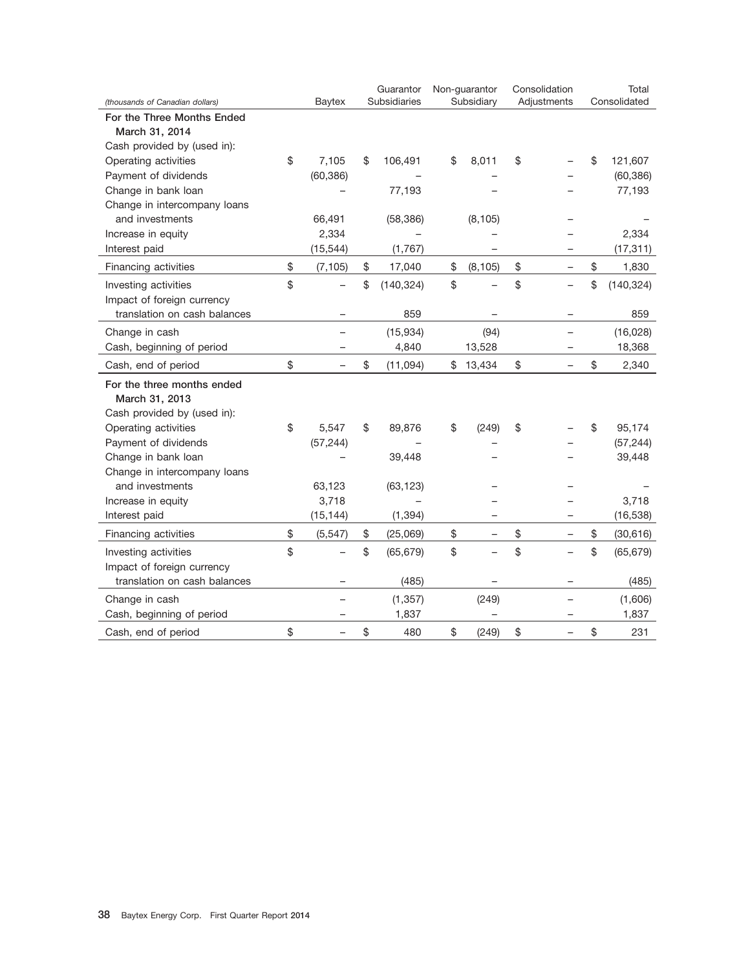|                                 |                | Guarantor        | Non-guarantor            | Consolidation |               | Total        |
|---------------------------------|----------------|------------------|--------------------------|---------------|---------------|--------------|
| (thousands of Canadian dollars) | <b>Baytex</b>  | Subsidiaries     | Subsidiary               | Adjustments   |               | Consolidated |
| For the Three Months Ended      |                |                  |                          |               |               |              |
| March 31, 2014                  |                |                  |                          |               |               |              |
| Cash provided by (used in):     |                |                  |                          |               |               |              |
| Operating activities            | \$<br>7,105    | \$<br>106,491    | \$<br>8,011              | \$            | \$            | 121,607      |
| Payment of dividends            | (60, 386)      |                  |                          |               |               | (60, 386)    |
| Change in bank loan             |                | 77,193           |                          |               |               | 77,193       |
| Change in intercompany loans    |                |                  |                          |               |               |              |
| and investments                 | 66,491         | (58, 386)        | (8, 105)                 |               |               |              |
| Increase in equity              | 2,334          |                  |                          |               |               | 2,334        |
| Interest paid                   | (15, 544)      | (1,767)          |                          |               |               | (17, 311)    |
| Financing activities            | \$<br>(7, 105) | \$<br>17,040     | \$<br>(8, 105)           | \$            | $\frac{1}{2}$ | 1,830        |
| Investing activities            | \$             | \$<br>(140, 324) | \$                       | \$            | \$            | (140, 324)   |
| Impact of foreign currency      |                |                  |                          |               |               |              |
| translation on cash balances    |                | 859              |                          |               |               | 859          |
| Change in cash                  |                | (15, 934)        | (94)                     |               |               | (16,028)     |
| Cash, beginning of period       |                | 4,840            | 13,528                   | -             |               | 18,368       |
| Cash, end of period             | \$             | \$<br>(11,094)   | \$<br>13,434             | \$            | \$            | 2,340        |
| For the three months ended      |                |                  |                          |               |               |              |
| March 31, 2013                  |                |                  |                          |               |               |              |
| Cash provided by (used in):     |                |                  |                          |               |               |              |
| Operating activities            | \$<br>5,547    | \$<br>89,876     | \$<br>(249)              | \$            | \$            | 95,174       |
| Payment of dividends            | (57, 244)      |                  |                          |               |               | (57, 244)    |
| Change in bank loan             |                | 39,448           |                          |               |               | 39,448       |
| Change in intercompany loans    |                |                  |                          |               |               |              |
| and investments                 | 63,123         | (63, 123)        |                          |               |               |              |
| Increase in equity              | 3,718          |                  |                          |               |               | 3,718        |
| Interest paid                   | (15, 144)      | (1, 394)         |                          |               |               | (16, 538)    |
| Financing activities            | \$<br>(5, 547) | \$<br>(25,069)   | \$                       | \$            | \$            | (30, 616)    |
|                                 |                |                  |                          |               |               |              |
| Investing activities            | \$             | \$<br>(65, 679)  | \$                       | \$            | \$            | (65, 679)    |
| Impact of foreign currency      |                |                  |                          |               |               |              |
| translation on cash balances    |                | (485)            |                          |               |               | (485)        |
| Change in cash                  |                | (1, 357)         | (249)                    |               |               | (1,606)      |
| Cash, beginning of period       |                | 1,837            | $\overline{\phantom{0}}$ |               |               | 1,837        |
| Cash, end of period             | \$             | \$<br>480        | \$<br>(249)              | \$            | \$            | 231          |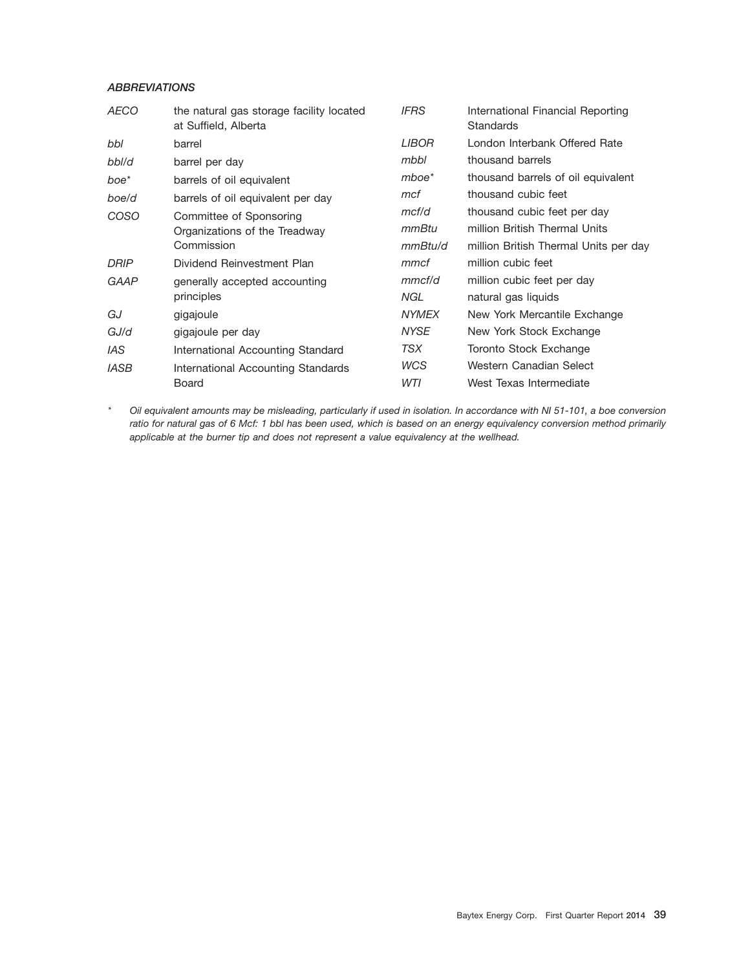### *ABBREVIATIONS*

| <b>AECO</b>      | the natural gas storage facility located<br>at Suffield, Alberta | <b>IFRS</b>  | International Financial Reporting<br><b>Standards</b> |  |  |  |  |
|------------------|------------------------------------------------------------------|--------------|-------------------------------------------------------|--|--|--|--|
| bbl              | barrel                                                           | <i>LIBOR</i> | London Interbank Offered Rate                         |  |  |  |  |
| bbl/d            | barrel per day                                                   | mbbl         | thousand barrels                                      |  |  |  |  |
| boe <sup>*</sup> | barrels of oil equivalent                                        | $mboe*$      | thousand barrels of oil equivalent                    |  |  |  |  |
| boe/d            | barrels of oil equivalent per day                                | mcf          | thousand cubic feet                                   |  |  |  |  |
| COSO             | Committee of Sponsoring                                          | mcf/d        | thousand cubic feet per day                           |  |  |  |  |
|                  | Organizations of the Treadway                                    | mmBtu        | million British Thermal Units                         |  |  |  |  |
|                  | Commission                                                       | mmBtu/d      | million British Thermal Units per day                 |  |  |  |  |
| DRIP             | Dividend Reinvestment Plan                                       | mmcf         | million cubic feet                                    |  |  |  |  |
| <b>GAAP</b>      | generally accepted accounting                                    | mmcf/d       | million cubic feet per day                            |  |  |  |  |
|                  | principles                                                       | NGL          | natural gas liquids                                   |  |  |  |  |
| GJ               | gigajoule                                                        | <b>NYMEX</b> | New York Mercantile Exchange                          |  |  |  |  |
| GJ/d             | gigajoule per day                                                | <b>NYSE</b>  | New York Stock Exchange                               |  |  |  |  |
| <i>IAS</i>       | International Accounting Standard                                | TSX          | Toronto Stock Exchange                                |  |  |  |  |
| <b>IASB</b>      | International Accounting Standards                               | <b>WCS</b>   | Western Canadian Select                               |  |  |  |  |
|                  | Board                                                            | WTI          | West Texas Intermediate                               |  |  |  |  |

*\* Oil equivalent amounts may be misleading, particularly if used in isolation. In accordance with NI 51-101, a boe conversion ratio for natural gas of 6 Mcf: 1 bbl has been used, which is based on an energy equivalency conversion method primarily applicable at the burner tip and does not represent a value equivalency at the wellhead.*